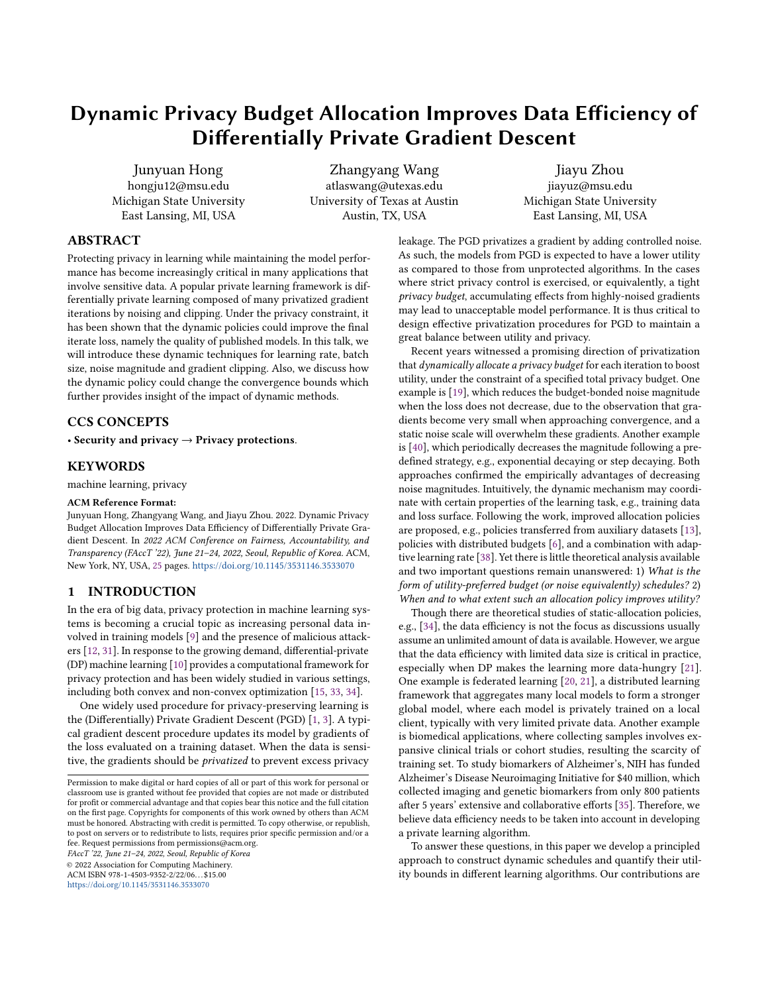# Dynamic Privacy Budget Allocation Improves Data Efficiency of Differentially Private Gradient Descent

Junyuan Hong hongju12@msu.edu Michigan State University East Lansing, MI, USA

Zhangyang Wang atlaswang@utexas.edu University of Texas at Austin Austin, TX, USA

Jiayu Zhou jiayuz@msu.edu Michigan State University East Lansing, MI, USA

## ABSTRACT

Protecting privacy in learning while maintaining the model performance has become increasingly critical in many applications that involve sensitive data. A popular private learning framework is differentially private learning composed of many privatized gradient iterations by noising and clipping. Under the privacy constraint, it has been shown that the dynamic policies could improve the final iterate loss, namely the quality of published models. In this talk, we will introduce these dynamic techniques for learning rate, batch size, noise magnitude and gradient clipping. Also, we discuss how the dynamic policy could change the convergence bounds which further provides insight of the impact of dynamic methods.

# CCS CONCEPTS

• Security and privacy  $\rightarrow$  Privacy protections.

# **KEYWORDS**

machine learning, privacy

### ACM Reference Format:

Junyuan Hong, Zhangyang Wang, and Jiayu Zhou. 2022. Dynamic Privacy Budget Allocation Improves Data Efficiency of Differentially Private Gradient Descent. In 2022 ACM Conference on Fairness, Accountability, and Transparency (FAccT '22), June 21–24, 2022, Seoul, Republic of Korea. ACM, New York, NY, USA, [25](#page-24-0) pages. <https://doi.org/10.1145/3531146.3533070>

### 1 INTRODUCTION

In the era of big data, privacy protection in machine learning systems is becoming a crucial topic as increasing personal data involved in training models [\[9\]](#page-8-0) and the presence of malicious attackers [\[12,](#page-8-1) [31\]](#page-9-0). In response to the growing demand, differential-private (DP) machine learning [\[10\]](#page-8-2) provides a computational framework for privacy protection and has been widely studied in various settings, including both convex and non-convex optimization [\[15,](#page-8-3) [33,](#page-9-1) [34\]](#page-9-2).

One widely used procedure for privacy-preserving learning is the (Differentially) Private Gradient Descent (PGD) [\[1,](#page-8-4) [3\]](#page-8-5). A typical gradient descent procedure updates its model by gradients of the loss evaluated on a training dataset. When the data is sensitive, the gradients should be privatized to prevent excess privacy

FAccT '22, June 21–24, 2022, Seoul, Republic of Korea

© 2022 Association for Computing Machinery.

ACM ISBN 978-1-4503-9352-2/22/06. . . \$15.00

<https://doi.org/10.1145/3531146.3533070>

leakage. The PGD privatizes a gradient by adding controlled noise. As such, the models from PGD is expected to have a lower utility as compared to those from unprotected algorithms. In the cases where strict privacy control is exercised, or equivalently, a tight privacy budget, accumulating effects from highly-noised gradients may lead to unacceptable model performance. It is thus critical to design effective privatization procedures for PGD to maintain a great balance between utility and privacy.

Recent years witnessed a promising direction of privatization that dynamically allocate a privacy budget for each iteration to boost utility, under the constraint of a specified total privacy budget. One example is [\[19\]](#page-8-6), which reduces the budget-bonded noise magnitude when the loss does not decrease, due to the observation that gradients become very small when approaching convergence, and a static noise scale will overwhelm these gradients. Another example is [\[40\]](#page-9-3), which periodically decreases the magnitude following a predefined strategy, e.g., exponential decaying or step decaying. Both approaches confirmed the empirically advantages of decreasing noise magnitudes. Intuitively, the dynamic mechanism may coordinate with certain properties of the learning task, e.g., training data and loss surface. Following the work, improved allocation policies are proposed, e.g., policies transferred from auxiliary datasets [\[13\]](#page-8-7), policies with distributed budgets [\[6\]](#page-8-8), and a combination with adaptive learning rate [\[38\]](#page-9-4). Yet there is little theoretical analysis available and two important questions remain unanswered: 1) What is the form of utility-preferred budget (or noise equivalently) schedules? 2) When and to what extent such an allocation policy improves utility?

Though there are theoretical studies of static-allocation policies, e.g., [\[34\]](#page-9-2), the data efficiency is not the focus as discussions usually assume an unlimited amount of data is available. However, we argue that the data efficiency with limited data size is critical in practice, especially when DP makes the learning more data-hungry [\[21\]](#page-9-5). One example is federated learning [\[20,](#page-8-9) [21\]](#page-9-5), a distributed learning framework that aggregates many local models to form a stronger global model, where each model is privately trained on a local client, typically with very limited private data. Another example is biomedical applications, where collecting samples involves expansive clinical trials or cohort studies, resulting the scarcity of training set. To study biomarkers of Alzheimer's, NIH has funded Alzheimer's Disease Neuroimaging Initiative for \$40 million, which collected imaging and genetic biomarkers from only 800 patients after 5 years' extensive and collaborative efforts [\[35\]](#page-9-6). Therefore, we believe data efficiency needs to be taken into account in developing a private learning algorithm.

To answer these questions, in this paper we develop a principled approach to construct dynamic schedules and quantify their utility bounds in different learning algorithms. Our contributions are

Permission to make digital or hard copies of all or part of this work for personal or classroom use is granted without fee provided that copies are not made or distributed for profit or commercial advantage and that copies bear this notice and the full citation on the first page. Copyrights for components of this work owned by others than ACM must be honored. Abstracting with credit is permitted. To copy otherwise, or republish, to post on servers or to redistribute to lists, requires prior specific permission and/or a fee. Request permissions from permissions@acm.org.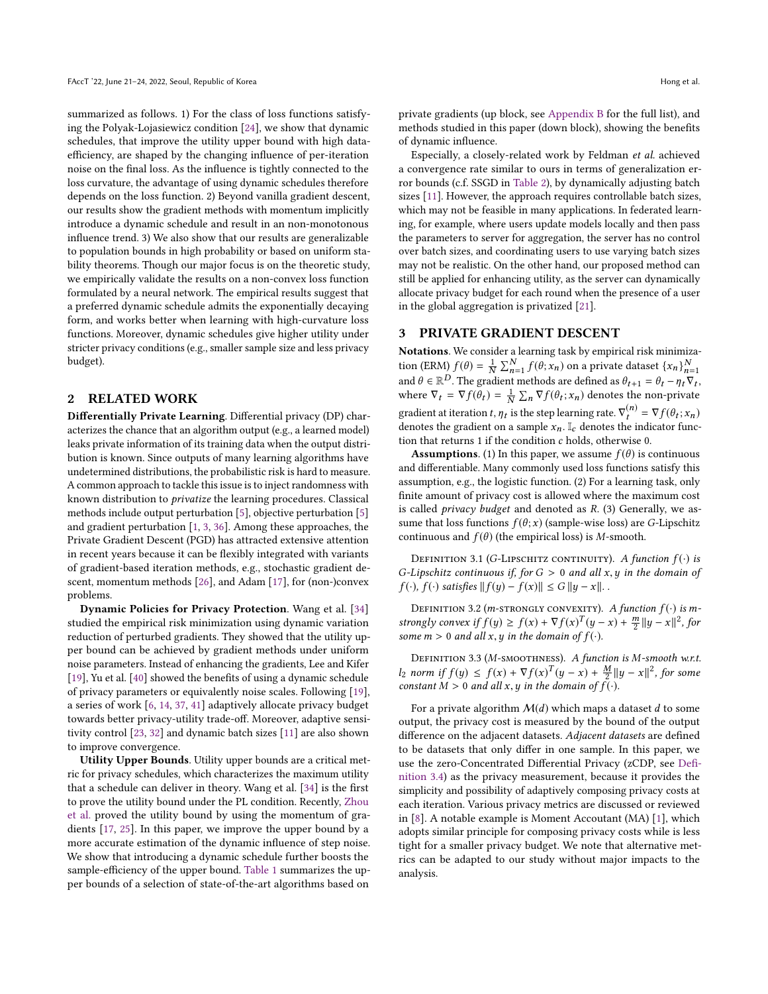summarized as follows. 1) For the class of loss functions satisfying the Polyak-Lojasiewicz condition [\[24\]](#page-9-7), we show that dynamic schedules, that improve the utility upper bound with high dataefficiency, are shaped by the changing influence of per-iteration noise on the final loss. As the influence is tightly connected to the loss curvature, the advantage of using dynamic schedules therefore depends on the loss function. 2) Beyond vanilla gradient descent, our results show the gradient methods with momentum implicitly introduce a dynamic schedule and result in an non-monotonous influence trend. 3) We also show that our results are generalizable to population bounds in high probability or based on uniform stability theorems. Though our major focus is on the theoretic study, we empirically validate the results on a non-convex loss function formulated by a neural network. The empirical results suggest that a preferred dynamic schedule admits the exponentially decaying form, and works better when learning with high-curvature loss functions. Moreover, dynamic schedules give higher utility under stricter privacy conditions (e.g., smaller sample size and less privacy budget).

### 2 RELATED WORK

Differentially Private Learning. Differential privacy (DP) characterizes the chance that an algorithm output (e.g., a learned model) leaks private information of its training data when the output distribution is known. Since outputs of many learning algorithms have undetermined distributions, the probabilistic risk is hard to measure. A common approach to tackle this issue is to inject randomness with known distribution to privatize the learning procedures. Classical methods include output perturbation [\[5\]](#page-8-10), objective perturbation [\[5\]](#page-8-10) and gradient perturbation [\[1,](#page-8-4) [3,](#page-8-5) [36\]](#page-9-8). Among these approaches, the Private Gradient Descent (PGD) has attracted extensive attention in recent years because it can be flexibly integrated with variants of gradient-based iteration methods, e.g., stochastic gradient descent, momentum methods [\[26\]](#page-9-9), and Adam [\[17\]](#page-8-11), for (non-)convex problems.

Dynamic Policies for Privacy Protection. Wang et al. [\[34\]](#page-9-2) studied the empirical risk minimization using dynamic variation reduction of perturbed gradients. They showed that the utility upper bound can be achieved by gradient methods under uniform noise parameters. Instead of enhancing the gradients, Lee and Kifer [\[19\]](#page-8-6), Yu et al. [\[40\]](#page-9-3) showed the benefits of using a dynamic schedule of privacy parameters or equivalently noise scales. Following [\[19\]](#page-8-6), a series of work [\[6,](#page-8-8) [14,](#page-8-12) [37,](#page-9-10) [41\]](#page-9-11) adaptively allocate privacy budget towards better privacy-utility trade-off. Moreover, adaptive sensitivity control [\[23,](#page-9-12) [32\]](#page-9-13) and dynamic batch sizes [\[11\]](#page-8-13) are also shown to improve convergence.

Utility Upper Bounds. Utility upper bounds are a critical metric for privacy schedules, which characterizes the maximum utility that a schedule can deliver in theory. Wang et al. [\[34\]](#page-9-2) is the first to prove the utility bound under the PL condition. Recently, [Zhou](#page-9-14) [et al.](#page-9-14) proved the utility bound by using the momentum of gradients [\[17,](#page-8-11) [25\]](#page-9-15). In this paper, we improve the upper bound by a more accurate estimation of the dynamic influence of step noise. We show that introducing a dynamic schedule further boosts the sample-efficiency of the upper bound. [Table 1](#page-2-0) summarizes the upper bounds of a selection of state-of-the-art algorithms based on

private gradients (up block, see [Appendix B](#page-10-0) for the full list), and methods studied in this paper (down block), showing the benefits of dynamic influence.

Especially, a closely-related work by Feldman et al. achieved a convergence rate similar to ours in terms of generalization error bounds (c.f. SSGD in [Table 2\)](#page-7-0), by dynamically adjusting batch sizes [\[11\]](#page-8-13). However, the approach requires controllable batch sizes, which may not be feasible in many applications. In federated learning, for example, where users update models locally and then pass the parameters to server for aggregation, the server has no control over batch sizes, and coordinating users to use varying batch sizes may not be realistic. On the other hand, our proposed method can still be applied for enhancing utility, as the server can dynamically allocate privacy budget for each round when the presence of a user in the global aggregation is privatized [\[21\]](#page-9-5).

### 3 PRIVATE GRADIENT DESCENT

Notations. We consider a learning task by empirical risk minimization (ERM)  $f(\theta) = \frac{1}{N} \sum_{n=1}^{N} f(\theta; x_n)$  on a private dataset  $\{x_n\}_{n=1}^{N}$ <br>and  $\theta \in \mathbb{R}^D$ . The gradient methods are defined as  $\theta_{k+1} = \theta_k = n \sqrt{N}$ . and  $\theta \in \mathbb{R}^D$ . The gradient methods are defined as  $\theta_{t+1} = \theta_t - \eta_t \nabla_t$ ,<br>where  $\nabla_t = \nabla f(\theta_t) = \frac{1}{\Sigma} \nabla \nabla f(\theta_t; \mathbf{x})$  denotes the non-private where  $\nabla_t = \nabla f(\theta_t) = \frac{1}{N} \sum_n \nabla f(\theta_t; x_n)$  denotes the non-private gradient at iteration t,  $\eta_t$  is the step learning rate.  $\nabla_t^{(n)} = \nabla f(\theta_t; x_n)$ <br>denotes the gradient on a sample  $x \perp x$  denotes the indicator funcdenotes the gradient on a sample  $x_n$ .  $\mathbb{I}_c$  denotes the indicator func-<br>tion that returns 1 if the condition c holds otherwise 0. tion that returns <sup>1</sup> if the condition c holds, otherwise 0.

**Assumptions.** (1) In this paper, we assume  $f(\theta)$  is continuous and differentiable. Many commonly used loss functions satisfy this assumption, e.g., the logistic function. (2) For a learning task, only finite amount of privacy cost is allowed where the maximum cost is called privacy budget and denoted as R. (3) Generally, we assume that loss functions  $f(\theta; x)$  (sample-wise loss) are G-Lipschitz continuous and  $f(\theta)$  (the empirical loss) is *M*-smooth.

DEFINITION 3.1 (G-LIPSCHITZ CONTINUITY). A function  $f(\cdot)$  is G-Lipschitz continuous if, for  $G > 0$  and all  $x, y$  in the domain of  $f(\cdot), f(\cdot)$  satisfies  $|| f(y) - f(x)|| \le G ||y - x||$ .

DEFINITION 3.2 (*m*-strongly convexity). A function  $f(·)$  is mstrongly convex if  $f(y) \ge f(x) + \nabla f(x)^T (y-x) + \frac{m}{2} ||y-x||^2$ , for<br>some  $m > 0$  and all x, y in the domain of  $f(x)$ . some  $m > 0$  and all x, y in the domain of  $f(\cdot)$ .

<span id="page-1-1"></span>DEFINITION 3.3 (M-SMOOTHNESS). A function is M-smooth w.r.t. *l*<sub>2</sub> norm if  $f(y) \text{ ≤ } f(x) + \nabla f(x)^T (y - x) + \frac{M}{2} ||y - x||^2$ , for some constant  $M > 0$  and all x u in the domain of  $f(x)$ constant  $M > 0$  and all x, y in the domain of  $f(\cdot)$ .

<span id="page-1-0"></span>For a private algorithm  $\mathcal{M}(d)$  which maps a dataset d to some output, the privacy cost is measured by the bound of the output difference on the adjacent datasets. Adjacent datasets are defined to be datasets that only differ in one sample. In this paper, we use the zero-Concentrated Differential Privacy (zCDP, see [Defi](#page-1-0)[nition 3.4\)](#page-1-0) as the privacy measurement, because it provides the simplicity and possibility of adaptively composing privacy costs at each iteration. Various privacy metrics are discussed or reviewed in [\[8\]](#page-8-14). A notable example is Moment Accoutant (MA) [\[1\]](#page-8-4), which adopts similar principle for composing privacy costs while is less tight for a smaller privacy budget. We note that alternative metrics can be adapted to our study without major impacts to the analysis.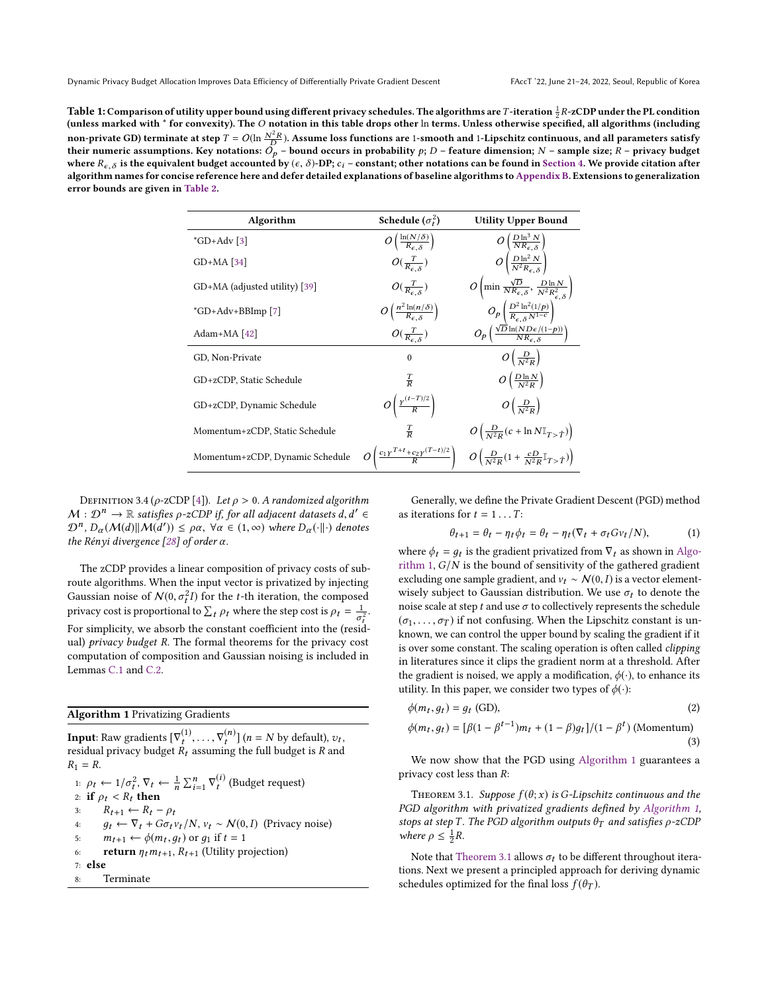<span id="page-2-0"></span>Table 1: Comparison of utility upper bound using different privacy schedules. The algorithms are T-iteration  $\frac{1}{2}R$ -zCDP under the PL condition (undividually state of the problems). The  $\Omega$  notation in this table dra (unless marked with \* for convexity). The O notation in this table drops other ln terms. Unless otherwise specified, all algorithms (including non-private GD) terminate at step  $T = O(\ln \frac{N^2 R}{D})$ . Assume loss functions are 1-smooth and 1-Lipschitz continuous, and all parameters satisfy<br>their numeric assumptions. Key notations:  $O_s$  – bound occurs in probability their numeric assumptions. Key notations:  $O_p$  – bound occurs in probability  $p$ ; D – feature dimension; N – sample size; R – privacy budget<br>where R – s is the equivalent budget accounted by (c– $\delta$ )-DP: c–= constant; oth where  $R_{\epsilon,\delta}$  is the equivalent budget accounted by ( $\epsilon, \delta$ )-DP;  $c_i$  – constant; other notations can be found in [Section 4.](#page-3-0) We provide citation after algorithm names for concise reference here and defer detailed explanations of baseline algorithms to [Appendix B.](#page-10-0) Extensions to generalization error bounds are given in [Table 2.](#page-7-0)

| Algorithm                       | Schedule $(\sigma_t^2)$                                           | <b>Utility Upper Bound</b>                                                                             |
|---------------------------------|-------------------------------------------------------------------|--------------------------------------------------------------------------------------------------------|
| $^*GD+Adv$ [3]                  | $O\left(\frac{\ln(N/\delta)}{R_{\epsilon\delta}}\right)$          | $O\left(\frac{D \ln^3 N}{N R_{\epsilon,\delta}}\right)$                                                |
| $GD+MA$ [34]                    | $O(\frac{T}{R_{c,s}})$                                            | $O\left(\frac{D\ln^2 N}{N^2 R_{\epsilon} \delta}\right)$                                               |
| GD+MA (adjusted utility) [39]   | $O(\frac{T}{R_{c,s}})$                                            | $O\left(\min \frac{\sqrt{D}}{N R_{\epsilon,\delta}}, \frac{D \ln N}{N^2 R_{\epsilon,\delta}^2}\right)$ |
| $^*GD + Adv + BBImp$ [7]        | $O\left(\frac{n^2 \ln(n/\delta)}{R_{\epsilon,\delta}}\right)$     | $O_p\left(\frac{D^2\ln^2(1/p)}{R_{\epsilon,\delta}N^{1-c}}\right)$                                     |
| Adam+MA [42]                    | $O(\frac{T}{R_{c,s}})$                                            | $O_p\left(\frac{\sqrt{D}\ln(ND\epsilon/(1-p))}{NR_{\epsilon} s}\right)$                                |
| GD, Non-Private                 | $\theta$                                                          | $O\left(\frac{D}{N^2R}\right)$                                                                         |
| GD+zCDP, Static Schedule        | $rac{1}{R}$                                                       | $O\left(\frac{D\ln N}{N^2R}\right)$                                                                    |
| GD+zCDP, Dynamic Schedule       | $O\left(\frac{\gamma(t-T)/2}{R}\right)$                           | $O\left(\frac{D}{M^2R}\right)$                                                                         |
| Momentum+zCDP, Static Schedule  | $rac{1}{D}$                                                       | $O\left(\frac{D}{N^2R}(c + \ln N \mathbb{I}_{T > \hat{T}})\right)$                                     |
| Momentum+zCDP, Dynamic Schedule | $O\left(\frac{c_1 \gamma^{T+t} + c_2 \gamma^{(T-t)/2}}{R}\right)$ | $O\left(\frac{D}{N^2R}(1+\frac{cD}{N^2R}\mathbb{I}_{T>\hat{T}})\right)$                                |

DEFINITION 3.4 ( $\rho$ -zCDP [\[4\]](#page-8-16)). Let  $\rho > 0$ . A randomized algorithm  $M: \mathcal{D}^n \to \mathbb{R}$  satisfies  $\rho$ -zCDP if, for all adjacent datasets  $d, d' \in \mathbb{R}^n$ <br> $\mathcal{D}^n \cap (M(d) \mathbb{I} M(d')) \leq \alpha \times \forall \alpha \in (1, \infty)$  where  $D$  (iii) denotes  $\mathcal{D}^n$ ,  $D_\alpha(\mathcal{M}(d)||\mathcal{M}(d')) \leq \rho \alpha$ ,  $\forall \alpha \in (1, \infty)$  where  $D_\alpha(\cdot||\cdot)$  denotes the Rényi divergence  $[28]$  of order  $\alpha$ .

The zCDP provides a linear composition of privacy costs of subroute algorithms. When the input vector is privatized by injecting Gaussian noise of  $N(0, \sigma_t^2 I)$  for the *t*-th iteration, the composed privacy cost is proportional to  $\sum_t \rho_t$  where the step cost is  $\rho_t = \frac{1}{\sigma_t^2}$ . For simplicity, we absorb the constant coefficient into the (residual) privacy budget R. The formal theorems for the privacy cost computation of composition and Gaussian noising is included in Lemmas [C.1](#page-10-1) and [C.2.](#page-10-2)

### <span id="page-2-1"></span>Algorithm 1 Privatizing Gradients

**Input**: Raw gradients  $[\nabla_t^{(1)}, \ldots, \nabla_t^{(n)}]$   $(n = N)$  by default),  $v_t$ , residual privacy budget  $P_t$ , assuming the full budget is  $P_t$  and residual privacy budget  $\hat{R}_t$  assuming the full budget is  $R$  and  $R_t - R$  $R_1 = R$ .

1:  $\rho_t \leftarrow 1/\sigma_t^2$ ,  $\nabla_t \leftarrow \frac{1}{n} \sum_{i=1}^n \nabla_t^{(i)}$  (Budget request)<br>2: if  $\rho_t < R_t$  then 2: if  $\rho_t < R_t$  then 3:  $R_{t+1} \leftarrow R_t - \rho_t$ <br>4:  $q_t \leftarrow \nabla_t + G\sigma_t$ 4:  $g_t \leftarrow \nabla_t + G \sigma_t v_t / N$ ,  $v_t \sim N(0, I)$  (Privacy noise)<br>5:  $m_{t+1} \leftarrow \phi(m_t, q_t)$  or  $q_1$  if  $t = 1$ 5:  $m_{t+1} \leftarrow \phi(m_t, g_t) \text{ or } g_1 \text{ if } t = 1$ 6: return  $\eta_t m_{t+1}$ ,  $R_{t+1}$  (Utility projection) 7: else 8: Terminate

Generally, we define the Private Gradient Descent (PGD) method as iterations for  $t = 1 \dots T$ :<br> $\theta_{t+1} = \theta_t - n_t \phi_t$ 

<span id="page-2-3"></span>
$$
\theta_{t+1} = \theta_t - \eta_t \phi_t = \theta_t - \eta_t (\nabla_t + \sigma_t G v_t / N), \tag{1}
$$

where  $\phi_t = g_t$  is the gradient privatized from  $\nabla_t$  as shown in Algo-<br>rithm 1.  $G/N$  is the bound of sensitivity of the gathered gradient. [rithm 1,](#page-2-1)  $G/N$  is the bound of sensitivity of the gathered gradient excluding one sample gradient, and  $v_t \sim \mathcal{N}(0, I)$  is a vector elementwisely subject to Gaussian distribution. We use  $\sigma_t$  to denote the noise scale at step t and use  $\sigma$  to collectively represents the schedule  $(\sigma_1, \ldots, \sigma_T)$  if not confusing. When the Lipschitz constant is unknown, we can control the upper bound by scaling the gradient if it is over some constant. The scaling operation is often called clipping in literatures since it clips the gradient norm at a threshold. After the gradient is noised, we apply a modification,  $\phi(\cdot)$ , to enhance its utility. In this paper, we consider two types of  $\phi(\cdot)$ :

$$
\phi(m_t, g_t) = g_t \text{ (GD)},\tag{2}
$$

$$
\phi(m_t, g_t) = [\beta(1 - \beta^{t-1})m_t + (1 - \beta)g_t]/(1 - \beta^t) \text{ (Momentum)}
$$
\n(3)

We now show that the PGD using [Algorithm 1](#page-2-1) guarantees a privacy cost less than R:

<span id="page-2-2"></span>THEOREM 3.1. Suppose  $f(\theta; x)$  is G-Lipschitz continuous and the PGD algorithm with privatized gradients defined by [Algorithm 1,](#page-2-1) stops at step T. The PGD algorithm outputs  $\theta_T$  and satisfies  $\rho$ -zCDP where  $\rho \leq \frac{1}{2}R$ .

Note that [Theorem 3.1](#page-2-2) allows  $\sigma_t$  to be different throughout iterations. Next we present a principled approach for deriving dynamic schedules optimized for the final loss  $f(\theta_T)$ .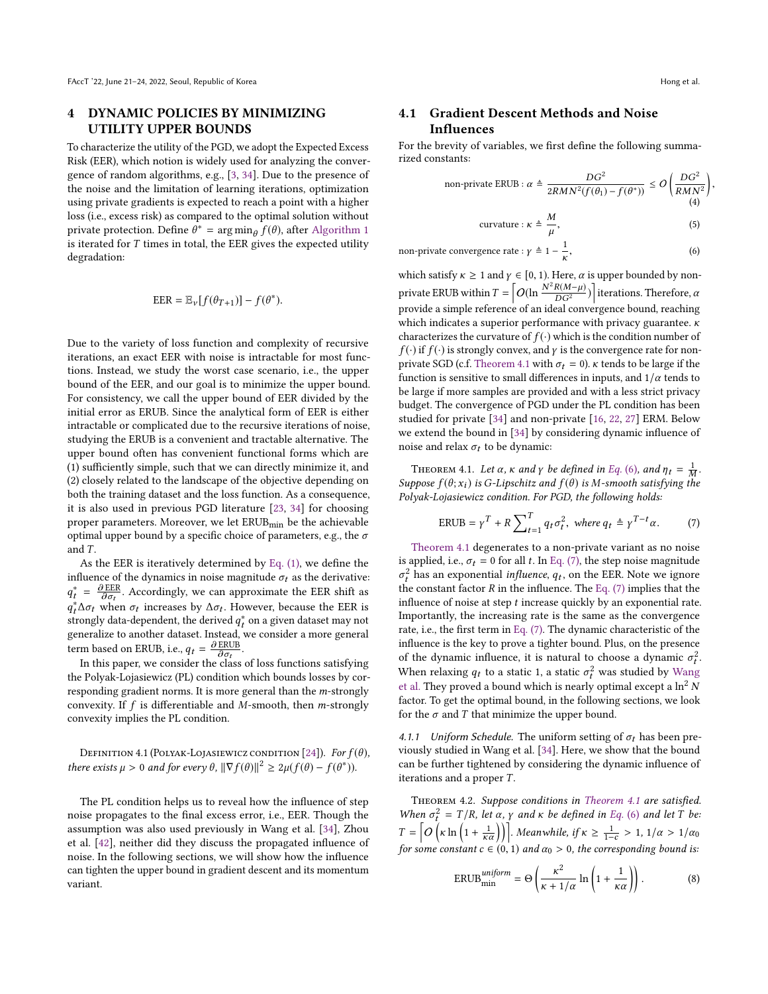# <span id="page-3-0"></span>4 DYNAMIC POLICIES BY MINIMIZING UTILITY UPPER BOUNDS

To characterize the utility of the PGD, we adopt the Expected Excess Risk (EER), which notion is widely used for analyzing the convergence of random algorithms, e.g., [\[3,](#page-8-5) [34\]](#page-9-2). Due to the presence of the noise and the limitation of learning iterations, optimization using private gradients is expected to reach a point with a higher loss (i.e., excess risk) as compared to the optimal solution without private protection. Define  $\hat{\theta}^* = \arg \min_{\theta} f(\theta)$ , after [Algorithm 1](#page-2-1) is iterated for T times in total, the FER gives the expected utility is iterated for  $T$  times in total, the EER gives the expected utility degradation: degradation:

$$
EER = \mathbb{E}_{\nu}[f(\theta_{T+1})] - f(\theta^*).
$$

Due to the variety of loss function and complexity of recursive iterations, an exact EER with noise is intractable for most functions. Instead, we study the worst case scenario, i.e., the upper bound of the EER, and our goal is to minimize the upper bound. For consistency, we call the upper bound of EER divided by the initial error as ERUB. Since the analytical form of EER is either intractable or complicated due to the recursive iterations of noise, studying the ERUB is a convenient and tractable alternative. The upper bound often has convenient functional forms which are (1) sufficiently simple, such that we can directly minimize it, and (2) closely related to the landscape of the objective depending on both the training dataset and the loss function. As a consequence, it is also used in previous PGD literature [\[23,](#page-9-12) [34\]](#page-9-2) for choosing proper parameters. Moreover, we let ERUB<sub>min</sub> be the achievable optimal upper bound by a specific choice of parameters, e.g., the  $\sigma$ and T.

As the EER is iteratively determined by [Eq. \(1\),](#page-2-3) we define the influence of the dynamics in noise magnitude  $\sigma_t$  as the derivative:  $q_t^* \Delta \sigma_t$  when  $\sigma_t$  increases by  $\Delta \sigma_t$ . However, because the EER is<br>strongly data-dependent the derived  $q_t^*$  on a given dataset may not  $t = \frac{\partial EER}{\partial \sigma_t}$ . Accordingly, we can approximate the EER shift as  $\frac{1}{4}$  and  $\frac{1}{4}$  and  $\frac{1}{4}$  and  $\frac{1}{4}$  and  $\frac{1}{4}$  are consider a may not separatize to another dataset. Instead, we consider a more general generalize to another dataset. Instead, we consider a more general term based on ERUB, i.e.,  $q_t = \frac{\partial \text{ ERUB}}{\partial \sigma_t}$ .<br>In this paper, we consider the class.

In this paper, we consider the class of loss functions satisfying the Polyak-Lojasiewicz (PL) condition which bounds losses by corresponding gradient norms. It is more general than the m-strongly convexity. If  $f$  is differentiable and  $M$ -smooth, then  $m$ -strongly convexity implies the PL condition.

DEFINITION 4.1 (POLYAK-LOJASIEWICZ CONDITION [\[24\]](#page-9-7)). For  $f(\theta)$ , there exists  $\mu > 0$  and for every  $\theta$ ,  $\|\nabla f(\theta)\|^2 \ge 2\mu(f(\theta) - f(\theta^*)).$ 

The PL condition helps us to reveal how the influence of step noise propagates to the final excess error, i.e., EER. Though the assumption was also used previously in Wang et al. [\[34\]](#page-9-2), Zhou et al. [\[42\]](#page-9-14), neither did they discuss the propagated influence of noise. In the following sections, we will show how the influence can tighten the upper bound in gradient descent and its momentum variant.

<span id="page-3-2"></span>,

# <span id="page-3-6"></span>4.1 Gradient Descent Methods and Noise Influences

For the brevity of variables, we first define the following summarized constants:

non-private ERUB : 
$$
\alpha \triangleq \frac{DG^2}{2RMN^2(f(\theta_1) - f(\theta^*))} \leq O\left(\frac{DG^2}{RMN^2}\right)
$$
 (4)

$$
curvature: \kappa \triangleq \frac{M}{\mu}, \tag{5}
$$

non-private convergence rate : 
$$
\gamma \triangleq 1 - \frac{1}{\kappa}
$$
, (6)

which satisfy  $\kappa \ge 1$  and  $\gamma \in [0, 1)$ . Here,  $\alpha$  is upper bounded by nonprivate ERUB within  $T = \left[O(\ln \frac{N^2 R(M-\mu)}{DG^2})\right]$  iterations. Therefore,  $\alpha$  provide a simple reference of an ideal convergence bound, reaching which indicates a superior performance with privacy guarantee.  $\kappa$ characterizes the curvature of  $f(\cdot)$  which is the condition number of  $f(\cdot)$  if  $f(\cdot)$  is strongly convex, and  $\gamma$  is the convergence rate for non-private SGD (c.f. [Theorem 4.1](#page-3-1) with  $\sigma_t = 0$ ).  $\kappa$  tends to be large if the function is sensitive to small differences in inputs, and  $1/\alpha$  tends to be large if more samples are provided and with a less strict privacy budget. The convergence of PGD under the PL condition has been studied for private [\[34\]](#page-9-2) and non-private [\[16,](#page-8-17) [22,](#page-9-18) [27\]](#page-9-19) ERM. Below we extend the bound in [\[34\]](#page-9-2) by considering dynamic influence of noise and relax  $\sigma_t$  to be dynamic:

<span id="page-3-1"></span>THEOREM 4.1. Let  $\alpha$ ,  $\kappa$  and  $\gamma$  be defined in [Eq.](#page-3-2) (6), and  $\eta_t = \frac{1}{M}$ . Suppose  $f(\theta; x_i)$  is G-Lipschitz and  $f(\theta)$  is M-smooth satisfying the<br>Polyak-Loiasiavicz condition. For PGD, the following holds: Polyak-Lojasiewicz condition. For PGD, the following holds:

<span id="page-3-3"></span>
$$
ERUB = \gamma^T + R \sum_{t=1}^{T} q_t \sigma_t^2, \text{ where } q_t \triangleq \gamma^{T-t} \alpha. \tag{7}
$$

[Theorem 4.1](#page-3-1) degenerates to a non-private variant as no noise is applied, i.e.,  $\sigma_t = 0$  for all t. In [Eq. \(7\),](#page-3-3) the step noise magnitude  $\mathbf{F}_t$  and the constant factor R in the influence. The [Eq. \(7\)](#page-3-3) implies that the influence of poise at step t increase quickly by an exponential rate  $\frac{2}{t}$  has an exponential *influence*,  $q_t$ , on the EER. Note we ignore influence of noise at step t increase quickly by an exponential rate. Importantly, the increasing rate is the same as the convergence rate, i.e., the first term in [Eq. \(7\).](#page-3-3) The dynamic characteristic of the influence is the key to prove a tighter bound. Plus, on the presence of the dynamic influence, it is natural to choose a dynamic  $\sigma_t^2$ . When relaxing  $q_t$  to a static 1, a static  $\sigma_t^2$  was studied by [Wang](#page-9-2)<br>et al. They proved a bound which is nearly optimal except a  $\ln^2 N$ [et al.](#page-9-2) They proved a bound which is nearly optimal except a  $\ln^2 N$ factor. To get the optimal bound, in the following sections, we look for the  $\sigma$  and T that minimize the upper bound.

4.1.1 Uniform Schedule. The uniform setting of  $\sigma_t$  has been previously studied in Wang et al. [\[34\]](#page-9-2). Here, we show that the bound can be further tightened by considering the dynamic influence of iterations and a proper  $T$ .

<span id="page-3-4"></span>Theorem 4.2. Suppose conditions in [Theorem 4.1](#page-3-1) are satisfied. When  $\sigma_t^2 = T/R$ , let  $\alpha$ ,  $\gamma$  and  $\kappa$  be defined in [Eq.](#page-3-2) (6) and let T be:<br> $T = [\alpha(1 + (n-1))]$ .  $T = \left[ O\left(\kappa \ln\left(1 + \frac{1}{\kappa \alpha}\right)\right) \right]$ . Meanwhile, if  $\kappa \ge \frac{1}{1-c} > 1$ ,  $1/\alpha > 1/\alpha_0$ for some constant  $c \in (0, 1)$  and  $\alpha_0 > 0$ , the corresponding bound is:

<span id="page-3-5"></span>
$$
ERUB_{\min}^{uniform} = \Theta\left(\frac{\kappa^2}{\kappa + 1/\alpha} \ln\left(1 + \frac{1}{\kappa \alpha}\right)\right). \tag{8}
$$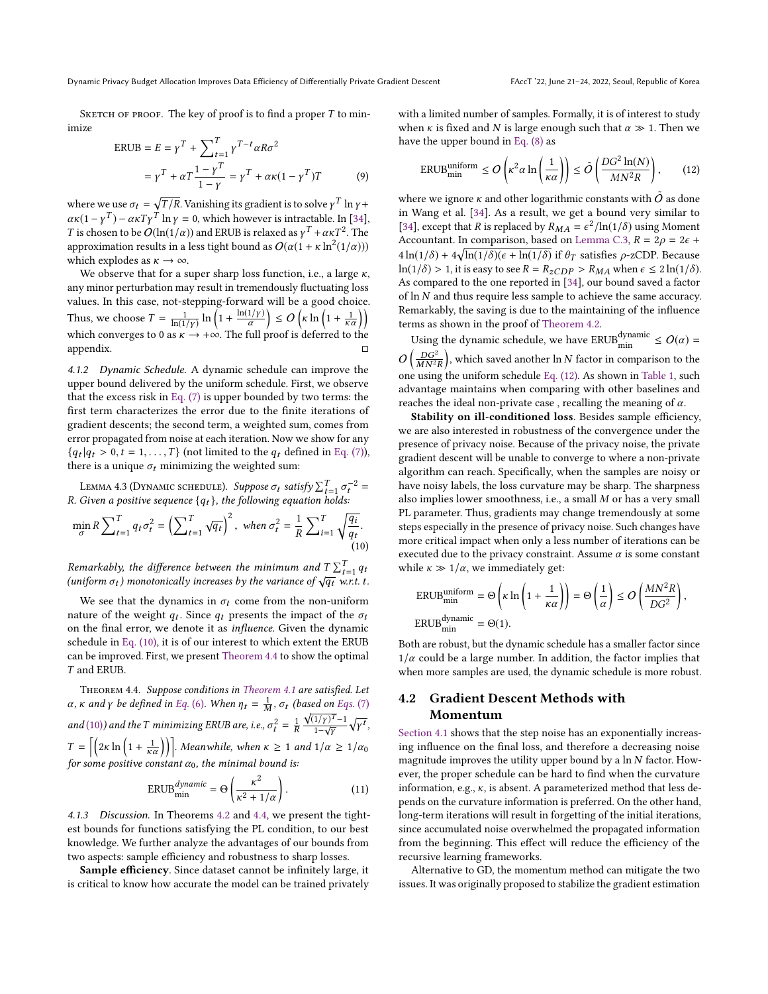SKETCH OF PROOF. The key of proof is to find a proper  $T$  to minimize

$$
ERUB = E = \gamma^T + \sum_{t=1}^T \gamma^{T-t} \alpha R \sigma^2
$$

$$
= \gamma^T + \alpha T \frac{1 - \gamma^T}{1 - \gamma} = \gamma^T + \alpha \kappa (1 - \gamma^T) T
$$
(9)

where we use  $\sigma_t = \sqrt{T/R}$ . Vanishing its gradient is to solve  $\gamma^T \ln \gamma +$ <br> $\gamma \gamma (1 - \gamma T)$ ,  $\gamma \gamma T T \ln \gamma = 0$ , which however is introduced in [34]  $\alpha \kappa (1 - \gamma^T) - \alpha \kappa T \gamma^T \ln \gamma = 0$ , which however is intractable. In [\[34\]](#page-9-2),<br>T is shown to be  $O(\ln(1/\alpha))$  and EPUB is relayed as  $\nu^T + \alpha \kappa T^2$ . The T is chosen to be  $O(\ln(1/\alpha))$  and ERUB is relaxed as  $\gamma^T + \alpha \kappa T^2$ . The approximation results in a less tight bound as  $O(\alpha(1 + \kappa \ln^2(1/\alpha)))$ <br>which explodes as  $\kappa \to \infty$ which explodes as  $\kappa \to \infty$ .

We observe that for a super sharp loss function, i.e., a large  $\kappa$ , any minor perturbation may result in tremendously fluctuating loss values. In this case, not-stepping-forward will be a good choice. Thus, we choose  $T = \frac{1}{\ln(1/\gamma)} \ln \left(1 + \frac{\ln(1/\gamma)}{\alpha}\right)$  $\left( \sum_{k=1}^{n} \left( \frac{1}{k} \ln \left( 1 + \frac{1}{k \alpha} \right) \right) \right)$ which converges to 0 as  $\kappa \to +\infty$ . The full proof is deferred to the appendix.

4.1.2 Dynamic Schedule. A dynamic schedule can improve the upper bound delivered by the uniform schedule. First, we observe that the excess risk in [Eq. \(7\)](#page-3-3) is upper bounded by two terms: the first term characterizes the error due to the finite iterations of gradient descents; the second term, a weighted sum, comes from error propagated from noise at each iteration. Now we show for any  $\{q_t | q_t > 0, t = 1, \ldots, T\}$  (not limited to the  $q_t$  defined in [Eq. \(7\)\)](#page-3-3), there is a unique  $\sigma_t$ , minimizing the weighted sum: there is a unique  $\sigma_t$  minimizing the weighted sum:

<span id="page-4-4"></span>LEMMA 4.3 (DYNAMIC SCHEDULE). Suppose  $\sigma_t$  satisfy  $\sum_{t=1}^T \sigma_t^{-2} =$ Given a positive sequence  $\{a_t\}$ , the following equation holds: R. Given a positive sequence  $\{q_t\}$ , the following equation holds:

$$
\min_{\sigma} R \sum_{t=1}^{T} q_t \sigma_t^2 = \left(\sum_{t=1}^{T} \sqrt{q_t}\right)^2, \text{ when } \sigma_t^2 = \frac{1}{R} \sum_{i=1}^{T} \sqrt{\frac{q_i}{q_t}}.
$$
\n(10)

Remarkably, the difference between the minimum and  $T\sum_{i=1}^{T}$ <br>(uniform  $\sigma_i$ ) monotonically increases by the variance of  $\sqrt{\sigma_i}$  y Remarkably, the difference between the minimum and  $1 \sum_{t=1}^{t} q_t$ <br>(uniform  $\sigma_t$ ) monotonically increases by the variance of  $\sqrt{q_t}$  w.r.t. t.

We see that the dynamics in  $\sigma_t$  come from the non-uniform nature of the weight  $q_t$ . Since  $q_t$  presents the impact of the  $\sigma_t$ <br>on the final error we denote it as influence Given the dynamic on the final error, we denote it as influence. Given the dynamic schedule in [Eq. \(10\),](#page-4-0) it is of our interest to which extent the ERUB can be improved. First, we present [Theorem 4.4](#page-4-1) to show the optimal T and ERUB.

<span id="page-4-1"></span>Theorem 4.4. Suppose conditions in [Theorem 4.1](#page-3-1) are satisfied. Let α, κ and γ be defined in [Eq.](#page-3-2) (6). When  $η_t = \frac{1}{M}$ ,  $σ_t$  (based on [Eqs.](#page-3-3) (7) and [\(10\)](#page-4-0)) and the T minimizing ERUB are, i.e.,  $\sigma_t^2 = \frac{1}{R} \frac{\sqrt{(1/\gamma)^T}-1}{1-\sqrt{\gamma}} \sqrt{\frac{1}{2} \sqrt{\frac{(1/\gamma)^T}-1}{1-\sqrt{\gamma}}}$  $T = \left[ \left( 2\kappa \ln \left( 1 + \frac{1}{\kappa \alpha} \right) \right) \right]$ . Meanwhile, when  $\kappa \ge 1$  and  $1/\alpha \ge 1/\alpha_0$  $\gamma^t$ , for some positive constant  $\alpha_0$ , the minimal bound is:

$$
ERUBmindynamic = \Theta\left(\frac{\kappa^2}{\kappa^2 + 1/\alpha}\right).
$$
 (11)  
4.1.3 *Discussion*. In Theorems 4.2 and 4.4, we present the tight-

<span id="page-4-3"></span>est bounds for functions satisfying the PL condition, to our best knowledge. We further analyze the advantages of our bounds from two aspects: sample efficiency and robustness to sharp losses.

Sample efficiency. Since dataset cannot be infinitely large, it is critical to know how accurate the model can be trained privately with a limited number of samples. Formally, it is of interest to study when  $\kappa$  is fixed and N is large enough such that  $\alpha \gg 1$ . Then we have the upper bound in [Eq. \(8\)](#page-3-5) as

<span id="page-4-2"></span>
$$
\text{ERUB}_{\text{min}}^{\text{uniform}} \le O\left(\kappa^2 \alpha \ln\left(\frac{1}{\kappa \alpha}\right)\right) \le \tilde{O}\left(\frac{DG^2 \ln(N)}{MN^2 R}\right),\tag{12}
$$

where we ignore  $\kappa$  and other logarithmic constants with  $\tilde{O}$  as done in Wang et al. [\[34\]](#page-9-2). As a result, we get a bound very similar to [\[34\]](#page-9-2), except that R is replaced by  $R_{MA} = \epsilon^2 / \ln(1/\delta)$  using Moment<br>Accountant In comparison based on Lamma C 3,  $R = 2.0 = 2.6 \pm 1.0$ Accountant. In comparison, based on [Lemma C.3,](#page-10-3)  $R = 2\rho = 2\epsilon$  +  $4 \ln(1/\delta) + 4 \sqrt{\ln(1/\delta)(\epsilon + \ln(1/\delta))}$  if  $\theta_T$  satisfies  $\rho$ -zCDP. Because  $\ln(1/\delta) > 1$ , it is easy to see  $R = R_{\rm zCDP} > R_{MA}$  when  $\epsilon \leq 2 \ln(1/\delta)$ . As compared to the one reported in [\[34\]](#page-9-2), our bound saved a factor of ln N and thus require less sample to achieve the same accuracy. Remarkably, the saving is due to the maintaining of the influence terms as shown in the proof of [Theorem 4.2.](#page-3-4)

Using the dynamic schedule, we have  $\text{ERUB}_{\text{min}}^{\text{dynamic}} \leq O(\alpha) =$  $O\left(\frac{DG^2}{MN^2R}\right)$ , which saved another ln N factor in comparison to the one using the uniform schedule [Eq. \(12\).](#page-4-2) As shown in [Table 1,](#page-2-0) such advantage maintains when comparing with other baselines and reaches the ideal non-private case, recalling the meaning of  $\alpha$ .

Stability on ill-conditioned loss. Besides sample efficiency, we are also interested in robustness of the convergence under the presence of privacy noise. Because of the privacy noise, the private gradient descent will be unable to converge to where a non-private algorithm can reach. Specifically, when the samples are noisy or have noisy labels, the loss curvature may be sharp. The sharpness also implies lower smoothness, i.e., a small M or has a very small PL parameter. Thus, gradients may change tremendously at some steps especially in the presence of privacy noise. Such changes have more critical impact when only a less number of iterations can be executed due to the privacy constraint. Assume  $\alpha$  is some constant while  $\kappa \gg 1/\alpha$ , we immediately get:

<span id="page-4-0"></span>
$$
\begin{aligned} \text{ERUB}_{\text{min}}^{\text{uniform}} &= \Theta \left( \kappa \ln \left( 1 + \frac{1}{\kappa \alpha} \right) \right) = \Theta \left( \frac{1}{\alpha} \right) \le O \left( \frac{M N^2 R}{D G^2} \right), \\ \text{ERUB}_{\text{min}}^{\text{dynamic}} &= \Theta(1). \end{aligned}
$$

Both are robust, but the dynamic schedule has a smaller factor since  $1/\alpha$  could be a large number. In addition, the factor implies that when more samples are used, the dynamic schedule is more robust.

# 4.2 Gradient Descent Methods with Momentum

[Section 4.1](#page-3-6) shows that the step noise has an exponentially increasing influence on the final loss, and therefore a decreasing noise magnitude improves the utility upper bound by a  $\ln N$  factor. However, the proper schedule can be hard to find when the curvature information, e.g.,  $\kappa$ , is absent. A parameterized method that less depends on the curvature information is preferred. On the other hand, long-term iterations will result in forgetting of the initial iterations, since accumulated noise overwhelmed the propagated information from the beginning. This effect will reduce the efficiency of the recursive learning frameworks.

Alternative to GD, the momentum method can mitigate the two issues. It was originally proposed to stabilize the gradient estimation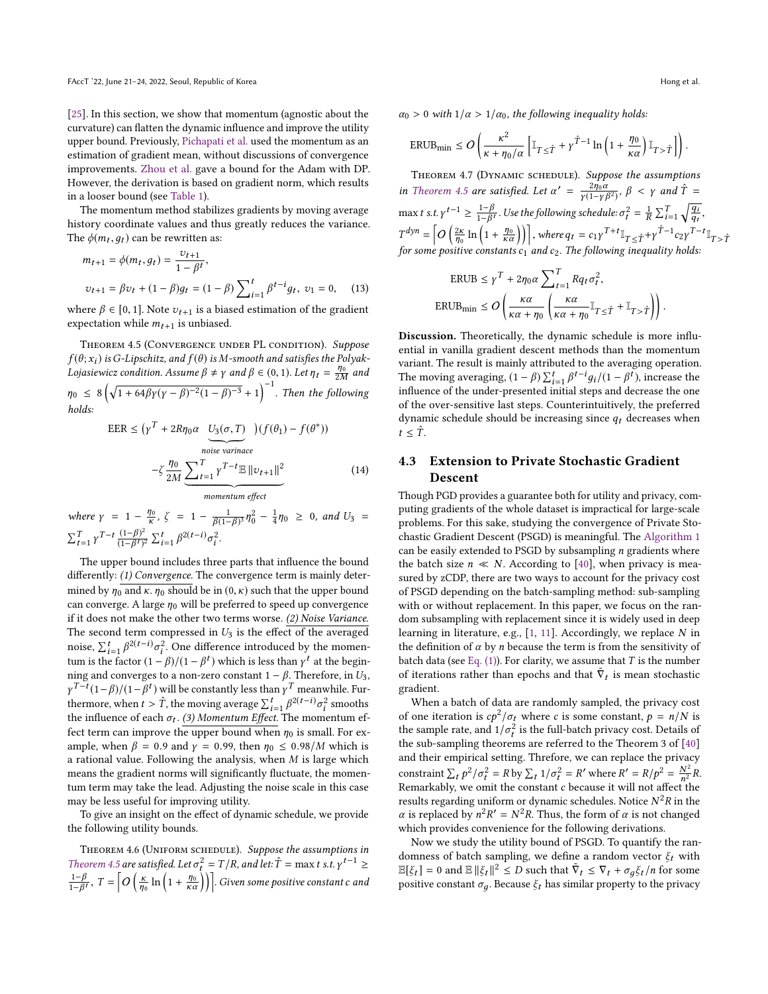[\[25\]](#page-9-15). In this section, we show that momentum (agnostic about the curvature) can flatten the dynamic influence and improve the utility upper bound. Previously, [Pichapati et al.](#page-9-12) used the momentum as an estimation of gradient mean, without discussions of convergence improvements. [Zhou et al.](#page-9-14) gave a bound for the Adam with DP. However, the derivation is based on gradient norm, which results in a looser bound (see [Table 1\)](#page-2-0).

The momentum method stabilizes gradients by moving average history coordinate values and thus greatly reduces the variance. The  $\phi(m_t, g_t)$  can be rewritten as:

$$
m_{t+1} = \phi(m_t, g_t) = \frac{v_{t+1}}{1 - \beta^t},
$$
  

$$
v_{t+1} = \beta v_t + (1 - \beta)g_t = (1 - \beta) \sum_{i=1}^t \beta^{t-i} g_t, v_1 = 0,
$$
 (13)

where  $\beta \in [0, 1]$ . Note  $v_{t+1}$  is a biased estimation of the gradient expectation while  $m_{t+1}$  is unbiased expectation while  $m_{t+1}$  is unbiased.

<span id="page-5-0"></span>THEOREM 4.5 (CONVERGENCE UNDER PL CONDITION). Suppose  $f(\theta; x_i)$  is G-Lipschitz, and  $f(\theta)$  is M-smooth and satisfies the Polyak-Lojasiewicz condition. Assume  $\beta \neq \gamma$  and  $\beta \in (0, 1)$ . Let  $\eta_t = \frac{\eta_0}{2M}$  and  $\frac{1}{2M}$  $\eta_0 \leq 8\left(\sqrt{1+64\beta\gamma(\gamma-\beta)^{-2}(1-\beta)^{-3}}+1\right)^{-1}$ . Then the following holds:

 $\overline{E}$ 

$$
EER \leq (\gamma^T + 2R\eta_0 \alpha \underbrace{U_3(\sigma, T)}_{noise \ variance}) (f(\theta_1) - f(\theta^*))
$$
  

$$
-\zeta \underbrace{\frac{\eta_0}{2M} \underbrace{\sum_{t=1}^T \gamma^{T-t} \mathbb{E} ||v_{t+1}||^2}_{momentum \, effect}}_{momentum \, effect} \tag{14}
$$

where  $\gamma = 1 - \frac{\eta_0}{\kappa}$ ,  $\zeta = 1 - \frac{1}{\beta(1-\beta)^3} \eta_0^2 - \frac{1}{4} \eta_0 \ge 0$ , and  $U_3 =$  $\sum_{t=1}^{T} \gamma^{T-t} \frac{(1-\beta)^2}{(1-\beta^t)}$  $\frac{(1-\beta)^2}{(1-\beta^t)^2} \sum_{i=1}^t \beta^{2(t-i)} \sigma_i^2$ .

The upper bound includes three parts that influence the bound differently: (1) Convergence. The convergence term is mainly determined by  $\eta_0$  and  $\kappa$ .  $\eta_0$  should be in  $(0, \kappa)$  such that the upper bound can converge. A large  $\eta_0$  will be preferred to speed up convergence if it does not make the other two terms worse. (2) Noise Variance. The second term compressed in  $U_3$  is the effect of the averaged noise,  $\sum_{i=1}^{t} \beta^{2(t-i)} \sigma_i^2$ . One difference introduced by the momen-<br>turn is the fector  $(1 - \beta)/(1 - \beta t)$  which is less than  $y^t$  at the begin noise,  $\sum_{i=1}^n p^{c_i t_i}$  or  $\sigma_i^2$ . One difference introduced by the momentum is the factor  $(1 - \beta)/(1 - \beta^t)$  which is less than  $\gamma^t$  at the beginning and converges to a non-zero constant  $1 - \beta$ . Therefore, in  $U_0$ ning and converges to a non-zero constant  $1 - \beta$ . Therefore, in  $U_3$ ,  $\gamma^{T-t} (1-\beta)/(1-\beta^t)$  will be constantly less than  $\gamma^T$  meanwhile. Fur-<br>thermore, when  $t > \hat{T}$  the maying system  $\sum_{i=1}^t \frac{\beta^2 (t-i)}{2}$  smooths thermore, when  $t > \hat{T}$ , the moving average  $\sum_{i=1}^{t} \beta^{2(t-i)} \sigma_i^2$  smooths the influence of each  $\sigma_t$ . (3) Momentum Effect. The momentum efthe influence of each  $\sigma_t$ . (3) Momentum Effect. The momentum ef-<br>fect term as improve the upper bound when n is small. For our fect term can improve the upper bound when  $\eta_0$  is small. For example, when  $\beta = 0.9$  and  $\gamma = 0.99$ , then  $\eta_0 \leq 0.98/M$  which is a rational value. Following the analysis, when  $M$  is large which means the gradient norms will significantly fluctuate, the momentum term may take the lead. Adjusting the noise scale in this case may be less useful for improving utility.

To give an insight on the effect of dynamic schedule, we provide the following utility bounds.

<span id="page-5-1"></span>THEOREM 4.6 (UNIFORM SCHEDULE). Suppose the assumptions in [Theorem 4.5](#page-5-0) are satisfied. Let  $\sigma_t^2 = T/R$ , and let:  $\hat{T} = \max t$  s.t.  $\gamma^{t-1} \ge 1-\beta$  $\frac{1-\beta}{1-\beta}$  $\frac{1-\beta}{1-\beta^t}$ ,  $T = \left[O\left(\frac{\kappa}{\eta_0}\right)\right]$  $\ln\left(1+\frac{\eta_0}{\kappa\alpha}\right)\big)\bigg].$  Given some positive constant c and  $\alpha_0 > 0$  with  $1/\alpha > 1/\alpha_0$ , the following inequality holds:

$$
\text{ERUB}_{\min} \leq O\left(\frac{\kappa^2}{\kappa + \eta_0/\alpha} \left[ \mathbb{I}_{T \leq \hat{T}} + \gamma^{\hat{T}-1} \ln\left(1 + \frac{\eta_0}{\kappa \alpha}\right) \mathbb{I}_{T > \hat{T}} \right] \right).
$$

<span id="page-5-2"></span>THEOREM 4.7 (DYNAMIC SCHEDULE). Suppose the assumptions in [Theorem 4.5](#page-5-0) are satisfied. Let  $\alpha' = \frac{2\eta_0 \alpha}{\gamma (1-\gamma)}$  $\frac{2\hat{\eta}_0 \alpha}{\gamma (1-\gamma \beta^2)}, \beta < \gamma$  and  $\hat{T} =$ max t s.t.  $\gamma^{t-1} \geq \frac{1-\beta}{1-\beta}$  $\frac{1-\beta}{1-\beta}$ . Use the following schedule:  $\sigma_t^2 = \frac{1}{R} \sum_{i=1}^T \sqrt{\frac{q_i}{q_i}}$  $R \stackrel{\text{def}}{=} \frac{q_t}{q_t}$  $T^{dyn} = \left[O\left(\frac{2\kappa}{\eta_0}\right)\right]$  $\ln\left(1+\frac{\eta_0}{\kappa\alpha}\right)\right]$ , where  $q_t = c_1\gamma^{T+t}\mathbb{I}_{T \leq \hat{T}} + \gamma^{\hat{T}-1}c_2\gamma^{T-t}\mathbb{I}_{T > \hat{T}}$ for some positive constants  $c_1$  and  $c_2$ . The following inequality holds:

$$
\text{ERUB} \le \gamma^T + 2\eta_0 \alpha \sum_{t=1}^T R q_t \sigma_t^2,
$$
\n
$$
\text{ERUB}_{\text{min}} \le O\left(\frac{\kappa \alpha}{\kappa \alpha + \eta_0} \left(\frac{\kappa \alpha}{\kappa \alpha + \eta_0} \mathbb{I}_{T \le \hat{T}} + \mathbb{I}_{T > \hat{T}}\right)\right)
$$

Discussion. Theoretically, the dynamic schedule is more influential in vanilla gradient descent methods than the momentum variant. The result is mainly attributed to the averaging operation. The moving averaging,  $(1 - \beta) \sum_{i=1}^{t} \beta^{t-i} g_i / (1 - \beta^t)$ , increase the influence of the under-presented initial steps and decrease the one influence of the under-presented initial steps and decrease the one of the over-sensitive last steps. Counterintuitively, the preferred dynamic schedule should be increasing since  $q_t$  decreases when  $t \leq \hat{T}$ .

# 4.3 Extension to Private Stochastic Gradient Descent

Though PGD provides a guarantee both for utility and privacy, computing gradients of the whole dataset is impractical for large-scale problems. For this sake, studying the convergence of Private Stochastic Gradient Descent (PSGD) is meaningful. The [Algorithm 1](#page-2-1) can be easily extended to PSGD by subsampling  $n$  gradients where the batch size  $n \ll N$ . According to [\[40\]](#page-9-3), when privacy is measured by zCDP, there are two ways to account for the privacy cost of PSGD depending on the batch-sampling method: sub-sampling with or without replacement. In this paper, we focus on the random subsampling with replacement since it is widely used in deep learning in literature, e.g.,  $[1, 11]$  $[1, 11]$  $[1, 11]$ . Accordingly, we replace N in the definition of  $\alpha$  by *n* because the term is from the sensitivity of batch data (see Eq.  $(1)$ ). For clarity, we assume that T is the number of iterations rather than epochs and that  $\tilde{\nabla}_t$  is mean stochastic gradient.

When a batch of data are randomly sampled, the privacy cost of one iteration is  $cp^2/\sigma_t$  where c is some constant,  $p = n/N$  is<br>the sample rate and  $1/\sigma^2$  is the full-batch privacy cost. Details of the sample rate, and  $1/\sigma_t^2$  is the full-batch privacy cost. Details of<br>the sub-sampling theorems are referred to the Theorem 3 of [40] t the sub-sampling theorems are referred to the Theorem 3 of [\[40\]](#page-9-3) and their empirical setting. Threfore, we can replace the privacy constraint  $\sum_t p^2/\sigma_t^2 = R$  by  $\sum_t 1/\sigma_t^2 = R'$  where  $R' = R/p^2 = \frac{N}{n}$ <br>Remarkably we omit the constant c because it will not affect For the property  $\frac{n}{2}$  of the constant c because it will not affect the results reproduce the constant c because it will not affect the results reproduce  $\frac{n^2 R}{2}$  in the  $\frac{1}{2}R$ .<br>the results regarding uniform or dynamic schedules. Notice  $N^2R$  in the  $\alpha$  is replaced by  $n^2P' = N^2P$ . Thus, the form of  $\alpha$  is not changed  $\alpha$  is replaced by  $n^2 R' = N^2 R$ . Thus, the form of  $\alpha$  is not changed<br>which provides convenience for the following derivations which provides convenience for the following derivations.

Now we study the utility bound of PSGD. To quantify the randomness of batch sampling, we define a random vector  $\xi_t$  with  $\mathbb{E}[\xi_t] = 0$  and  $\mathbb{E} ||\xi_t||^2 \leq D$  such that  $\tilde{\nabla}_t \leq \nabla_t + \sigma_g \xi_t/n$  for some negative constant  $\sigma$ . Because  $\xi$ , has similar property to the privacy positive constant  $\sigma_q$ . Because  $\xi_t$  has similar property to the privacy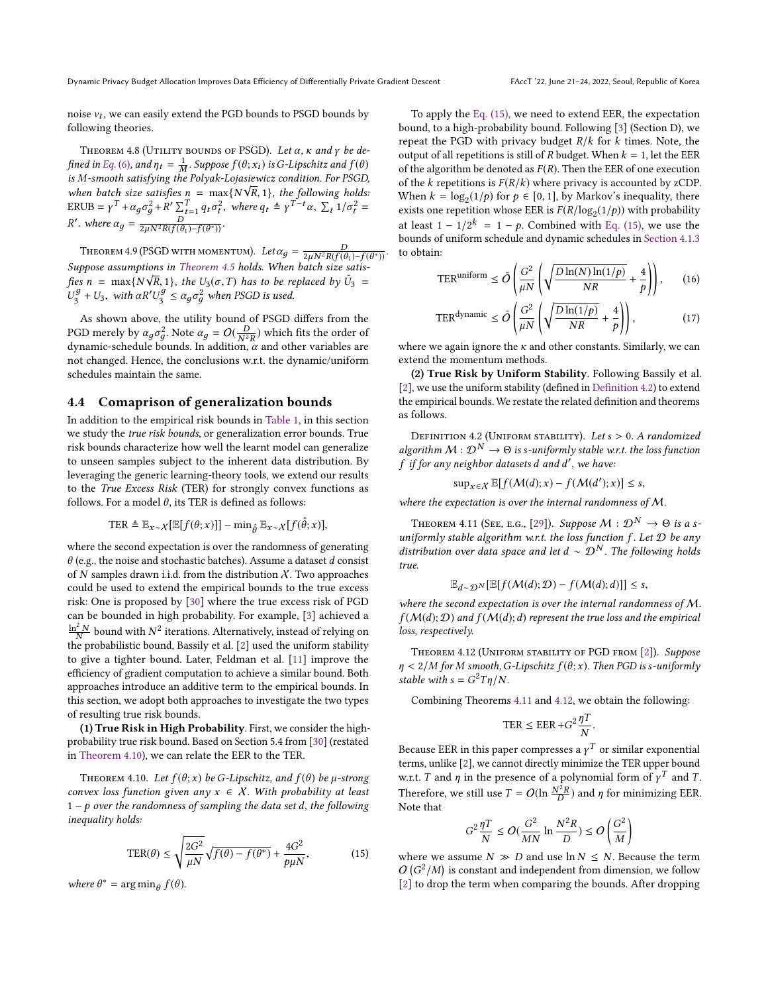noise  $v_t$ , we can easily extend the PGD bounds to PSGD bounds by following theories following theories.

<span id="page-6-5"></span>THEOREM 4.8 (UTILITY BOUNDS OF PSGD). Let  $\alpha$ ,  $\kappa$  and  $\gamma$  be de-fined in [Eq.](#page-3-2) (6), and  $\eta_t = \frac{1}{N}$ <br>is M-smooth satisfying the  $\frac{1}{M}$ . Suppose  $f(\theta; x_i)$  is G-Lipschitz and  $f(\theta)$ <br>he Polyak-Lojasiewicz condition. For PSGD is M-smooth satisfying the Polyak-Lojasiewicz condition. For PSGD,<br>when hatch size satisfies  $\mathbf{r} = \text{max}(M \sqrt{p}, 1)$ , the following halder *IS M-smooth satisfying the Potyak-Lojasiewicz condition. For PSGD,*<br>when batch size satisfies  $n = \max\{N\sqrt{R}, 1\}$ , the following holds:<br> $EPIIB = v^T + \alpha r^2 + P' \nabla^T - \alpha r^2$ , where  $\alpha = \frac{1}{2} v^{T-t} \alpha \nabla^T 1/r^2 =$ ERUB =  $\gamma^T + \alpha_g \sigma_g^2 + R' \sum_{t=1}^T q_t \sigma_t^2$ 2 <sup>2</sup><sub>t</sub>, where  $q_t \triangleq \gamma^{T-t} \alpha$ ,  $\sum_t 1/\sigma_t^2 =$ '. where  $\alpha_g = \frac{D}{2\mu N^2 R(f(\theta_1) - f(\theta^*))}$ .

<span id="page-6-6"></span>THEOREM 4.9 (PSGD WITH MOMENTUM). Let  $\alpha_g = \frac{D}{2\mu N^2 R(f(\theta_1) - f(\theta^*))}$ . Suppose assumptions in [Theorem 4.5](#page-5-0) holds. When batch size satisfies n = max{N $\sqrt{R}$ , 1}, the U<sub>3</sub>( $\sigma$ , T) has to be replaced by  $\tilde{U}_3 =$ <br> $U_3^g + U_2$  with  $\sigma P'U_3^g < \sigma$   $\sigma^2$  when PSCD is used  $U_3^g + U_3$ , with  $\alpha R'$  $U_3^g \leq \alpha_g \sigma_g^2$  when PSGD is used.

As shown above, the utility bound of PSGD differs from the PGD merely by  $\alpha_g \sigma_g^2$ . Note  $\alpha_g = O(\frac{D}{N^2R})$  which fits the order of dynamic school bounds. In addition,  $\alpha$  and other variables are PGD merely by  $\alpha_g \sigma_{\overline{g}}$ . Note  $\alpha_g = O(\frac{N^2 R}{N^2 R})$  which fits the order of dynamic-schedule bounds. In addition,  $\alpha$  and other variables are not changed. Hence, the conclusions writ the dynamic/uniform not changed. Hence, the conclusions w.r.t. the dynamic/uniform schedules maintain the same.

### 4.4 Comaprison of generalization bounds

In addition to the empirical risk bounds in [Table 1,](#page-2-0) in this section we study the true risk bounds, or generalization error bounds. True risk bounds characterize how well the learnt model can generalize to unseen samples subject to the inherent data distribution. By leveraging the generic learning-theory tools, we extend our results to the True Excess Risk (TER) for strongly convex functions as follows. For a model  $\theta$ , its TER is defined as follows:

$$
\text{TER} \triangleq \mathbb{E}_{x \sim \mathcal{X}}[\mathbb{E}[f(\theta; x)]] - \min_{\hat{\theta}} \mathbb{E}_{x \sim \mathcal{X}}[f(\hat{\theta}; x)],
$$

where the second expectation is over the randomness of generating  $\theta$  (e.g., the noise and stochastic batches). Assume a dataset d consist of  $N$  samples drawn i.i.d. from the distribution  $X$ . Two approaches could be used to extend the empirical bounds to the true excess risk: One is proposed by [\[30\]](#page-9-20) where the true excess risk of PGD can be bounded in high probability. For example, [\[3\]](#page-8-5) achieved a  $\frac{\ln^2 N}{N}$  bound with  $N^2$  iterations. Alternatively, instead of relying on the probability cound Bassily et al. [2] used the uniform stability the probabilistic bound. Bassily et al. [\[2\]](#page-8-18) used the uniform stability to give a tighter bound. Later, Feldman et al. [\[11\]](#page-8-13) improve the efficiency of gradient computation to achieve a similar bound. Both approaches introduce an additive term to the empirical bounds. In this section, we adopt both approaches to investigate the two types of resulting true risk bounds.

(1) True Risk in High Probability. First, we consider the highprobability true risk bound. Based on Section 5.4 from [\[30\]](#page-9-20) (restated in [Theorem 4.10\)](#page-6-0), we can relate the EER to the TER.

<span id="page-6-0"></span>THEOREM 4.10. Let  $f(\theta; x)$  be G-Lipschitz, and  $f(\theta)$  be  $\mu$ -strong convex loss function given any  $x \in X$ . With probability at least  $1-p$  over the randomness of sampling the data set d, the following inequality holds:

$$
\text{TER}(\theta) \le \sqrt{\frac{2G^2}{\mu N}} \sqrt{f(\theta) - f(\theta^*)} + \frac{4G^2}{p\mu N},\tag{15}
$$

where  $\theta^* = \arg \min_{\theta} f(\theta)$ .

To apply the [Eq. \(15\),](#page-6-1) we need to extend EER, the expectation bound, to a high-probability bound. Following [\[3\]](#page-8-5) (Section D), we repeat the PGD with privacy budget  $R/k$  for k times. Note, the output of all repetitions is still of R budget. When  $k = 1$ , let the EER of the algorithm be denoted as  $F(R)$ . Then the EER of one execution of the k repetitions is  $F(R/k)$  where privacy is accounted by zCDP. When  $k = \log_2(1/p)$  for  $p \in [0, 1]$ , by Markov's inequality, there exists one repetition whose EER is  $F(R/\log_2(1/p))$  with probability<br>of logat 1,  $1/2^k = 1$ , by Combined with Eq. (15), we use the at least  $1 - 1/2^k = 1 - p$ . Combined with [Eq. \(15\),](#page-6-1) we use the bounds of uniform schedule and dynamic schedules in Section 4.1.3 bounds of uniform schedule and dynamic schedules in [Section 4.1.3](#page-4-3) to obtain:

$$
\text{TER}^{\text{uniform}} \le \tilde{O}\left(\frac{G^2}{\mu N} \left(\sqrt{\frac{D\ln(N)\ln(1/p)}{NR}} + \frac{4}{p}\right)\right),\qquad(16)
$$

$$
\text{TER}^{\text{dynamic}} \le \tilde{O}\left(\frac{G^2}{\mu N} \left(\sqrt{\frac{D\ln(1/p)}{NR}} + \frac{4}{p}\right)\right),\tag{17}
$$

where we again ignore the  $\kappa$  and other constants. Similarly, we can extend the momentum methods.

(2) True Risk by Uniform Stability. Following Bassily et al. [\[2\]](#page-8-18), we use the uniform stability (defined in [Definition 4.2\)](#page-6-2) to extend the empirical bounds. We restate the related definition and theorems as follows.

<span id="page-6-2"></span>DEFINITION 4.2 (UNIFORM STABILITY). Let  $s > 0$ . A randomized algorithm  $M: \mathcal{D}^N \to \Theta$  is s-uniformly stable w.r.t. the loss function  $f$  if for any neighbor datasets  $d$  and  $d'$ , we have:

$$
\sup_{x \in \mathcal{X}} \mathbb{E}[f(\mathcal{M}(d); x) - f(\mathcal{M}(d'); x)] \leq s,
$$

where the expectation is over the internal randomness of  $M$ .

<span id="page-6-3"></span>THEOREM 4.11 (SEE, E.G., [\[29\]](#page-9-21)). Suppose  $M : \mathcal{D}^N \to \Theta$  is a suniformly stable algorithm w.r.t. the loss function f. Let  $\mathcal D$  be any<br>distribution over data space and let  $d \sim \mathcal D^N$ . The following holds distribution over data space and let d  $\sim \mathcal{D}^{N}$ . The following holds  $true$ true.

$$
\mathbb{E}_{d \sim \mathcal{D}^N}[\mathbb{E}[f(\mathcal{M}(d); \mathcal{D}) - f(\mathcal{M}(d); d)]] \le s,
$$

 $\mathbb{E}_{d\sim\mathcal{D}^N}[\mathbb{E}[f(\mathcal{M}(d); \mathcal{D}) - f(\mathcal{M}(d); d)]] \leq s$ , where the second expectation is over the internal randomness of M.  $f(M(d); D)$  and  $f(M(d); d)$  represent the true loss and the empirical loss, respectively.

<span id="page-6-4"></span>Theorem 4.12 (Uniform stability of PGD from [\[2\]](#page-8-18)). Suppose  $n < 2/M$  for M smooth, G-Lipschitz  $f(\theta; x)$ . Then PGD is s-uniformly stable with  $s = G^2 T \eta/N$ .

Combining Theorems [4.11](#page-6-3) and [4.12,](#page-6-4) we obtain the following:

$$
\text{TER} \leq \text{EER} + G^2 \frac{\eta T}{N}.
$$

Because EER in this paper compresses a  $\gamma^T$  or similar exponential<br>terms unlike [2], we cannot directly minimize the TER upper bound terms, unlike [\[2\]](#page-8-18), we cannot directly minimize the TER upper bound w.r.t. T and  $\eta$  in the presence of a polynomial form of  $\gamma^T$  and T.<br>Therefore are till use  $T = O(\ln N^2 R)$  and a formalizing FFD. Therefore, we still use  $T = O(\ln \frac{N^2}{D})$  $\frac{R}{r}$ ) and  $\eta$  for minimizing EER. Note that

$$
G^2 \frac{\eta T}{N} \leq O(\frac{G^2}{MN} \ln \frac{N^2 R}{D}) \leq O\left(\frac{G^2}{M}\right)
$$

<span id="page-6-1"></span>where we assume  $N \gg D$  and use  $\ln N \le N$ . Because the term  $O(G^2/M)$  is constant and independent from dimension we follow  $O(G^2/M)$  is constant and independent from dimension, we follow<br>[2] to drop the term when comparing the bounds. After dropping  $\overline{2}$ [\[2\]](#page-8-18) to drop the term when comparing the bounds. After dropping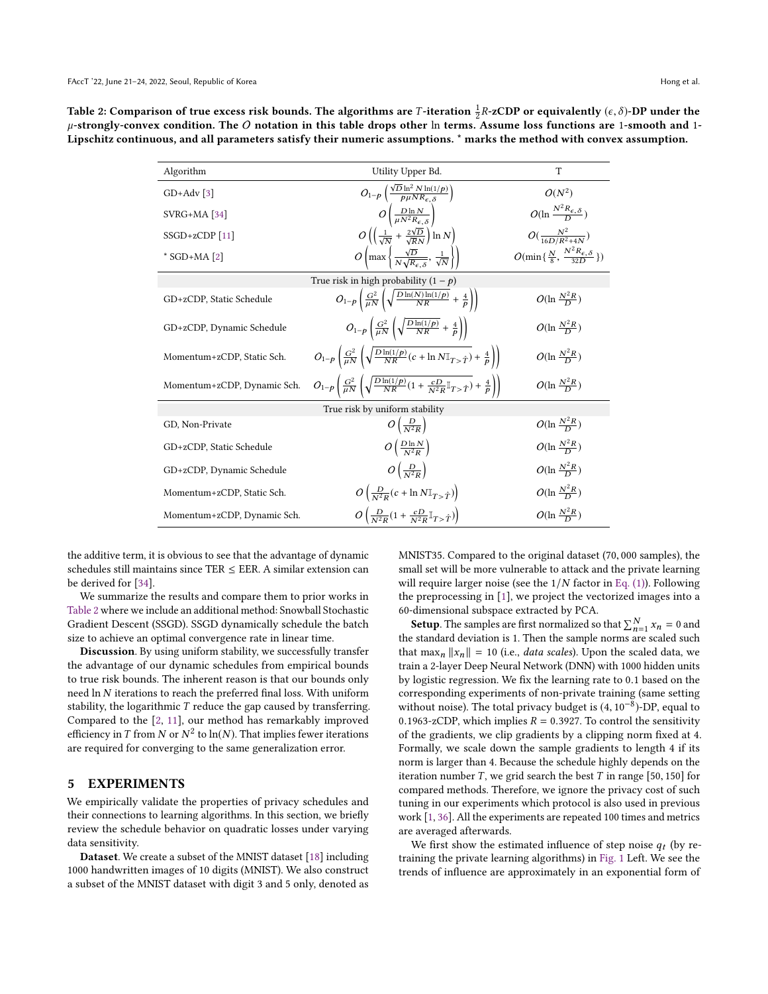<span id="page-7-0"></span>Table 2: Comparison of true excess risk bounds. The algorithms are *T*-iteration  $\frac{1}{2}R$ -zCDP or equivalently ( $\epsilon, \delta$ )-DP under the  $\mu$ -strongly-convex condition. The *O* notation in this table drops other in terms.  $\mu$ -strongly-convex condition. The O notation in this table drops other ln terms. Assume loss functions are 1-smooth and 1-Lipschitz continuous, and all parameters satisfy their numeric assumptions. \* marks the method with convex assumption.

| Algorithm                      | Utility Upper Bd.                                                                                                              | T                                                           |  |  |  |
|--------------------------------|--------------------------------------------------------------------------------------------------------------------------------|-------------------------------------------------------------|--|--|--|
| $GD+Adv$ [3]                   | $O_{1-p}\left(\frac{\sqrt{D}\ln^2 N\ln(1/p)}{p\mu N R_{\epsilon,\delta}}\right)$                                               | $O(N^2)$                                                    |  |  |  |
| $SVRG+MA [34]$                 | $O\left(\frac{D\ln N}{\mu N^2 R_{c} s}\right)$                                                                                 | $O(\ln \frac{N^2 R_{\epsilon,\delta}}{D})$                  |  |  |  |
| $SSGD + zCDP$ [11]             | $O\left(\left(\frac{1}{\sqrt{N}}+\frac{2\sqrt{D}}{\sqrt{R}N}\right)\ln N\right)$                                               | $O(\frac{N^2}{16D/R^2+4N})$                                 |  |  |  |
| $*$ SGD+MA [2]                 | $O\left(\max\left\{\frac{\sqrt{D}}{N\sqrt{R_{\epsilon\delta}}},\frac{1}{\sqrt{N}}\right\}\right)$                              | $O(\min\{\frac{N}{8},\frac{N^2R_{\epsilon,\delta}}{32D}\})$ |  |  |  |
|                                | True risk in high probability $(1 - p)$                                                                                        |                                                             |  |  |  |
| GD+zCDP, Static Schedule       | $O_{1-p}\left(\frac{G^2}{\mu N}\left(\sqrt{\frac{D\ln(N)\ln(1/p)}{NR}}+\frac{4}{p}\right)\right)$                              | $O(\ln \frac{N^2 R}{D})$                                    |  |  |  |
| GD+zCDP, Dynamic Schedule      | $O_{1-p}\left(\frac{G^2}{\mu N}\left(\sqrt{\frac{D\ln(1/p)}{NR}}+\frac{4}{p}\right)\right)$                                    | $O(\ln \frac{N^2 R}{D})$                                    |  |  |  |
| Momentum+zCDP, Static Sch.     | $O_{1-p}\left(\frac{G^2}{\mu N}\left(\sqrt{\frac{D\ln(1/p)}{NR}(c+\ln N\mathbb{I}_{T>Y})}+\frac{4}{p}\right)\right)$           | $O(\ln \frac{N^2 R}{D})$                                    |  |  |  |
| Momentum+zCDP, Dynamic Sch.    | $O_{1-p}\left(\frac{G^2}{\mu N}\left(\sqrt{\frac{D\ln(1/p)}{NR}(1+\frac{cD}{N^2R}\mathbb{I}_{T>Y})}+\frac{4}{p}\right)\right)$ | $O(\ln \frac{N^2 R}{D})$                                    |  |  |  |
| True risk by uniform stability |                                                                                                                                |                                                             |  |  |  |
| GD, Non-Private                | $O\left(\frac{D}{N^2R}\right)$                                                                                                 | $O(\ln \frac{N^2 R}{D})$                                    |  |  |  |
| GD+zCDP, Static Schedule       | $O\left(\frac{D\ln N}{N^2R}\right)$                                                                                            | $O(\ln \frac{N^2 R}{D})$                                    |  |  |  |
| GD+zCDP, Dynamic Schedule      | $O\left(\frac{D}{N^2R}\right)$                                                                                                 | $O(\ln \frac{N^2 R}{D})$                                    |  |  |  |
| Momentum+zCDP, Static Sch.     | $O\left(\frac{D}{N^2R}(c + \ln N \mathbb{I}_{T > \hat{T}})\right)$                                                             | $O(\ln \frac{N^2 R}{D})$                                    |  |  |  |
| Momentum+zCDP, Dynamic Sch.    | $O\left(\frac{D}{N^2R}(1+\frac{cD}{N^2R}\mathbb{I}_{T>\hat{T}})\right)$                                                        | $O(\ln \frac{N^2 R}{D})$                                    |  |  |  |

the additive term, it is obvious to see that the advantage of dynamic schedules still maintains since TER  $\leq$  EER. A similar extension can be derived for [\[34\]](#page-9-2).

We summarize the results and compare them to prior works in [Table 2](#page-7-0) where we include an additional method: Snowball Stochastic Gradient Descent (SSGD). SSGD dynamically schedule the batch size to achieve an optimal convergence rate in linear time.

Discussion. By using uniform stability, we successfully transfer the advantage of our dynamic schedules from empirical bounds to true risk bounds. The inherent reason is that our bounds only need ln N iterations to reach the preferred final loss. With uniform stability, the logarithmic T reduce the gap caused by transferring. Compared to the [\[2,](#page-8-18) [11\]](#page-8-13), our method has remarkably improved efficiency in T from N or  $N^2$  to ln(N). That implies fewer iterations<br>are required for converging to the same generalization error are required for converging to the same generalization error.

### 5 EXPERIMENTS

We empirically validate the properties of privacy schedules and their connections to learning algorithms. In this section, we briefly review the schedule behavior on quadratic losses under varying data sensitivity.

Dataset. We create a subset of the MNIST dataset [\[18\]](#page-8-19) including 1000 handwritten images of 10 digits (MNIST). We also construct a subset of the MNIST dataset with digit 3 and 5 only, denoted as MNIST35. Compared to the original dataset (70, <sup>000</sup> samples), the small set will be more vulnerable to attack and the private learning will require larger noise (see the  $1/N$  factor in [Eq. \(1\)\)](#page-2-3). Following the preprocessing in [\[1\]](#page-8-4), we project the vectorized images into a 60-dimensional subspace extracted by PCA.

**Setup**. The samples are first normalized so that  $\sum_{n=1}^{N} x_n = 0$  and standard deviation is 1. Then the sample norms are scaled such the standard deviation is 1. Then the sample norms are scaled such that  $\max_{n} ||x_n|| = 10$  (i.e., *data scales*). Upon the scaled data, we train a 2-layer Deep Neural Network (DNN) with 1000 bidden units train a 2-layer Deep Neural Network (DNN) with 1000 hidden units by logistic regression. We fix the learning rate to <sup>0</sup>.<sup>1</sup> based on the corresponding experiments of non-private training (same setting without noise). The total privacy budget is  $(4, 10^{-8})$ -DP, equal to 0.1963-zCDP, which implies  $R = 0.3927$ . To control the sensitivity 0.1963-zCDP, which implies  $R = 0.3927$ . To control the sensitivity of the gradients, we clip gradients by a clipping norm fixed at 4. Formally, we scale down the sample gradients to length 4 if its norm is larger than 4. Because the schedule highly depends on the iteration number T, we grid search the best T in range [50, 150] for compared methods. Therefore, we ignore the privacy cost of such tuning in our experiments which protocol is also used in previous work [\[1,](#page-8-4) [36\]](#page-9-8). All the experiments are repeated 100 times and metrics are averaged afterwards.

We first show the estimated influence of step noise  $q_t$  (by re-<br>ining the private learning algorithme) in Fig. 1.1 eft. We see the training the private learning algorithms) in [Fig. 1](#page-8-20) Left. We see the trends of influence are approximately in an exponential form of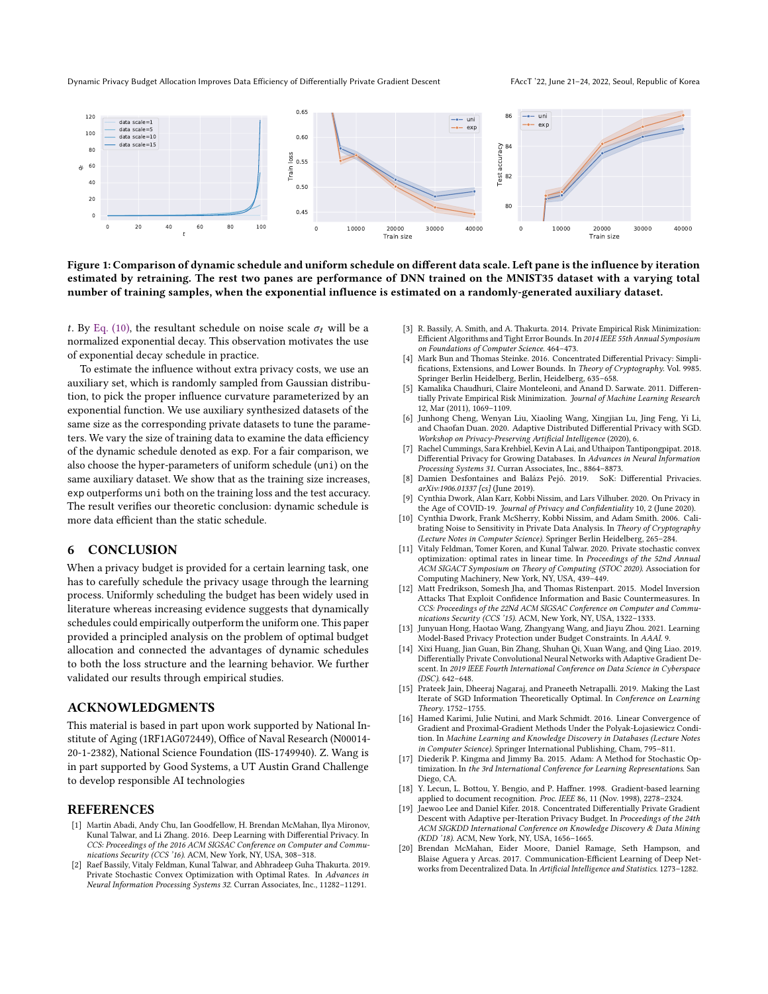<span id="page-8-20"></span>

Figure 1: Comparison of dynamic schedule and uniform schedule on different data scale. Left pane is the influence by iteration estimated by retraining. The rest two panes are performance of DNN trained on the MNIST35 dataset with a varying total number of training samples, when the exponential influence is estimated on a randomly-generated auxiliary dataset.

t. By [Eq. \(10\),](#page-4-0) the resultant schedule on noise scale  $\sigma_t$  will be a normalized exponential decay. This observation motivates the use of exponential decay schedule in practice.

To estimate the influence without extra privacy costs, we use an auxiliary set, which is randomly sampled from Gaussian distribution, to pick the proper influence curvature parameterized by an exponential function. We use auxiliary synthesized datasets of the same size as the corresponding private datasets to tune the parameters. We vary the size of training data to examine the data efficiency of the dynamic schedule denoted as exp. For a fair comparison, we also choose the hyper-parameters of uniform schedule (uni) on the same auxiliary dataset. We show that as the training size increases, exp outperforms uni both on the training loss and the test accuracy. The result verifies our theoretic conclusion: dynamic schedule is more data efficient than the static schedule.

### 6 CONCLUSION

When a privacy budget is provided for a certain learning task, one has to carefully schedule the privacy usage through the learning process. Uniformly scheduling the budget has been widely used in literature whereas increasing evidence suggests that dynamically schedules could empirically outperform the uniform one. This paper provided a principled analysis on the problem of optimal budget allocation and connected the advantages of dynamic schedules to both the loss structure and the learning behavior. We further validated our results through empirical studies.

# ACKNOWLEDGMENTS

This material is based in part upon work supported by National Institute of Aging (1RF1AG072449), Office of Naval Research (N00014- 20-1-2382), National Science Foundation (IIS-1749940). Z. Wang is in part supported by Good Systems, a UT Austin Grand Challenge to develop responsible AI technologies

### REFERENCES

- <span id="page-8-4"></span>[1] Martin Abadi, Andy Chu, Ian Goodfellow, H. Brendan McMahan, Ilya Mironov, Kunal Talwar, and Li Zhang. 2016. Deep Learning with Differential Privacy. In CCS: Proceedings of the 2016 ACM SIGSAC Conference on Computer and Communications Security (CCS '16). ACM, New York, NY, USA, 308–318.
- <span id="page-8-18"></span>[2] Raef Bassily, Vitaly Feldman, Kunal Talwar, and Abhradeep Guha Thakurta. 2019. Private Stochastic Convex Optimization with Optimal Rates. In Advances in Neural Information Processing Systems 32. Curran Associates, Inc., 11282–11291.
- <span id="page-8-5"></span>[3] R. Bassily, A. Smith, and A. Thakurta. 2014. Private Empirical Risk Minimization: Efficient Algorithms and Tight Error Bounds. In 2014 IEEE 55th Annual Symposium on Foundations of Computer Science. 464–473.
- <span id="page-8-16"></span>[4] Mark Bun and Thomas Steinke. 2016. Concentrated Differential Privacy: Simplifications, Extensions, and Lower Bounds. In Theory of Cryptography. Vol. 9985. Springer Berlin Heidelberg, Berlin, Heidelberg, 635–658.
- <span id="page-8-10"></span>[5] Kamalika Chaudhuri, Claire Monteleoni, and Anand D. Sarwate. 2011. Differentially Private Empirical Risk Minimization. Journal of Machine Learning Research 12, Mar (2011), 1069–1109.
- <span id="page-8-8"></span>[6] Junhong Cheng, Wenyan Liu, Xiaoling Wang, Xingjian Lu, Jing Feng, Yi Li, and Chaofan Duan. 2020. Adaptive Distributed Differential Privacy with SGD. Workshop on Privacy-Preserving Artificial Intelligence (2020), 6.
- <span id="page-8-15"></span>[7] Rachel Cummings, Sara Krehbiel, Kevin A Lai, and Uthaipon Tantipongpipat. 2018. Differential Privacy for Growing Databases. In Advances in Neural Information Processing Systems 31. Curran Associates, Inc., 8864-8873.<br>Damien Desfontaines and Balázs Peió. 2019. SoK: Differential Privacies.
- <span id="page-8-14"></span>[8] Damien Desfontaines and Balázs Pejó. 2019. arXiv:1906.01337 [cs] (June 2019).
- <span id="page-8-0"></span>[9] Cynthia Dwork, Alan Karr, Kobbi Nissim, and Lars Vilhuber. 2020. On Privacy in the Age of COVID-19. Journal of Privacy and Confidentiality 10, 2 (June 2020).
- <span id="page-8-2"></span>[10] Cynthia Dwork, Frank McSherry, Kobbi Nissim, and Adam Smith. 2006. Calibrating Noise to Sensitivity in Private Data Analysis. In Theory of Cryptography (Lecture Notes in Computer Science). Springer Berlin Heidelberg, 265–284.
- <span id="page-8-13"></span>[11] Vitaly Feldman, Tomer Koren, and Kunal Talwar. 2020. Private stochastic convex optimization: optimal rates in linear time. In Proceedings of the 52nd Annual ACM SIGACT Symposium on Theory of Computing (STOC 2020). Association for Computing Machinery, New York, NY, USA, 439–449.
- <span id="page-8-1"></span>[12] Matt Fredrikson, Somesh Jha, and Thomas Ristenpart. 2015. Model Inversion Attacks That Exploit Confidence Information and Basic Countermeasures. In CCS: Proceedings of the 22Nd ACM SIGSAC Conference on Computer and Communications Security (CCS '15). ACM, New York, NY, USA, 1322–1333.
- <span id="page-8-7"></span>[13] Junyuan Hong, Haotao Wang, Zhangyang Wang, and Jiayu Zhou. 2021. Learning Model-Based Privacy Protection under Budget Constraints. In AAAI. 9.
- <span id="page-8-12"></span>[14] Xixi Huang, Jian Guan, Bin Zhang, Shuhan Qi, Xuan Wang, and Qing Liao. 2019. Differentially Private Convolutional Neural Networks with Adaptive Gradient Descent. In 2019 IEEE Fourth International Conference on Data Science in Cyberspace (DSC). 642–648.
- <span id="page-8-3"></span>[15] Prateek Jain, Dheeraj Nagaraj, and Praneeth Netrapalli. 2019. Making the Last Iterate of SGD Information Theoretically Optimal. In Conference on Learning Theory. 1752–1755.
- <span id="page-8-17"></span>[16] Hamed Karimi, Julie Nutini, and Mark Schmidt. 2016. Linear Convergence of Gradient and Proximal-Gradient Methods Under the Polyak-Łojasiewicz Condition. In Machine Learning and Knowledge Discovery in Databases (Lecture Notes in Computer Science). Springer International Publishing, Cham, 795–811.
- <span id="page-8-11"></span>[17] Diederik P. Kingma and Jimmy Ba. 2015. Adam: A Method for Stochastic Optimization. In the 3rd International Conference for Learning Representations. San Diego, CA.
- <span id="page-8-19"></span>[18] Y. Lecun, L. Bottou, Y. Bengio, and P. Haffner. 1998. Gradient-based learning applied to document recognition. Proc. IEEE 86, 11 (Nov. 1998), 2278–2324.
- <span id="page-8-6"></span>[19] Jaewoo Lee and Daniel Kifer. 2018. Concentrated Differentially Private Gradient Descent with Adaptive per-Iteration Privacy Budget. In Proceedings of the 24th ACM SIGKDD International Conference on Knowledge Discovery & Data Mining (KDD '18). ACM, New York, NY, USA, 1656–1665.
- <span id="page-8-9"></span>[20] Brendan McMahan, Eider Moore, Daniel Ramage, Seth Hampson, and Blaise Aguera y Arcas. 2017. Communication-Efficient Learning of Deep Networks from Decentralized Data. In Artificial Intelligence and Statistics. 1273–1282.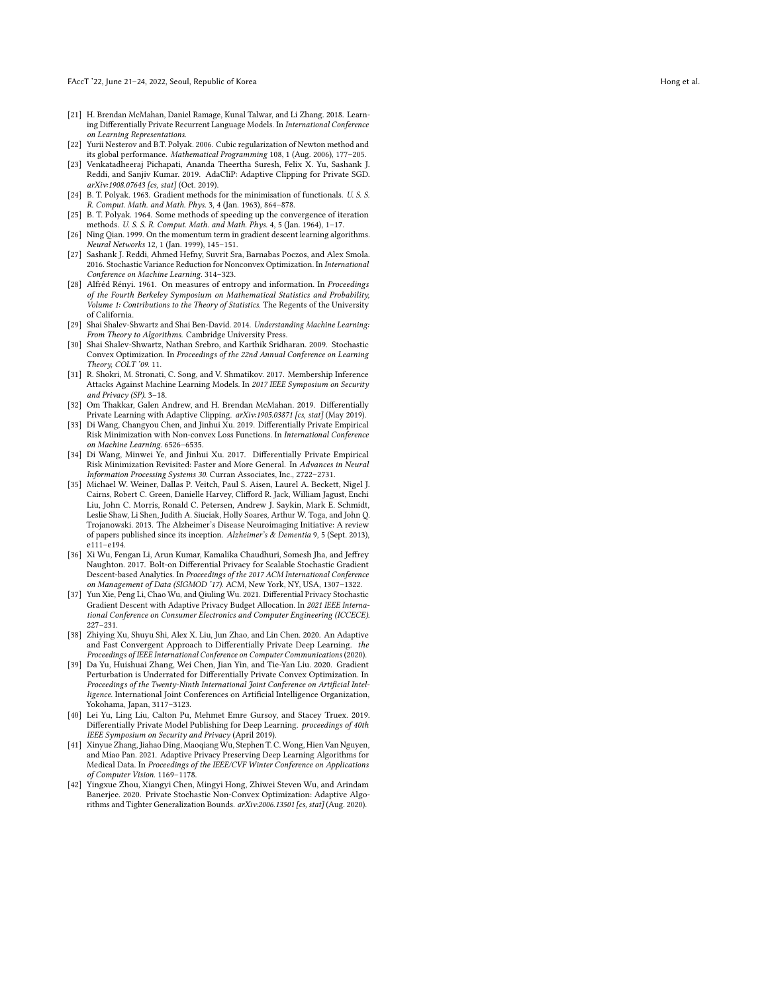- <span id="page-9-5"></span>[21] H. Brendan McMahan, Daniel Ramage, Kunal Talwar, and Li Zhang. 2018. Learning Differentially Private Recurrent Language Models. In International Conference on Learning Representations .
- <span id="page-9-18"></span>[22] Yurii Nesterov and B.T. Polyak. 2006. Cubic regularization of Newton method and its global performance. Mathematical Programming 108, 1 (Aug. 2006), 177–205.
- <span id="page-9-12"></span>[23] Venkatadheeraj Pichapati, Ananda Theertha Suresh, Felix X. Yu, Sashank J. Reddi, and Sanjiv Kumar. 2019. AdaCliP: Adaptive Clipping for Private SGD. arXiv:1908.07643 [cs, stat] (Oct. 2019).
- <span id="page-9-7"></span>[24] B. T. Polyak. 1963. Gradient methods for the minimisation of functionals. U. S. S. R. Comput. Math. and Math. Phys. 3, 4 (Jan. 1963), 864–878.
- <span id="page-9-15"></span>[25] B. T. Polyak. 1964. Some methods of speeding up the convergence of iteration methods. U. S. S. R. Comput. Math. and Math. Phys. 4, 5 (Jan. 1964), 1–17.
- <span id="page-9-9"></span>[26] Ning Qian. 1999. On the momentum term in gradient descent learning algorithms. Neural Networks 12, 1 (Jan. 1999), 145–151.
- <span id="page-9-19"></span>[27] Sashank J. Reddi, Ahmed Hefny, Suvrit Sra, Barnabas Poczos, and Alex Smola. 2016. Stochastic Variance Reduction for Nonconvex Optimization. In International Conference on Machine Learning. 314–323.
- <span id="page-9-17"></span>[28] Alfréd Rényi. 1961. On measures of entropy and information. In Proceedings of the Fourth Berkeley Symposium on Mathematical Statistics and Probability, Volume 1: Contributions to the Theory of Statistics. The Regents of the University of California.
- <span id="page-9-21"></span>[29] Shai Shalev-Shwartz and Shai Ben-David. 2014. Understanding Machine Learning: From Theory to Algorithms. Cambridge University Press.
- <span id="page-9-20"></span>[30] Shai Shalev-Shwartz, Nathan Srebro, and Karthik Sridharan. 2009. Stochastic Convex Optimization. In Proceedings of the 22nd Annual Conference on Learning Theory, COLT '09. 11.
- <span id="page-9-0"></span>[31] R. Shokri, M. Stronati, C. Song, and V. Shmatikov. 2017. Membership Inference Attacks Against Machine Learning Models. In 2017 IEEE Symposium on Security and Privacy (SP). 3–18.
- <span id="page-9-13"></span>[32] Om Thakkar, Galen Andrew, and H. Brendan McMahan. 2019. Differentially Private Learning with Adaptive Clipping. arXiv:1905.03871 [cs, stat] (May 2019).
- <span id="page-9-1"></span>[33] Di Wang, Changyou Chen, and Jinhui Xu. 2019. Differentially Private Empirical Risk Minimization with Non-convex Loss Functions. In International Conference on Machine Learning. 6526–6535.
- <span id="page-9-2"></span>[34] Di Wang, Minwei Ye, and Jinhui Xu. 2017. Differentially Private Empirical Risk Minimization Revisited: Faster and More General. In Advances in Neural Information Processing Systems 30. Curran Associates, Inc., 2722–2731.
- <span id="page-9-6"></span>[35] Michael W. Weiner, Dallas P. Veitch, Paul S. Aisen, Laurel A. Beckett, Nigel J. Cairns, Robert C. Green, Danielle Harvey, Clifford R. Jack, William Jagust, Enchi Liu, John C. Morris, Ronald C. Petersen, Andrew J. Saykin, Mark E. Schmidt, Leslie Shaw, Li Shen, Judith A. Siuciak, Holly Soares, Arthur W. Toga, and John Q. Trojanowski. 2013. The Alzheimer's Disease Neuroimaging Initiative: A review of papers published since its inception. Alzheimer's & Dementia 9, 5 (Sept. 2013), e111–e194.
- <span id="page-9-8"></span>[36] Xi Wu, Fengan Li, Arun Kumar, Kamalika Chaudhuri, Somesh Jha, and Jeffrey Naughton. 2017. Bolt-on Differential Privacy for Scalable Stochastic Gradient Descent-based Analytics. In Proceedings of the 2017 ACM International Conference on Management of Data (SIGMOD '17). ACM, New York, NY, USA, 1307–1322.
- <span id="page-9-10"></span>[37] Yun Xie, Peng Li, Chao Wu, and Qiuling Wu. 2021. Differential Privacy Stochastic Gradient Descent with Adaptive Privacy Budget Allocation. In 2021 IEEE International Conference on Consumer Electronics and Computer Engineering (ICCECE). 227–231.
- <span id="page-9-4"></span>[38] Zhiying Xu, Shuyu Shi, Alex X. Liu, Jun Zhao, and Lin Chen. 2020. An Adaptive and Fast Convergent Approach to Differentially Private Deep Learning. the Proceedings of IEEE International Conference on Computer Communications (2020).
- <span id="page-9-16"></span>[39] Da Yu, Huishuai Zhang, Wei Chen, Jian Yin, and Tie-Yan Liu. 2020. Gradient Perturbation is Underrated for Differentially Private Convex Optimization. In Proceedings of the Twenty-Ninth International Joint Conference on Artificial Intelligence. International Joint Conferences on Artificial Intelligence Organization, Yokohama, Japan, 3117–3123.
- <span id="page-9-3"></span>[40] Lei Yu, Ling Liu, Calton Pu, Mehmet Emre Gursoy, and Stacey Truex. 2019. Differentially Private Model Publishing for Deep Learning. proceedings of 40th IEEE Symposium on Security and Privacy (April 2019).
- <span id="page-9-11"></span>[41] Xinyue Zhang, Jiahao Ding, Maoqiang Wu, Stephen T. C. Wong, Hien Van Nguyen, and Miao Pan. 2021. Adaptive Privacy Preserving Deep Learning Algorithms for Medical Data. In Proceedings of the IEEE/CVF Winter Conference on Applications of Computer Vision. 1169–1178.
- <span id="page-9-14"></span>[42] Yingxue Zhou, Xiangyi Chen, Mingyi Hong, Zhiwei Steven Wu, and Arindam Banerjee. 2020. Private Stochastic Non-Convex Optimization: Adaptive Algorithms and Tighter Generalization Bounds. arXiv:2006.13501 [cs, stat] (Aug. 2020).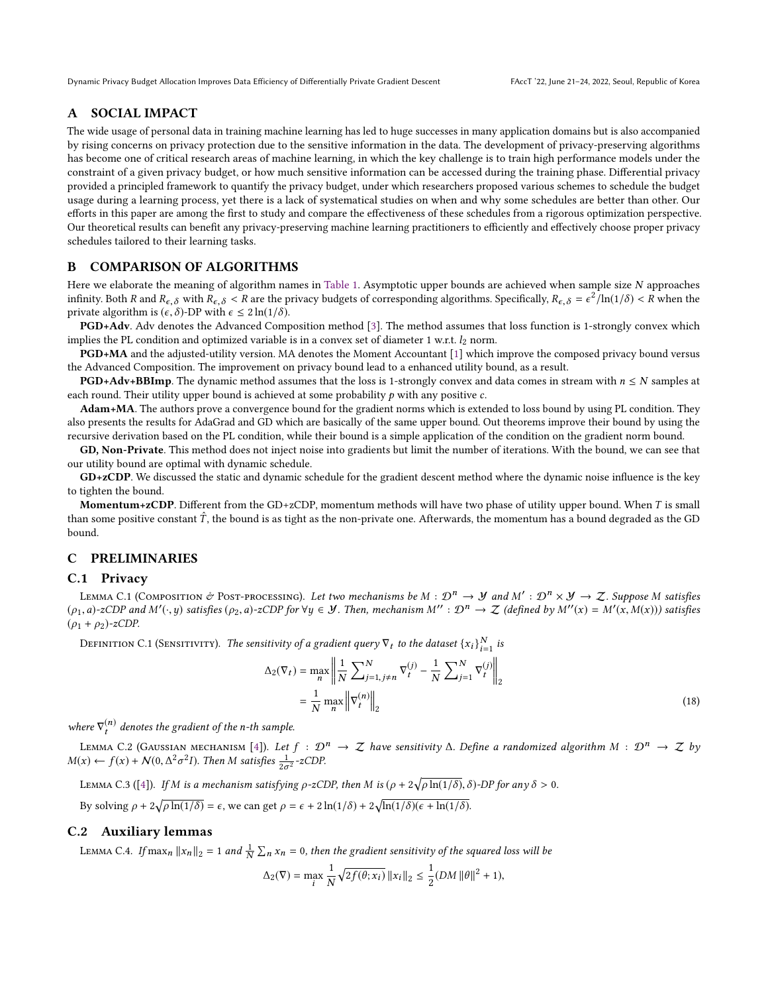# A SOCIAL IMPACT

The wide usage of personal data in training machine learning has led to huge successes in many application domains but is also accompanied by rising concerns on privacy protection due to the sensitive information in the data. The development of privacy-preserving algorithms has become one of critical research areas of machine learning, in which the key challenge is to train high performance models under the constraint of a given privacy budget, or how much sensitive information can be accessed during the training phase. Differential privacy provided a principled framework to quantify the privacy budget, under which researchers proposed various schemes to schedule the budget usage during a learning process, yet there is a lack of systematical studies on when and why some schedules are better than other. Our efforts in this paper are among the first to study and compare the effectiveness of these schedules from a rigorous optimization perspective. Our theoretical results can benefit any privacy-preserving machine learning practitioners to efficiently and effectively choose proper privacy schedules tailored to their learning tasks.

### <span id="page-10-0"></span>B COMPARISON OF ALGORITHMS

Here we elaborate the meaning of algorithm names in [Table 1.](#page-2-0) Asymptotic upper bounds are achieved when sample size N approaches infinity. Both R and  $R_{\epsilon,\delta}$  with  $R_{\epsilon,\delta} < R$  are the privacy budgets of corresponding algorithms. Specifically,  $R_{\epsilon,\delta} = \epsilon^2 / \ln(1/\delta) < R$  when the private algorithm is  $(\epsilon, \delta)$ -DP with  $\epsilon \leq 2 \ln(1/\delta)$ .

PGD+Adv. Adv denotes the Advanced Composition method [\[3\]](#page-8-5). The method assumes that loss function is 1-strongly convex which implies the PL condition and optimized variable is in a convex set of diameter 1 w.r.t.  $l_2$  norm.

PGD+MA and the adjusted-utility version. MA denotes the Moment Accountant [\[1\]](#page-8-4) which improve the composed privacy bound versus the Advanced Composition. The improvement on privacy bound lead to a enhanced utility bound, as a result.

**PGD+Adv+BBImp**. The dynamic method assumes that the loss is 1-strongly convex and data comes in stream with  $n \leq N$  samples at each round. Their utility upper bound is achieved at some probability  $p$  with any positive  $c$ .

Adam+MA. The authors prove a convergence bound for the gradient norms which is extended to loss bound by using PL condition. They also presents the results for AdaGrad and GD which are basically of the same upper bound. Out theorems improve their bound by using the recursive derivation based on the PL condition, while their bound is a simple application of the condition on the gradient norm bound.

GD, Non-Private. This method does not inject noise into gradients but limit the number of iterations. With the bound, we can see that our utility bound are optimal with dynamic schedule.

GD+zCDP. We discussed the static and dynamic schedule for the gradient descent method where the dynamic noise influence is the key to tighten the bound.

Momentum+zCDP. Different from the GD+zCDP, momentum methods will have two phase of utility upper bound. When  $T$  is small than some positive constant  $\hat{T}$ , the bound is as tight as the non-private one. Afterwards, the momentum has a bound degraded as the GD bound.

# C PRELIMINARIES

### C.1 Privacy

<span id="page-10-1"></span>LEMMA C.1 (COMPOSITION & POST-PROCESSING). Let two mechanisms be  $M : \mathcal{D}^n \to \mathcal{Y}$  and  $M' : \mathcal{D}^n \times \mathcal{Y} \to \mathcal{Z}$ . Suppose M satisfies  $\Omega_{\Omega}$  and  $M'(\Omega)$  satisfies  $(\rho_1, a)$ -zCDP and M' $(\cdot, y)$  satisfies  $(\rho_2, a)$ -zCDP for  $\forall y \in \mathcal{Y}$ . Then, mechanism  $M'' : \mathcal{D}^n \to \mathcal{Z}$  (defined by  $M''(x) = M'(x, M(x))$ ) satisfies  $(\rho_1 + \rho_2)$ -zCDP.

DEFINITION C.1 (SENSITIVITY). The sensitivity of a gradient query  $\nabla_t$  to the dataset  $\{x_i\}_{i=1}^N$  is

<span id="page-10-4"></span>
$$
\Delta_2(\nabla_t) = \max_n \left\| \frac{1}{N} \sum_{j=1, j \neq n}^N \nabla_t^{(j)} - \frac{1}{N} \sum_{j=1}^N \nabla_t^{(j)} \right\|_2
$$
\n
$$
= \frac{1}{N} \max_n \left\| \nabla_t^{(n)} \right\|_2
$$
\n(18)

where  $\nabla_t^{(n)}$  denotes the gradient of the n-th sample.

<span id="page-10-2"></span>LEMMA C.2 (GAUSSIAN MECHANISM [\[4\]](#page-8-16)). Let  $f : \mathcal{D}^n \to \mathcal{Z}$  have sensitivity  $\Delta$ . Define a randomized algorithm  $M : \mathcal{D}^n \to \mathcal{Z}$  by  $M(x) \leftarrow f(x) + \mathcal{N}(0, \Delta^2)$ <sup>2</sup>I). Then M satisfies  $\frac{1}{2\sigma^2}$ -zCDP.

<span id="page-10-3"></span>LEMMA C.3 ([\[4\]](#page-8-16)). If M is a mechanism satisfying  $\rho$ -zCDP, then M is  $(\rho + 2\sqrt{\rho \ln(1/\delta)}, \delta)$ -DP for any  $\delta > 0$ .

By solving  $\rho + 2\sqrt{\rho \ln(1/\delta)} = \epsilon$ , we can get  $\rho = \epsilon + 2\ln(1/\delta) + 2\sqrt{\ln(1/\delta)(\epsilon + \ln(1/\delta))}$ .

### C.2 Auxiliary lemmas

LEMMA C.4. If  $\max_n ||x_n||_2 = 1$  and  $\frac{1}{N} \sum_n x_n = 0$ , then the gradient sensitivity of the squared loss will be

$$
\Delta_2(\nabla) = \max_{i} \frac{1}{N} \sqrt{2f(\theta; x_i)} \|x_i\|_2 \le \frac{1}{2} (DM \| \theta \|^{2} + 1),
$$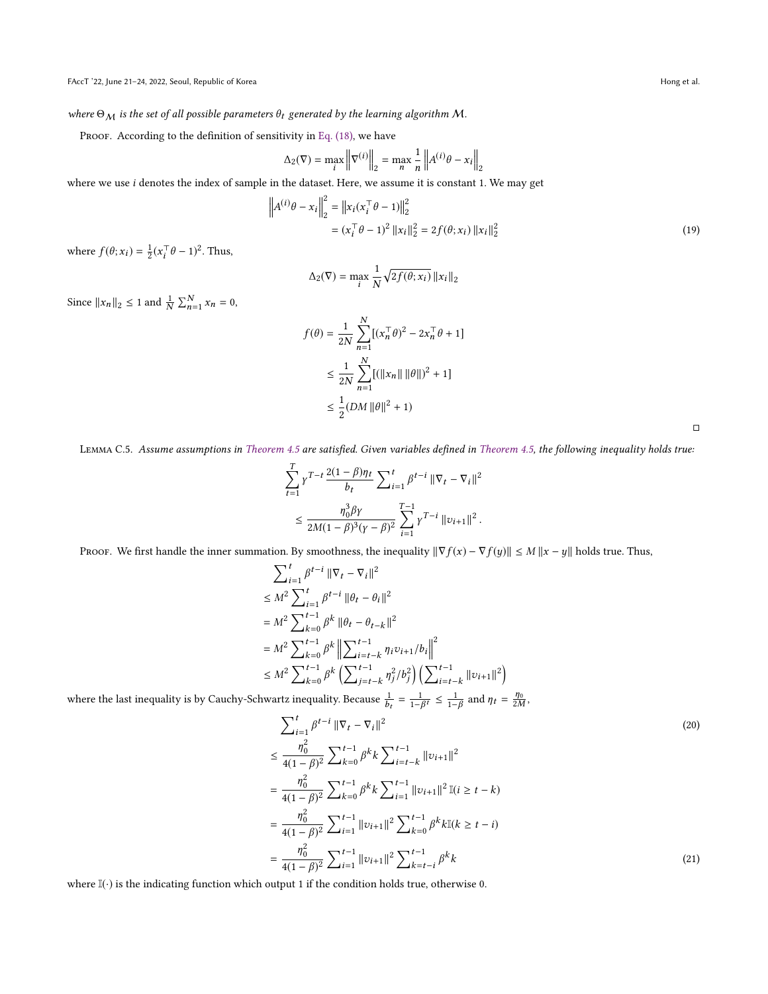where  $\Theta_M$  is the set of all possible parameters  $\theta_t$  generated by the learning algorithm M.

PROOF. According to the definition of sensitivity in [Eq. \(18\),](#page-10-4) we have

$$
\Delta_2(\nabla) = \max_i \left\| \nabla^{(i)} \right\|_2 = \max_n \frac{1}{n} \left\| A^{(i)} \theta - x_i \right\|_2
$$

where we use *i* denotes the index of sample in the dataset. Here, we assume it is constant 1. We may get

$$
\left\| A^{(i)} \theta - x_i \right\|_2^2 = \left\| x_i (x_i^\top \theta - 1) \right\|_2^2
$$
  
=  $(x_i^\top \theta - 1)^2 \left\| x_i \right\|_2^2 = 2f(\theta; x_i) \left\| x_i \right\|_2^2$  (19)

where  $f(\theta; x_i) = \frac{1}{2}(x_i^{\top} \theta - 1)^2$ . Thus,

$$
\Delta_2(\nabla) = \max_i \frac{1}{N} \sqrt{2f(\theta; x_i)} \|x_i\|_2
$$

Since  $||x_n||_2 \le 1$  and  $\frac{1}{N} \sum_{n=1}^{N} x_n = 0$ ,

$$
f(\theta) = \frac{1}{2N} \sum_{n=1}^{N} [(x_n^{\top} \theta)^2 - 2x_n^{\top} \theta + 1]
$$
  

$$
\leq \frac{1}{2N} \sum_{n=1}^{N} [(||x_n|| ||\theta||)^2 + 1]
$$
  

$$
\leq \frac{1}{2} (DM ||\theta||^2 + 1)
$$

<span id="page-11-0"></span> $\Box$ 

<span id="page-11-1"></span>Lemma C.5. Assume assumptions in [Theorem 4.5](#page-5-0) are satisfied. Given variables defined in [Theorem 4.5,](#page-5-0) the following inequality holds true:

$$
\sum_{t=1}^{T} \gamma^{T-t} \frac{2(1-\beta)\eta_t}{b_t} \sum_{i=1}^{t} \beta^{t-i} \|\nabla_t - \nabla_i\|^2
$$
  

$$
\leq \frac{\eta_0^3 \beta \gamma}{2M(1-\beta)^3(\gamma-\beta)^2} \sum_{i=1}^{T-1} \gamma^{T-i} \|v_{i+1}\|^2.
$$

Proof. We first handle the inner summation. By smoothness, the inequality  $\|\nabla f(x) - \nabla f(y)\| \le M \|x - y\|$  holds true. Thus,

$$
\sum_{i=1}^{t} \beta^{t-i} \|\nabla_t - \nabla_i\|^2
$$
\n
$$
\leq M^2 \sum_{i=1}^{t} \beta^{t-i} \|\theta_t - \theta_i\|^2
$$
\n
$$
= M^2 \sum_{k=0}^{t-1} \beta^k \|\theta_t - \theta_{t-k}\|^2
$$
\n
$$
= M^2 \sum_{k=0}^{t-1} \beta^k \left\|\sum_{i=t-k}^{t-1} \eta_i \nu_{i+1}/b_i\right\|^2
$$
\n
$$
\leq M^2 \sum_{k=0}^{t-1} \beta^k \left(\sum_{j=t-k}^{t-1} \eta_j^2/b_j^2\right) \left(\sum_{i=t-k}^{t-1} \|\nu_{i+1}\|^2\right)
$$

 $\frac{\sum_{i=0}^{M} \sum_{k=0}^{N} \left( \sum_{j=t-k} \eta_j / \nu_j \right) \left( \sum_{i=t-k} \right)}{k}$  where the last inequality is by Cauchy-Schwartz inequality. Because  $\frac{1}{k} = \frac{1}{k}$  ≤  $\frac{1}{k}$  $=\frac{1}{1-\beta^t} \leq \frac{1}{1-\beta}$  and  $\eta_t = \frac{\eta_0}{2M}$ ,

$$
\sum_{i=1}^{t} \beta^{t-i} \|\nabla_t - \nabla_i\|^2
$$
\n
$$
\leq \frac{\eta_0^2}{4(1-\beta)^2} \sum_{k=0}^{t-1} \beta^k k \sum_{i=t-k}^{t-1} \|\nu_{i+1}\|^2
$$
\n
$$
= \frac{\eta_0^2}{4(1-\beta)^2} \sum_{k=0}^{t-1} \beta^k k \sum_{i=1}^{t-1} \|\nu_{i+1}\|^2 \mathbb{I}(i \geq t-k)
$$
\n
$$
= \frac{\eta_0^2}{4(1-\beta)^2} \sum_{i=1}^{t-1} \|\nu_{i+1}\|^2 \sum_{k=0}^{t-1} \beta^k k \mathbb{I}(k \geq t-i)
$$
\n
$$
= \frac{\eta_0^2}{4(1-\beta)^2} \sum_{i=1}^{t-1} \|\nu_{i+1}\|^2 \sum_{k=t-i}^{t-1} \beta^k k
$$
\n(21)

 $-\frac{1}{4(1-\beta)^2} \sum_{i=1}^{\infty} \sum_{i=1}^{\infty} \sum_{i=1}^{\infty} \sum_{i=1}^{\infty} e^{-i t}$ <br>where I(⋅) is the indicating function which output 1 if the condition holds true, otherwise 0.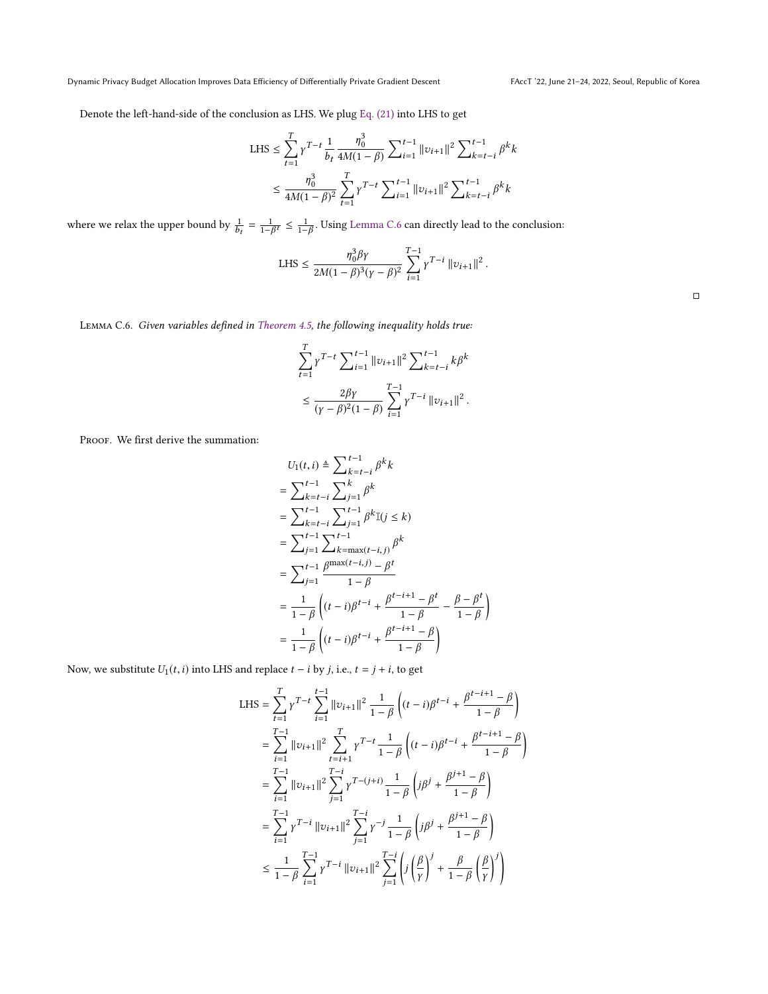Denote the left-hand-side of the conclusion as LHS. We plug [Eq. \(21\)](#page-11-0) into LHS to get

LHS 
$$
\leq \sum_{t=1}^{T} \gamma^{T-t} \frac{1}{b_t} \frac{\eta_0^3}{4M(1-\beta)} \sum_{i=1}^{t-1} ||v_{i+1}||^2 \sum_{k=t-i}^{t-1} \beta^k k
$$
  
 $\leq \frac{\eta_0^3}{4M(1-\beta)^2} \sum_{t=1}^{T} \gamma^{T-t} \sum_{i=1}^{t-1} ||v_{i+1}||^2 \sum_{k=t-i}^{t-1} \beta^k k$ 

where we relax the upper bound by  $\frac{1}{\tau}$  $\ddot{\phantom{a}}$  $=$   $\frac{1}{1−βt}$  ≤  $\frac{1}{1−β}$ . Using [Lemma C.6](#page-12-0) can directly lead to the conclusion:

LHS 
$$
\leq \frac{\eta_0^3 \beta \gamma}{2M(1-\beta)^3(\gamma-\beta)^2} \sum_{i=1}^{T-1} \gamma^{T-i} ||v_{i+1}||^2
$$
.

<span id="page-12-0"></span>Lemma C.6. Given variables defined in [Theorem 4.5,](#page-5-0) the following inequality holds true:

$$
\sum_{t=1}^{T} \gamma^{T-t} \sum_{i=1}^{t-1} ||v_{i+1}||^2 \sum_{k=t-i}^{t-1} k\beta^k
$$
  

$$
\leq \frac{2\beta\gamma}{(\gamma-\beta)^2(1-\beta)} \sum_{i=1}^{T-1} \gamma^{T-i} ||v_{i+1}||^2.
$$

PROOF. We first derive the summation:

$$
U_1(t, i) \triangleq \sum_{k=t-i}^{t-1} \beta^k k
$$
  
=  $\sum_{k=t-i}^{t-1} \sum_{j=1}^k \beta^k$   
=  $\sum_{k=t-i}^{t-1} \sum_{j=1}^{t-1} \beta^k \mathbb{I}(j \le k)$   
=  $\sum_{j=1}^{t-1} \sum_{k=\max(t-i,j)}^{t-1} \beta^k$   
=  $\sum_{j=1}^{t-1} \frac{\beta^{\max(t-i,j)} - \beta^t}{1 - \beta}$   
=  $\frac{1}{1 - \beta} \left( (t-i)\beta^{t-i} + \frac{\beta^{t-i+1} - \beta^t}{1 - \beta} - \frac{\beta - \beta^t}{1 - \beta} \right)$   
=  $\frac{1}{1 - \beta} \left( (t-i)\beta^{t-i} + \frac{\beta^{t-i+1} - \beta}{1 - \beta} \right)$ 

Now, we substitute  $U_1(t, i)$  into LHS and replace  $t - i$  by  $j$ , i.e.,  $t = j + i$ , to get

$$
\begin{split} \text{LHS} &= \sum_{t=1}^{T} \gamma^{T-t} \sum_{i=1}^{t-1} \left\| \upsilon_{i+1} \right\|^{2} \frac{1}{1-\beta} \left( (t-i)\beta^{t-i} + \frac{\beta^{t-i+1} - \beta}{1-\beta} \right) \\ &= \sum_{i=1}^{T-1} \left\| \upsilon_{i+1} \right\|^{2} \sum_{t=i+1}^{T} \gamma^{T-t} \frac{1}{1-\beta} \left( (t-i)\beta^{t-i} + \frac{\beta^{t-i+1} - \beta}{1-\beta} \right) \\ &= \sum_{i=1}^{T-1} \left\| \upsilon_{i+1} \right\|^{2} \sum_{j=1}^{T-i} \gamma^{T-(j+i)} \frac{1}{1-\beta} \left( j\beta^{j} + \frac{\beta^{j+1} - \beta}{1-\beta} \right) \\ &= \sum_{i=1}^{T-1} \gamma^{T-i} \left\| \upsilon_{i+1} \right\|^{2} \sum_{j=1}^{T-i} \gamma^{-j} \frac{1}{1-\beta} \left( j\beta^{j} + \frac{\beta^{j+1} - \beta}{1-\beta} \right) \\ &\leq \frac{1}{1-\beta} \sum_{i=1}^{T-1} \gamma^{T-i} \left\| \upsilon_{i+1} \right\|^{2} \sum_{j=1}^{T-i} \left( j \left( \frac{\beta}{\gamma} \right)^{j} + \frac{\beta}{1-\beta} \left( \frac{\beta}{\gamma} \right)^{j} \right) \end{split}
$$

□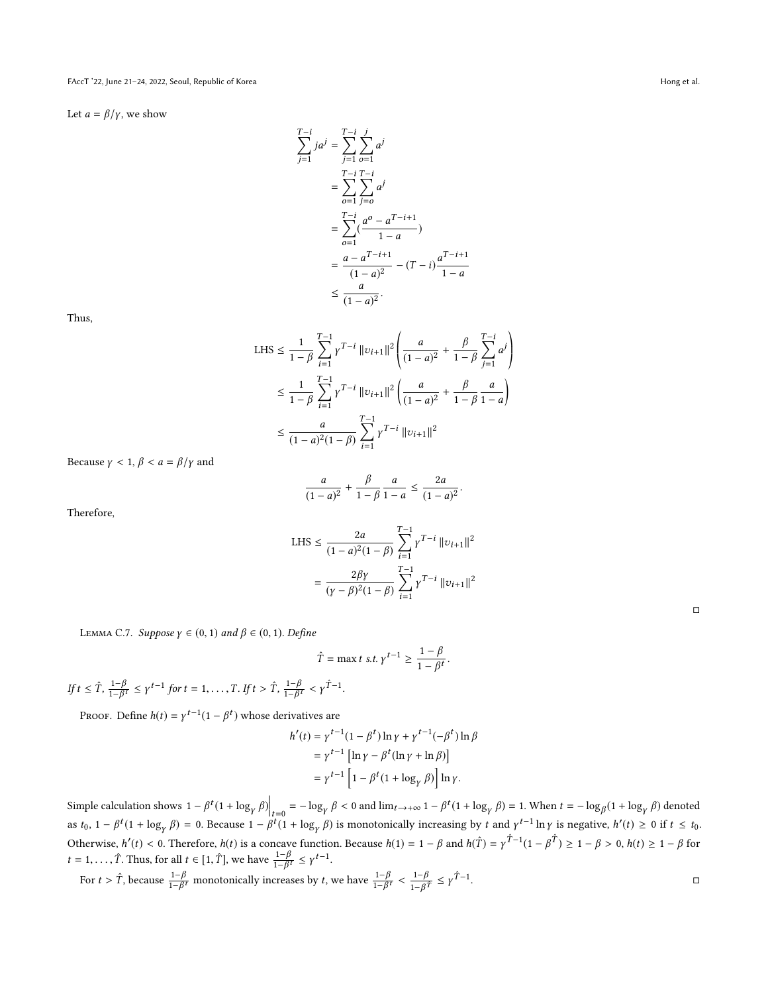Let  $a = \beta/\gamma$ , we show

$$
\sum_{j=1}^{T-i} ja^j = \sum_{j=1}^{T-i} \sum_{o=1}^j a^j
$$
  
= 
$$
\sum_{o=1}^{T-i} \sum_{j=0}^{T-i} a^j
$$
  
= 
$$
\sum_{o=1}^{T-i} (\frac{a^o - a^{T-i+1}}{1-a})
$$
  
= 
$$
\frac{a - a^{T-i+1}}{(1-a)^2} - (T-i) \frac{a^{T-i+1}}{1-a}
$$
  
\$\leq \frac{a}{(1-a)^2}.

Thus,

LHS 
$$
\leq \frac{1}{1-\beta} \sum_{i=1}^{T-1} \gamma^{T-i} ||v_{i+1}||^2 \left( \frac{a}{(1-a)^2} + \frac{\beta}{1-\beta} \sum_{j=1}^{T-i} a^j \right)
$$
  
 $\leq \frac{1}{1-\beta} \sum_{i=1}^{T-1} \gamma^{T-i} ||v_{i+1}||^2 \left( \frac{a}{(1-a)^2} + \frac{\beta}{1-\beta} \frac{a}{1-a} \right)$   
 $\leq \frac{a}{(1-a)^2 (1-\beta)} \sum_{i=1}^{T-1} \gamma^{T-i} ||v_{i+1}||^2$ 

Because  $\gamma < 1$ ,  $\beta < a = \beta/\gamma$  and

$$
\frac{a}{(1-a)^2} + \frac{\beta}{1-\beta} \frac{a}{1-a} \le \frac{2a}{(1-a)^2}.
$$

Therefore,

LHS 
$$
\leq \frac{2a}{(1-a)^2(1-\beta)} \sum_{i=1}^{T-1} \gamma^{T-i} ||v_{i+1}||^2
$$
  
= 
$$
\frac{2\beta\gamma}{(\gamma-\beta)^2(1-\beta)} \sum_{i=1}^{T-1} \gamma^{T-i} ||v_{i+1}||^2
$$

<span id="page-13-0"></span>LEMMA C.7. Suppose  $\gamma \in (0, 1)$  and  $\beta \in (0, 1)$ . Define

$$
\hat{T} = \max t \text{ s.t. } \gamma^{t-1} \ge \frac{1-\beta}{1-\beta^t}.
$$

If  $t \leq \hat{T}$ ,  $\frac{1-\beta}{1-\beta}$  $\frac{1-\beta}{1-\beta^t} \le \gamma^{t-1}$  for  $t = 1, \ldots, T$ . If  $t > \hat{T}$ ,  $\frac{1-\beta}{1-\beta^t}$  $\frac{1-\beta}{1-\beta^t} < \gamma^{\hat{T}-1}.$ 

PROOF. Define  $h(t) = \gamma^{t-1}(1 - \beta^t)$  whose derivatives are

$$
h'(t) = \gamma^{t-1} (1 - \beta^t) \ln \gamma + \gamma^{t-1} (-\beta^t) \ln \beta
$$
  
=  $\gamma^{t-1} [\ln \gamma - \beta^t (\ln \gamma + \ln \beta)]$   
=  $\gamma^{t-1} [1 - \beta^t (1 + \log_{\gamma} \beta)] \ln \gamma.$ 

Simple calculation shows  $1 - \beta^t (1 + \log_\gamma \beta) \Big|_{t=0} = -\log_\gamma \beta < 0$  and  $\lim_{t \to +\infty} 1 - \beta^t (1 + \log_\gamma \beta) = 1$ . When  $t = -\log_\beta (1 + \log_\gamma \beta)$  denoted as to  $1 - \beta^t (1 + \log_\gamma \beta) = 0$ . Because  $1 - \beta^t (1 + \log_\gamma \beta)$  is monotonically increasing by as  $t_0$ ,  $1 - \beta^t (1 + \log_\gamma \beta) = 0$ . Because  $1 - \beta^t (1 + \log_\gamma \beta)$  is monotonically increasing by t and  $\gamma^{t-1} \ln \gamma$  is negative,  $h'(t) \ge 0$  if  $t \le t_0$ . Otherwise,  $h'(t) < 0$ . Therefore,  $h(t)$  is a concave function. Because  $h(1) = 1 - \beta$  and  $h(\hat{T}) = \gamma \hat{T}^{-1}(1 - \beta \hat{T}) \ge 1 - \beta > 0$ ,  $h(t) \ge 1 - \beta$  for  $t = 1, \ldots, \hat{T}$ . Thus, for all  $t \in [1, \hat{T}]$ , we have  $\frac{1-\beta}{1-\beta^t} \le \gamma^{t-1}$ .

For 
$$
t > \hat{T}
$$
, because  $\frac{1-\beta}{1-\beta t}$  monotonically increases by t, we have  $\frac{1-\beta}{1-\beta t} < \frac{1-\beta}{1-\beta \hat{T}} \leq \gamma \hat{T}^{-1}$ .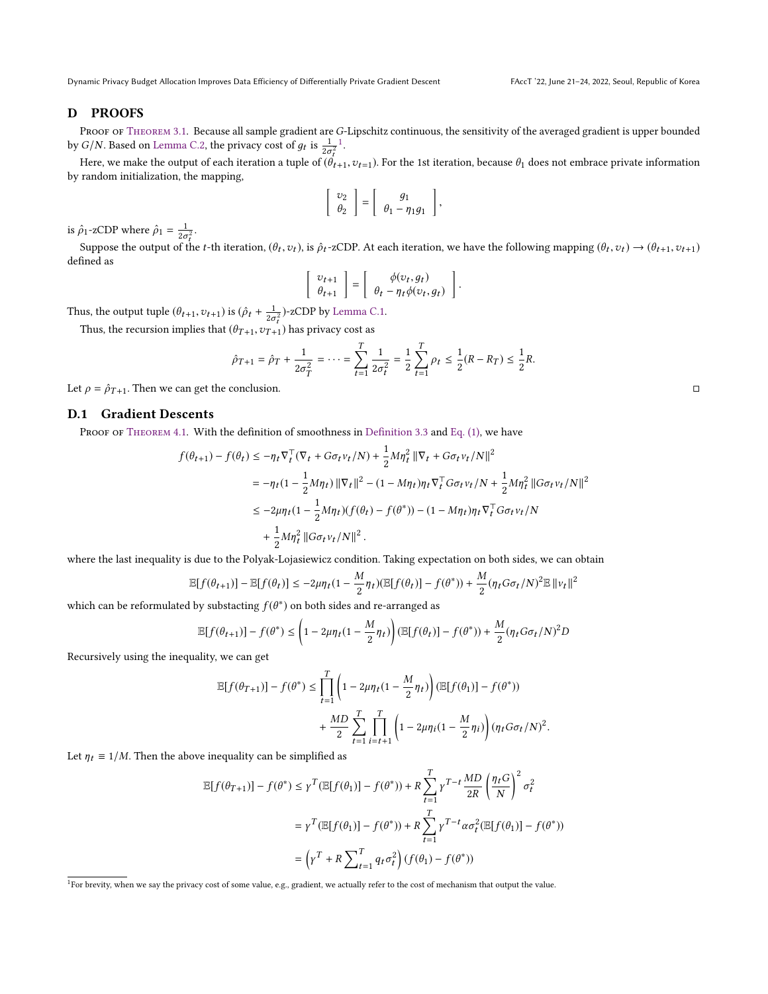# D PROOFS

PROOF OF THEOREM 3.1. Because all sample gradient are [G](#page-14-0)-Lipschitz continuous, the sensitivity of the averaged gradient is upper bounded by G/N. Based on [Lemma C.2,](#page-10-2) the privacy cost of  $g_t$  is  $\frac{1}{2\sigma_t^2}$ .

Here, we make the output of each iteration a tuple of  $(\hat{\theta}_{t+1}, v_{t-1})$ . For the 1st iteration, because  $\theta_1$  does not embrace private information random initialization, the manning by random initialization, the mapping,

$$
\left[\begin{array}{c}v_2\\ \theta_2\end{array}\right]=\left[\begin{array}{c}g_1\\ \theta_1-\eta_1g_1\end{array}\right],
$$

is  $\hat{\rho}_1$ -zCDP where  $\hat{\rho}_1 = \frac{1}{2\sigma_t^2}$ .

ł Suppose the output of the *t*-th iteration,  $(\theta_t, v_t)$ , is  $\hat{\rho}_t$ -zCDP. At each iteration, we have the following mapping  $(\theta_t, v_t) \rightarrow (\theta_{t+1}, v_{t+1})$ defined as

$$
\left[\begin{array}{c} v_{t+1} \\ \theta_{t+1} \end{array}\right] = \left[\begin{array}{c} \phi(v_t, g_t) \\ \theta_t - \eta_t \phi(v_t, g_t) \end{array}\right]
$$

Thus, the output tuple  $(\theta_{t+1}, v_{t+1})$  is  $(\hat{\rho}_t + \frac{1}{2\sigma_t^2})$ -zCDP by [Lemma C.1.](#page-10-1)<br>Thus, the recursion implies that  $(\theta_{\text{max}}, \theta_{\text{max}})$  has privacy cost as

Thus, the recursion implies that  $(\theta_{T+1}, v_{T+1})$  has privacy cost as

$$
\hat{\rho}_{T+1} = \hat{\rho}_T + \frac{1}{2\sigma_T^2} = \dots = \sum_{t=1}^T \frac{1}{2\sigma_t^2} = \frac{1}{2} \sum_{t=1}^T \rho_t \le \frac{1}{2}(R - R_T) \le \frac{1}{2}R
$$

Let  $\rho = \hat{\rho}_{T+1}$ . Then we can get the conclusion.  $\Box$ 

# D.1 Gradient Descents

PROOF OF THEOREM 4.1. With the definition of smoothness in [Definition 3.3](#page-1-1) and [Eq. \(1\),](#page-2-3) we have

$$
\begin{aligned} f(\theta_{t+1}) - f(\theta_{t}) & \leq -\eta_{t} \nabla_{t}^{\top} (\nabla_{t} + G \sigma_{t} v_{t}/N) + \frac{1}{2} M \eta_{t}^{2} \left\| \nabla_{t} + G \sigma_{t} v_{t}/N \right\|^{2} \\ & = -\eta_{t} (1 - \frac{1}{2} M \eta_{t}) \left\| \nabla_{t} \right\|^{2} - (1 - M \eta_{t}) \eta_{t} \nabla_{t}^{\top} G \sigma_{t} v_{t}/N + \frac{1}{2} M \eta_{t}^{2} \left\| G \sigma_{t} v_{t}/N \right\|^{2} \\ & \leq -2 \mu \eta_{t} (1 - \frac{1}{2} M \eta_{t}) (f(\theta_{t}) - f(\theta^{*})) - (1 - M \eta_{t}) \eta_{t} \nabla_{t}^{\top} G \sigma_{t} v_{t}/N \\ & + \frac{1}{2} M \eta_{t}^{2} \left\| G \sigma_{t} v_{t}/N \right\|^{2}. \end{aligned}
$$

where the last inequality is due to the Polyak-Lojasiewicz condition. Taking expectation on both sides, we can obtain

$$
\mathbb{E}[f(\theta_{t+1})] - \mathbb{E}[f(\theta_t)] \le -2\mu \eta_t (1 - \frac{M}{2} \eta_t) (\mathbb{E}[f(\theta_t)] - f(\theta^*)) + \frac{M}{2} (\eta_t G \sigma_t / N)^2 \mathbb{E} ||v_t||^2
$$

which can be reformulated by substacting  $f(\theta^*)$  on both sides and re-arranged as

$$
\mathbb{E}[f(\theta_{t+1})] - f(\theta^*) \le \left(1 - 2\mu \eta_t (1 - \frac{M}{2} \eta_t)\right) \left(\mathbb{E}[f(\theta_t)] - f(\theta^*)\right) + \frac{M}{2} (\eta_t G \sigma_t / N)^2 D
$$

Recursively using the inequality, we can get

$$
\mathbb{E}[f(\theta_{T+1})] - f(\theta^*) \le \prod_{t=1}^T \left(1 - 2\mu \eta_t (1 - \frac{M}{2}\eta_t)\right) (\mathbb{E}[f(\theta_1)] - f(\theta^*))
$$
  
+ 
$$
\frac{MD}{2} \sum_{t=1}^T \prod_{i=t+1}^T \left(1 - 2\mu \eta_i (1 - \frac{M}{2}\eta_i)\right) (\eta_t G \sigma_t / N)^2.
$$

Let  $\eta_t \equiv 1/M$ . Then the above inequality can be simplified as

$$
\mathbb{E}[f(\theta_{T+1})] - f(\theta^*) \le \gamma^T (\mathbb{E}[f(\theta_1)] - f(\theta^*)) + R \sum_{t=1}^T \gamma^{T-t} \frac{MD}{2R} \left(\frac{\eta_t G}{N}\right)^2 \sigma_t^2
$$
  

$$
= \gamma^T (\mathbb{E}[f(\theta_1)] - f(\theta^*)) + R \sum_{t=1}^T \gamma^{T-t} \alpha \sigma_t^2 (\mathbb{E}[f(\theta_1)] - f(\theta^*))
$$
  

$$
= \left(\gamma^T + R \sum_{t=1}^T q_t \sigma_t^2\right) (f(\theta_1) - f(\theta^*))
$$

<span id="page-14-0"></span><sup>&</sup>lt;sup>1</sup>For brevity, when we say the privacy cost of some value, e.g., gradient, we actually refer to the cost of mechanism that output the value.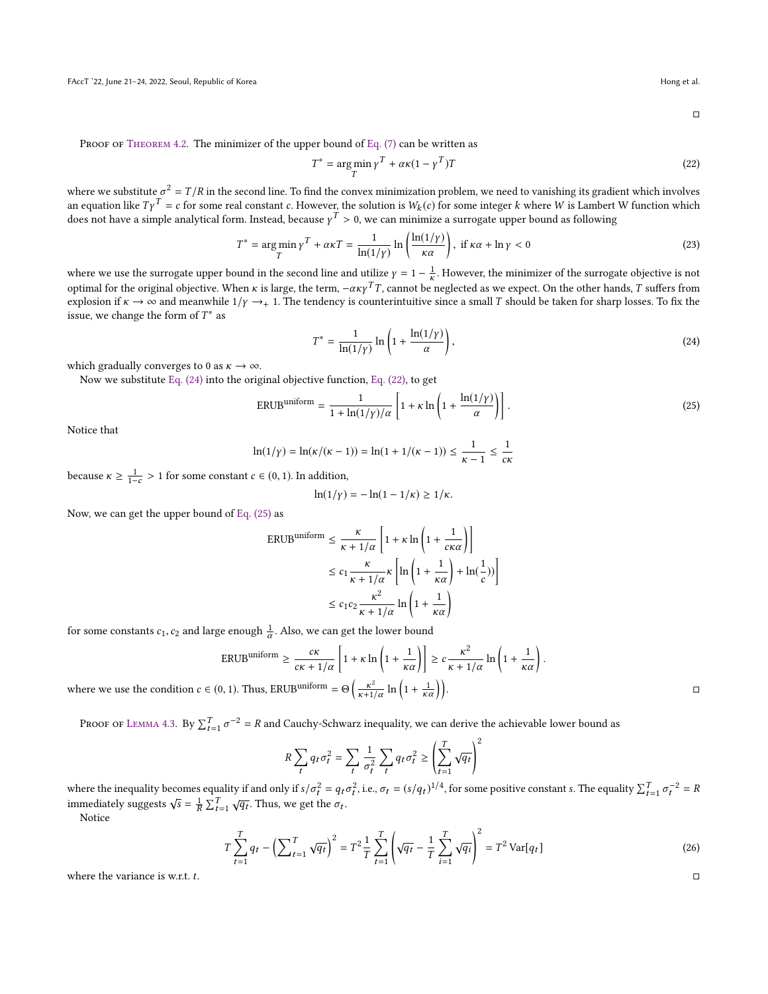<span id="page-15-2"></span><span id="page-15-1"></span><span id="page-15-0"></span> $\Box$ 

PROOF OF THEOREM 4.2. The minimizer of the upper bound of [Eq. \(7\)](#page-3-3) can be written as

$$
T^* = \underset{T}{\arg\min} \gamma^T + \alpha \kappa (1 - \gamma^T) T \tag{22}
$$

where we substitute  $\sigma^2 = T/R$  in the second line. To find the convex minimization problem, we need to vanishing its gradient which involves<br>an equation like  $Tv^T = \epsilon$  for some real constant  $\epsilon$ . However, the solution is an equation like  $T\gamma^T = c$  for some real constant c. However, the solution is  $W_k(c)$  for some integer k where W is Lambert W function which does not have a simple analytical form. Instead, because  $\gamma^T > 0$ , we can minimize a surrogate upper bound as following

$$
T^* = \underset{T}{\arg\min} \gamma^T + \alpha \kappa T = \frac{1}{\ln(1/\gamma)} \ln \left( \frac{\ln(1/\gamma)}{\kappa \alpha} \right), \text{ if } \kappa \alpha + \ln \gamma < 0 \tag{23}
$$

where we use the surrogate upper bound in the second line and utilize  $\gamma = 1 - \frac{1}{\kappa}$ . However, the minimizer of the surrogate objective is not entimeded to the surrogate objective is not optimal for the original objective. When κ is large, the term,  $-\alpha \kappa y^T T$ , cannot be neglected as we expect. On the other hands, T suffers from explosion if  $\kappa \to \infty$  and meanwhile  $1/\kappa \to 1$ . The tendency is counterin explosion if  $\kappa \to \infty$  and meanwhile  $1/\gamma \to 1$ . The tendency is counterintuitive since a small T should be taken for sharp losses. To fix the issue, we change the form of  $T^*$  as

$$
T^* = \frac{1}{\ln(1/\gamma)} \ln\left(1 + \frac{\ln(1/\gamma)}{\alpha}\right),\tag{24}
$$

which gradually converges to 0 as  $\kappa \to \infty$ .

Now we substitute [Eq. \(24\)](#page-15-0) into the original objective function, [Eq. \(22\),](#page-15-1) to get

$$
ERUB^{uniform} = \frac{1}{1 + \ln(1/\gamma)/\alpha} \left[ 1 + \kappa \ln\left(1 + \frac{\ln(1/\gamma)}{\alpha}\right) \right].
$$
 (25)

Notice that

$$
\ln(1/\gamma) = \ln(\kappa/(\kappa - 1)) = \ln(1 + 1/(\kappa - 1)) \le \frac{1}{\kappa - 1} \le \frac{1}{c\kappa}
$$

because  $\kappa \ge \frac{1}{1-c} > 1$  for some constant  $c \in (0, 1)$ . In addition,

$$
\ln(1/\gamma) = -\ln(1-1/\kappa) \ge 1/\kappa.
$$

Now, we can get the upper bound of [Eq. \(25\)](#page-15-2) as

$$
\begin{aligned} \text{ERUB}^{\text{uniform}} &\leq \frac{\kappa}{\kappa + 1/\alpha} \left[ 1 + \kappa \ln \left( 1 + \frac{1}{c\kappa \alpha} \right) \right] \\ &\leq c_1 \frac{\kappa}{\kappa + 1/\alpha} \kappa \left[ \ln \left( 1 + \frac{1}{\kappa \alpha} \right) + \ln(\frac{1}{c}) \right] \\ &\leq c_1 c_2 \frac{\kappa^2}{\kappa + 1/\alpha} \ln \left( 1 + \frac{1}{\kappa \alpha} \right) \end{aligned}
$$

for some constants  $c_1, c_2$  and large enough  $\frac{1}{\alpha}$ . Also, we can get the lower bound

$$
\text{ERUB}^{\text{uniform}} \ge \frac{c\kappa}{c\kappa + 1/\alpha} \left[ 1 + \kappa \ln \left( 1 + \frac{1}{\kappa \alpha} \right) \right] \ge c \frac{\kappa^2}{\kappa + 1/\alpha} \ln \left( 1 + \frac{1}{\kappa \alpha} \right).
$$
  

$$
\in (0, 1). \text{ Thus, ERUB}^{\text{uniform}} = \Theta \left( \frac{\kappa^2}{\kappa + 1/\alpha} \ln \left( 1 + \frac{1}{\kappa \alpha} \right) \right).
$$

where we use the condition  $c \in (0, 1)$ . Thus, ERUB<sup>1</sup>  $\left(\frac{\kappa^2}{\kappa+1/\alpha}\ln\left(1+\frac{1}{\kappa\alpha}\right)\right)$ 

PROOF OF LEMMA 4.3. By  $\sum_{t=1}^{T} \sigma^{-2} = R$  and Cauchy-Schwarz inequality, we can derive the achievable lower bound as

$$
R\sum_{t} q_t \sigma_t^2 = \sum_{t} \frac{1}{\sigma_t^2} \sum_{t} q_t \sigma_t^2 \ge \left(\sum_{t=1}^T \sqrt{q_t}\right)^2
$$

where the inequality becomes equality if and only if  $s/\sigma_t^2 = q_t \sigma_t^2$ , i.e.,  $\sigma_t = (s/q_t)^{1/4}$ , for some positive constant s. The equality  $\sum_{t=1}^T \sigma_t^2$  immediately suggests  $s/\bar{s} = 1$ ,  $\sqrt{T}$ ,  $\sqrt{\sigma_t}$ . Thus, we get th  $t_0^{-2} = R$ immediately suggests  $\sqrt{s} = \frac{1}{R} \sum_{t=1}^{T}$ <br>Notice √  $\overline{q_t}$ . Thus, we get the  $\sigma_t$ .

Notice

$$
T\sum_{t=1}^{T}q_t - \left(\sum_{t=1}^{T}\sqrt{q_t}\right)^2 = T^2\frac{1}{T}\sum_{t=1}^{T}\left(\sqrt{q_t} - \frac{1}{T}\sum_{i=1}^{T}\sqrt{q_i}\right)^2 = T^2\text{Var}[q_t]
$$
\n(26)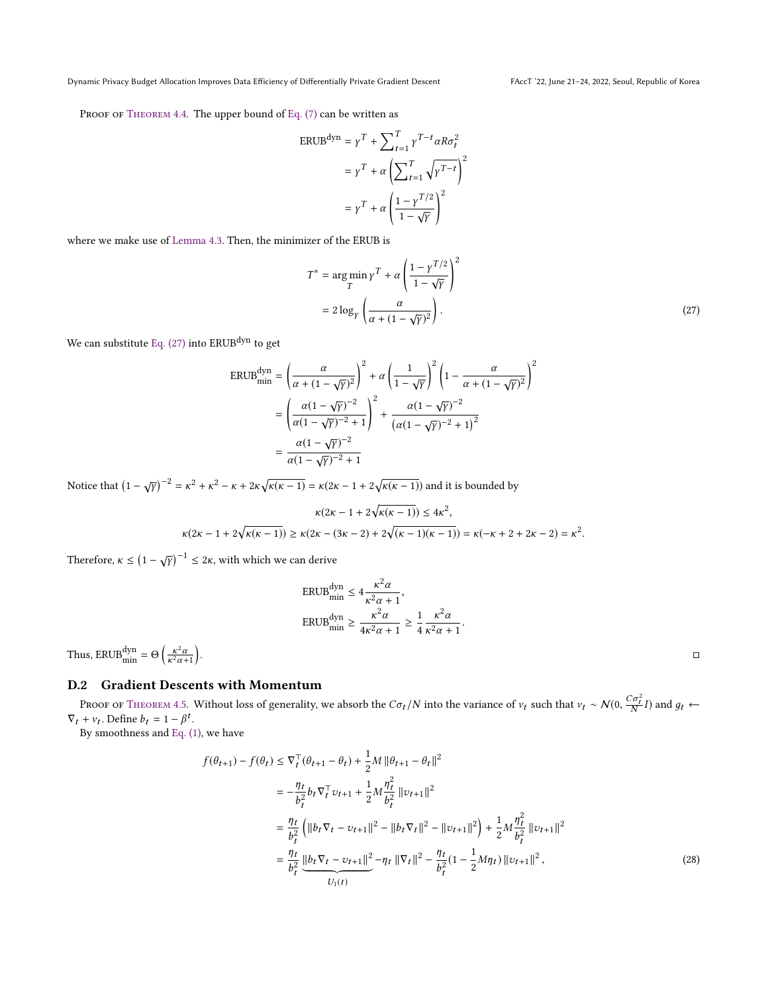<span id="page-16-0"></span>

PROOF OF THEOREM 4.4. The upper bound of [Eq. \(7\)](#page-3-3) can be written as

$$
\begin{aligned} \text{ERUB}^{\text{dyn}} &= \gamma^T + \sum_{t=1}^T \gamma^{T-t} \alpha R \sigma_t^2 \\ &= \gamma^T + \alpha \left( \sum_{t=1}^T \sqrt{\gamma^{T-t}} \right)^2 \\ &= \gamma^T + \alpha \left( \frac{1 - \gamma^{T/2}}{1 - \sqrt{\gamma}} \right)^2 \end{aligned}
$$

where we make use of [Lemma 4.3.](#page-4-4) Then, the minimizer of the ERUB is

$$
T^* = \underset{T}{\arg\min} \gamma^T + \alpha \left( \frac{1 - \gamma^{T/2}}{1 - \sqrt{\gamma}} \right)^2
$$
  
= 
$$
2 \log_{\gamma} \left( \frac{\alpha}{\alpha + (1 - \sqrt{\gamma})^2} \right).
$$
 (27)

We can substitute Eq.  $(27)$  into ERUB<sup>dyn</sup> to get

$$
\begin{split} \text{ERUB}_{\text{min}}^{\text{dyn}} &= \left(\frac{\alpha}{\alpha + (1 - \sqrt{\gamma})^2}\right)^2 + \alpha \left(\frac{1}{1 - \sqrt{\gamma}}\right)^2 \left(1 - \frac{\alpha}{\alpha + (1 - \sqrt{\gamma})^2}\right)^2 \\ &= \left(\frac{\alpha (1 - \sqrt{\gamma})^{-2}}{\alpha (1 - \sqrt{\gamma})^{-2} + 1}\right)^2 + \frac{\alpha (1 - \sqrt{\gamma})^{-2}}{\left(\alpha (1 - \sqrt{\gamma})^{-2} + 1\right)^2} \\ &= \frac{\alpha (1 - \sqrt{\gamma})^{-2}}{\alpha (1 - \sqrt{\gamma})^{-2} + 1} \end{split}
$$

Notice that  $(1 - \sqrt{2})$  $(\overline{\gamma})^{-2} = \kappa^2 + \kappa^2 - \kappa + 2\kappa\sqrt{\kappa(\kappa - 1)} = \kappa(2\kappa - 1 + 2\sqrt{\kappa(\kappa - 1)})$  and it is bounded by

$$
\kappa(2\kappa-1+2\sqrt{\kappa(\kappa-1)})\leq 4\kappa^2,\\ \kappa(2\kappa-1+2\sqrt{\kappa(\kappa-1)})\geq \kappa(2\kappa-(3\kappa-2)+2\sqrt{(\kappa-1)(\kappa-1)})=\kappa(-\kappa+2+2\kappa-2)=\kappa^2.
$$

Therefore,  $\kappa \leq (1 - \sqrt{\frac{\lambda}{2}})$  $(\overline{\gamma})^{-1} \leq 2\kappa$ , with which we can derive

<span id="page-16-1"></span>
$$
\begin{aligned} \text{ERUB}_{\text{min}}^{\text{dyn}} &\leq 4 \frac{\kappa^2 \alpha}{\kappa^2 \alpha + 1}, \\ \text{ERUB}_{\text{min}}^{\text{dyn}} &\geq \frac{\kappa^2 \alpha}{4 \kappa^2 \alpha + 1} \geq \frac{1}{4} \frac{\kappa^2 \alpha}{\kappa^2 \alpha + 1}. \end{aligned}
$$

Thus,  $ERUB_{\text{min}}^{\text{dyn}} = \Theta\left(\frac{\kappa}{\kappa^2}\right)$ 2 $\frac{\kappa^2 \alpha}{\kappa^2 \alpha + 1}$ . 그러나 아이들은 그 사람들은 그 사람들은 그 사람들을 지나 않는 것이다. 그러나 아이들은 그 사람들은 그 사람들은 그 사람들은 그 사람들은 그 사람들은 그 사람들은 그 사람들은 그 사람들은 그<br>그러나 아이들은 그 사람들은 그 사람들은 그 사람들은 그 사람들은 그 사람들은 그 사람들은 그 사람들은 그 사람들은 그 사람들은 그 사람들은 그 사람들은 그 사람들은 그 사람들은 그 사람들은 그 사

# D.2 Gradient Descents with Momentum

PROOF OF THEOREM 4.5. Without loss of generality, we absorb the C $\sigma_t/N$  into the variance of  $v_t$  such that  $v_t \sim N(0, \frac{C\sigma}{N})$ 2  $\frac{d}{dt}I$ ) and  $g_t \leftarrow$  $\nabla_t + v_t$ . Define  $b_t = 1 - \beta^t$ .<br>By smoothness and Eq. (2)

By smoothness and [Eq. \(1\),](#page-2-3) we have

$$
f(\theta_{t+1}) - f(\theta_t) \leq \nabla_t^{\top}(\theta_{t+1} - \theta_t) + \frac{1}{2}M \|\theta_{t+1} - \theta_t\|^2
$$
  
\n
$$
= -\frac{\eta_t}{b_t^2} b_t \nabla_t^{\top} v_{t+1} + \frac{1}{2} M \frac{\eta_t^2}{b_t^2} \|v_{t+1}\|^2
$$
  
\n
$$
= \frac{\eta_t}{b_t^2} \left( \|b_t \nabla_t - v_{t+1}\|^2 - \|b_t \nabla_t\|^2 - \|v_{t+1}\|^2 \right) + \frac{1}{2} M \frac{\eta_t^2}{b_t^2} \|v_{t+1}\|^2
$$
  
\n
$$
= \frac{\eta_t}{b_t^2} \frac{\|b_t \nabla_t - v_{t+1}\|^2}{v_1(t)} - \eta_t \|\nabla_t\|^2 - \frac{\eta_t}{b_t^2} (1 - \frac{1}{2} M \eta_t) \|v_{t+1}\|^2,
$$
\n(28)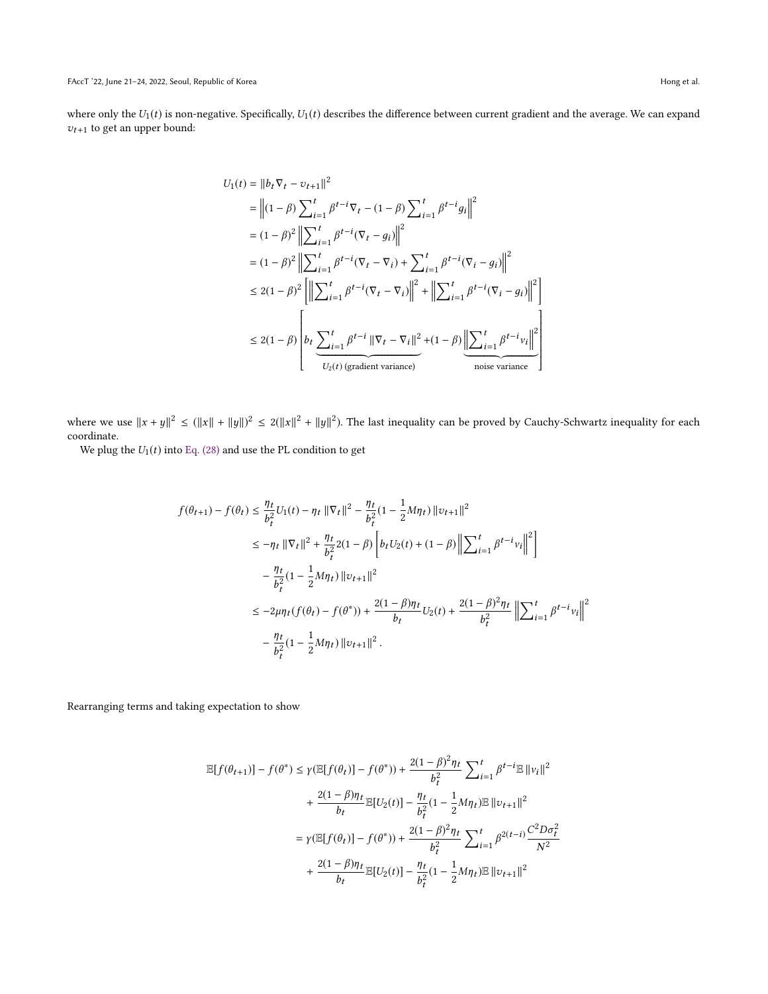where only the  $U_1(t)$  is non-negative. Specifically,  $U_1(t)$  describes the difference between current gradient and the average. We can expand  $v_{t+1}$  to get an upper bound:

$$
U_{1}(t) = ||b_{t} \nabla_{t} - v_{t+1}||^{2}
$$
  
\n
$$
= ||(1 - \beta) \sum_{i=1}^{t} \beta^{t-i} \nabla_{t} - (1 - \beta) \sum_{i=1}^{t} \beta^{t-i} g_{i}||^{2}
$$
  
\n
$$
= (1 - \beta)^{2} ||\sum_{i=1}^{t} \beta^{t-i} (\nabla_{t} - g_{i})||^{2}
$$
  
\n
$$
= (1 - \beta)^{2} ||\sum_{i=1}^{t} \beta^{t-i} (\nabla_{t} - \nabla_{i}) + \sum_{i=1}^{t} \beta^{t-i} (\nabla_{i} - g_{i})||^{2}
$$
  
\n
$$
\leq 2(1 - \beta)^{2} ||\sum_{i=1}^{t} \beta^{t-i} (\nabla_{t} - \nabla_{i})||^{2} + ||\sum_{i=1}^{t} \beta^{t-i} (\nabla_{i} - g_{i})||^{2}
$$
  
\n
$$
\leq 2(1 - \beta) \left[ b_{t} \sum_{i=1}^{t} \beta^{t-i} ||\nabla_{t} - \nabla_{i}||^{2} + (1 - \beta) \underbrace{||\sum_{i=1}^{t} \beta^{t-i} v_{i}||^{2}}_{\text{noise variance}} \right]
$$

where we use  $||x + y||^2 \le (||x|| + ||y||)^2 \le 2(||x||^2 + ||y||^2)$ . The last inequality can be proved by Cauchy-Schwartz inequality for each coordinate coordinate.

We plug the  $U_1(t)$  into [Eq. \(28\)](#page-16-1) and use the PL condition to get

$$
f(\theta_{t+1}) - f(\theta_t) \le \frac{\eta_t}{b_t^2} U_1(t) - \eta_t \|\nabla_t\|^2 - \frac{\eta_t}{b_t^2} (1 - \frac{1}{2} M \eta_t) \|\nu_{t+1}\|^2
$$
  
\n
$$
\le -\eta_t \|\nabla_t\|^2 + \frac{\eta_t}{b_t^2} 2(1 - \beta) \left[b_t U_2(t) + (1 - \beta) \left\|\sum_{i=1}^t \beta^{t-i} v_i\right\|^2\right]
$$
  
\n
$$
- \frac{\eta_t}{b_t^2} (1 - \frac{1}{2} M \eta_t) \|\nu_{t+1}\|^2
$$
  
\n
$$
\le -2\mu \eta_t (f(\theta_t) - f(\theta^*)) + \frac{2(1 - \beta) \eta_t}{b_t} U_2(t) + \frac{2(1 - \beta)^2 \eta_t}{b_t^2} \left\|\sum_{i=1}^t \beta^{t-i} v_i\right\|^2
$$
  
\n
$$
- \frac{\eta_t}{b_t^2} (1 - \frac{1}{2} M \eta_t) \|\nu_{t+1}\|^2.
$$

Rearranging terms and taking expectation to show

$$
\mathbb{E}[f(\theta_{t+1})] - f(\theta^*) \le \gamma (\mathbb{E}[f(\theta_t)] - f(\theta^*)) + \frac{2(1-\beta)^2 \eta_t}{b_t^2} \sum_{i=1}^t \beta^{t-i} \mathbb{E} ||v_i||^2
$$
  
+ 
$$
\frac{2(1-\beta)\eta_t}{b_t} \mathbb{E}[U_2(t)] - \frac{\eta_t}{b_t^2} (1 - \frac{1}{2}M\eta_t) \mathbb{E} ||v_{t+1}||^2
$$
  
= 
$$
\gamma (\mathbb{E}[f(\theta_t)] - f(\theta^*)) + \frac{2(1-\beta)^2 \eta_t}{b_t^2} \sum_{i=1}^t \beta^{2(t-i)} \frac{C^2 D \sigma_t^2}{N^2}
$$
  
+ 
$$
\frac{2(1-\beta)\eta_t}{b_t} \mathbb{E}[U_2(t)] - \frac{\eta_t}{b_t^2} (1 - \frac{1}{2}M\eta_t) \mathbb{E} ||v_{t+1}||^2
$$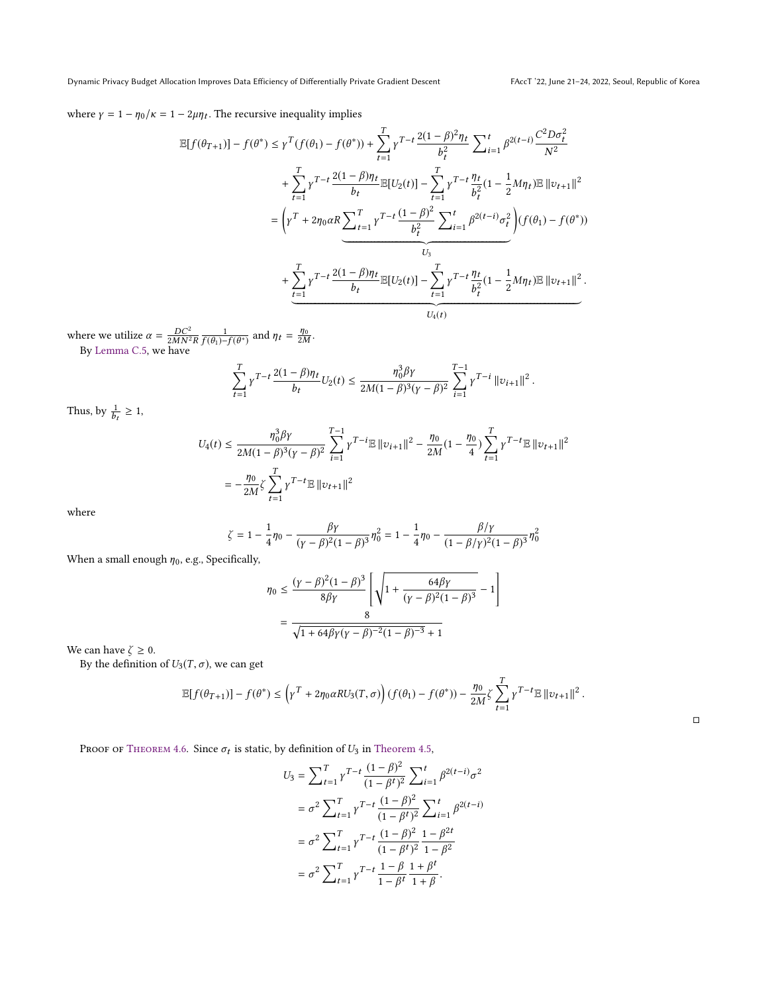where  $\gamma = 1 - \eta_0/\kappa = 1 - 2\mu\eta_t$ . The recursive inequality implies

$$
\mathbb{E}[f(\theta_{T+1})] - f(\theta^*) \leq \gamma^T (f(\theta_1) - f(\theta^*)) + \sum_{t=1}^T \gamma^{T-t} \frac{2(1-\beta)^2 \eta_t}{b_t^2} \sum_{i=1}^t \beta^{2(t-i)} \frac{C^2 D \sigma_t^2}{N^2} \n+ \sum_{t=1}^T \gamma^{T-t} \frac{2(1-\beta)\eta_t}{b_t} \mathbb{E}[U_2(t)] - \sum_{t=1}^T \gamma^{T-t} \frac{\eta_t}{b_t^2} (1 - \frac{1}{2} M \eta_t) \mathbb{E} ||v_{t+1}||^2 \n= \left(\gamma^T + 2\eta_0 \alpha R \sum_{t=1}^T \gamma^{T-t} \frac{(1-\beta)^2}{b_t^2} \sum_{i=1}^t \beta^{2(t-i)} \sigma_t^2\right) (f(\theta_1) - f(\theta^*)) \n- \sum_{t=1}^T \gamma^{T-t} \frac{2(1-\beta)\eta_t}{b_t} \mathbb{E}[U_2(t)] - \sum_{t=1}^T \gamma^{T-t} \frac{\eta_t}{b_t^2} (1 - \frac{1}{2} M \eta_t) \mathbb{E} ||v_{t+1}||^2 \n- \sum_{t=1}^T \gamma^{T-t} \frac{2(1-\beta)\eta_t}{b_t} \mathbb{E}[U_2(t)] - \sum_{t=1}^T \gamma^{T-t} \frac{\eta_t}{b_t^2} (1 - \frac{1}{2} M \eta_t) \mathbb{E} ||v_{t+1}||^2 \n- \sum_{t=1}^T \gamma^{T-t} \frac{2(1-\beta)\eta_t}{b_t} (1 - \sum_{t=1}^T \gamma^{T-t} \frac{\eta_t}{b_t^2} (1 - \frac{1}{2} M \eta_t) \mathbb{E} ||v_{t+1}||^2
$$

where we utilize  $\alpha = \frac{DC^2}{2MN^2R} \frac{1}{f(\theta_1)-2}$  $\frac{1}{f(\theta_1)-f(\theta^*)}$  and  $\eta_t = \frac{\eta_0}{2M}$ . By [Lemma C.5,](#page-11-1) we have

$$
\sum_{t=1}^T \gamma^{T-t} \, \frac{2 (1-\beta) \eta_t}{b_t} U_2(t) \leq \frac{\eta_0^3 \beta \gamma}{2 M (1-\beta)^3 (\gamma-\beta)^2} \sum_{i=1}^{T-1} \gamma^{T-i} \, \|v_{i+1}\|^2
$$

Thus, by  $\frac{1}{1}$ ≥ 1,

 $\ddot{\phantom{0}}$ 

$$
U_4(t) \le \frac{\eta_0^3 \beta \gamma}{2M(1-\beta)^3 (\gamma-\beta)^2} \sum_{i=1}^{T-1} \gamma^{T-i} \mathbb{E} ||v_{i+1}||^2 - \frac{\eta_0}{2M} (1 - \frac{\eta_0}{4}) \sum_{t=1}^{T} \gamma^{T-t} \mathbb{E} ||v_{t+1}||^2
$$
  
= 
$$
-\frac{\eta_0}{2M} \zeta \sum_{t=1}^{T} \gamma^{T-t} \mathbb{E} ||v_{t+1}||^2
$$

where

$$
\zeta = 1 - \frac{1}{4}\eta_0 - \frac{\beta \gamma}{(\gamma - \beta)^2 (1 - \beta)^3} \eta_0^2 = 1 - \frac{1}{4}\eta_0 - \frac{\beta/\gamma}{(1 - \beta/\gamma)^2 (1 - \beta)^3} \eta_0^2
$$

When a small enough  $\eta_0$ , e.g., Specifically,

$$
\eta_0 \le \frac{(\gamma - \beta)^2 (1 - \beta)^3}{8\beta\gamma} \left[ \sqrt{1 + \frac{64\beta\gamma}{(\gamma - \beta)^2 (1 - \beta)^3}} - 1 \right]
$$

$$
= \frac{8}{\sqrt{1 + 64\beta\gamma(\gamma - \beta)^{-2} (1 - \beta)^{-3}} + 1}
$$

We can have  $\zeta \geq 0$ .

By the definition of  $U_3(T, \sigma)$ , we can get

$$
\mathbb{E}[f(\theta_{T+1})] - f(\theta^*) \le \left(\gamma^T + 2\eta_0 \alpha R U_3(T,\sigma)\right) (f(\theta_1) - f(\theta^*)) - \frac{\eta_0}{2M} \zeta \sum_{t=1}^T \gamma^{T-t} \mathbb{E} \|v_{t+1}\|^2.
$$

□

PROOF OF THEOREM 4.6. Since  $\sigma_t$  is static, by definition of  $U_3$  in [Theorem 4.5,](#page-5-0)

$$
U_3 = \sum_{t=1}^T \gamma^{T-t} \frac{(1-\beta)^2}{(1-\beta^t)^2} \sum_{i=1}^t \beta^{2(t-i)} \sigma^2
$$
  
=  $\sigma^2 \sum_{t=1}^T \gamma^{T-t} \frac{(1-\beta)^2}{(1-\beta^t)^2} \sum_{i=1}^t \beta^{2(t-i)}$   
=  $\sigma^2 \sum_{t=1}^T \gamma^{T-t} \frac{(1-\beta)^2}{(1-\beta^t)^2} \frac{1-\beta^{2t}}{1-\beta^2}$   
=  $\sigma^2 \sum_{t=1}^T \gamma^{T-t} \frac{1-\beta}{1-\beta^t} \frac{1+\beta^t}{1+\beta}$ .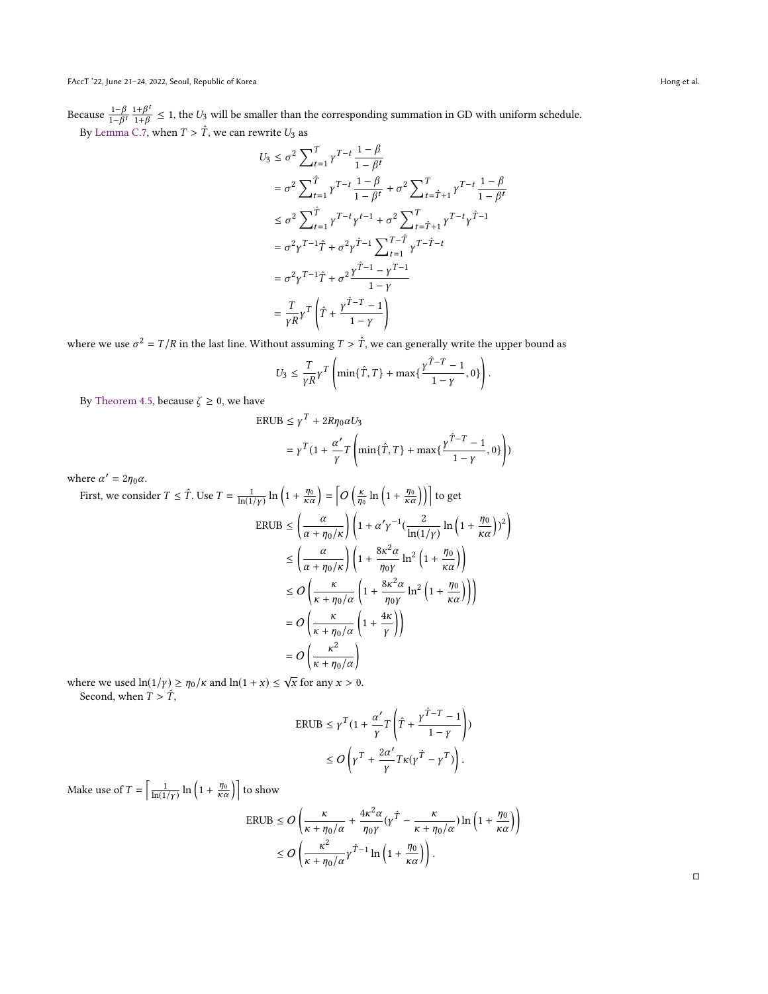Because  $\frac{1-\beta}{1-\beta}$  $\frac{1-\beta}{1-\beta^t}$   $\frac{1+\beta^t}{1+\beta}$  ≤ 1, the U<sub>3</sub> will be smaller than the corresponding summation in GD with uniform schedule. By [Lemma C.7,](#page-13-0) when  $T > \hat{T}$ , we can rewrite  $U_3$  as

$$
U_3 \leq \sigma^2 \sum_{t=1}^T \gamma^{T-t} \frac{1-\beta}{1-\beta^t}
$$
  
\n
$$
= \sigma^2 \sum_{t=1}^{\hat{T}} \gamma^{T-t} \frac{1-\beta}{1-\beta^t} + \sigma^2 \sum_{t=\hat{T}+1}^T \gamma^{T-t} \frac{1-\beta}{1-\beta^t}
$$
  
\n
$$
\leq \sigma^2 \sum_{t=1}^{\hat{T}} \gamma^{T-t} \gamma^{t-1} + \sigma^2 \sum_{t=\hat{T}+1}^T \gamma^{T-t} \gamma^{\hat{T}-1}
$$
  
\n
$$
= \sigma^2 \gamma^{T-1} \hat{T} + \sigma^2 \gamma^{\hat{T}-1} \sum_{t=1}^T \gamma^{T-\hat{T}-t}
$$
  
\n
$$
= \sigma^2 \gamma^{T-1} \hat{T} + \sigma^2 \frac{\gamma^{\hat{T}-1} - \gamma^{T-1}}{1-\gamma}
$$
  
\n
$$
= \frac{T}{\gamma R} \gamma^T \left( \hat{T} + \frac{\gamma^{\hat{T}-T} - 1}{1-\gamma} \right)
$$

where we use  $\sigma^2 = T/R$  in the last line. Without assuming  $T > \hat{T}$ , we can generally write the upper bound as

$$
U_3 \leq \frac{T}{\gamma R} \gamma^T \left( \min\{\hat{T}, T\} + \max\{\frac{\gamma^{\hat{T}-T} - 1}{1-\gamma}, 0\} \right).
$$

By [Theorem 4.5,](#page-5-0) because  $\zeta\geq 0,$  we have  $$\sf ER$$ 

$$
UIB \le \gamma^T + 2R\eta_0 \alpha U_3
$$
  
=  $\gamma^T (1 + \frac{\alpha'}{\gamma} T \left( \min{\{\hat{T}, T\}} + \max{\{\frac{\gamma^{\hat{T}-T} - 1}{1-\gamma}, 0\}} \right))$ 

where  $\alpha' = 2\eta_0 \alpha$ .

First, we consider 
$$
T \leq \hat{T}
$$
. Use  $T = \frac{1}{\ln(1/\gamma)} \ln \left( 1 + \frac{\eta_0}{\kappa \alpha} \right) = \left[ O \left( \frac{\kappa}{\eta_0} \ln \left( 1 + \frac{\eta_0}{\kappa \alpha} \right) \right) \right]$  to get  
\n
$$
ERUB \leq \left( \frac{\alpha}{\alpha + \eta_0/\kappa} \right) \left( 1 + \alpha' \gamma^{-1} \left( \frac{2}{\ln(1/\gamma)} \ln \left( 1 + \frac{\eta_0}{\kappa \alpha} \right) \right)^2 \right)
$$
\n
$$
\leq \left( \frac{\alpha}{\alpha + \eta_0/\kappa} \right) \left( 1 + \frac{8\kappa^2 \alpha}{\eta_0 \gamma} \ln^2 \left( 1 + \frac{\eta_0}{\kappa \alpha} \right) \right)
$$
\n
$$
\leq O \left( \frac{\kappa}{\kappa + \eta_0/\alpha} \left( 1 + \frac{8\kappa^2 \alpha}{\eta_0 \gamma} \ln^2 \left( 1 + \frac{\eta_0}{\kappa \alpha} \right) \right) \right)
$$
\n
$$
= O \left( \frac{\kappa}{\kappa + \eta_0/\alpha} \left( 1 + \frac{4\kappa}{\gamma} \right) \right)
$$
\n
$$
= O \left( \frac{\kappa^2}{\kappa + \eta_0/\alpha} \right)
$$

where we used  $\ln(1/\gamma) \ge \eta_0/\kappa$  and  $\ln(1+x) \le \sqrt{x}$  for any  $x > 0$ . Second, when  $T > \hat{T}$ ,

$$
\text{ERUB} \le \gamma^T (1 + \frac{\alpha'}{\gamma} T \left( \hat{T} + \frac{\gamma^{\hat{T}-T} - 1}{1 - \gamma} \right))
$$

$$
\le O \left( \gamma^T + \frac{2\alpha'}{\gamma} T \kappa (\gamma^{\hat{T}} - \gamma^T) \right).
$$

Make use of  $T = \left[ \frac{1}{\ln(1/\gamma)} \ln \left( 1 + \frac{\eta_0}{\kappa \alpha} \right) \right]$  to show

$$
\begin{split} \text{ERUB} &\leq O\left(\frac{\kappa}{\kappa+\eta_0/\alpha}+\frac{4\kappa^2\alpha}{\eta_0\gamma}(\gamma^{\hat{T}}-\frac{\kappa}{\kappa+\eta_0/\alpha})\ln\left(1+\frac{\eta_0}{\kappa\alpha}\right)\right) \\ &\leq O\left(\frac{\kappa^2}{\kappa+\eta_0/\alpha}\gamma^{\hat{T}-1}\ln\left(1+\frac{\eta_0}{\kappa\alpha}\right)\right). \end{split}
$$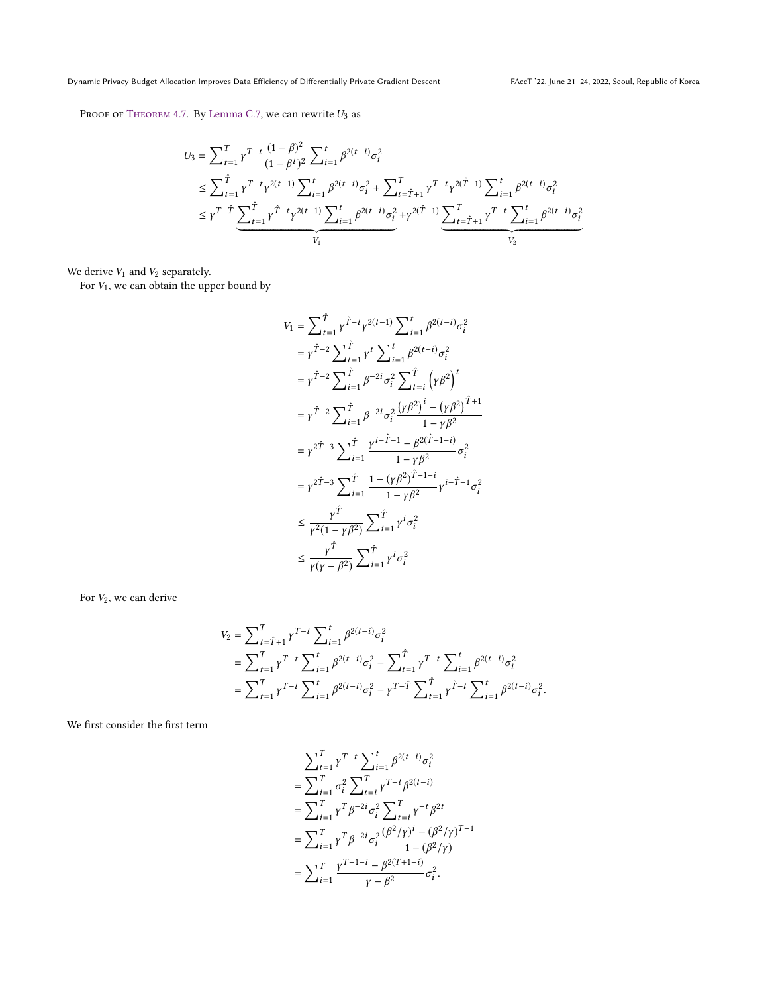PROOF OF THEOREM 4.7. By [Lemma C.7,](#page-13-0) we can rewrite  $U_3$  as

$$
U_3 = \sum_{t=1}^T \gamma^{T-t} \frac{(1-\beta)^2}{(1-\beta^t)^2} \sum_{i=1}^t \beta^{2(t-i)} \sigma_i^2
$$
  
\n
$$
\leq \sum_{t=1}^{\hat{T}} \gamma^{T-t} \gamma^{2(t-1)} \sum_{i=1}^t \beta^{2(t-i)} \sigma_i^2 + \sum_{t=\hat{T}+1}^T \gamma^{T-t} \gamma^{2(\hat{T}-1)} \sum_{i=1}^t \beta^{2(t-i)} \sigma_i^2
$$
  
\n
$$
\leq \gamma^{T-\hat{T}} \underbrace{\sum_{t=1}^{\hat{T}} \gamma^{\hat{T}-t} \gamma^{2(t-1)} \sum_{i=1}^t \beta^{2(t-i)} \sigma_i^2}_{V_1} + \gamma^{2(\hat{T}-1)} \underbrace{\sum_{t=\hat{T}+1}^T \gamma^{T-t} \sum_{i=1}^t \beta^{2(t-i)} \sigma_i^2}_{V_2}
$$

We derive  $V_1$  and  $V_2$  separately.

For  $V_1$ , we can obtain the upper bound by

$$
V_{1} = \sum_{t=1}^{\hat{T}} \gamma^{\hat{T}-t} \gamma^{2(t-1)} \sum_{i=1}^{t} \beta^{2(t-i)} \sigma_{i}^{2}
$$
  
\n
$$
= \gamma^{\hat{T}-2} \sum_{t=1}^{\hat{T}} \gamma^{t} \sum_{i=1}^{t} \beta^{2(t-i)} \sigma_{i}^{2}
$$
  
\n
$$
= \gamma^{\hat{T}-2} \sum_{i=1}^{\hat{T}} \beta^{-2i} \sigma_{i}^{2} \sum_{t=i}^{\hat{T}} \left( \gamma \beta^{2} \right)^{t}
$$
  
\n
$$
= \gamma^{\hat{T}-2} \sum_{i=1}^{\hat{T}} \beta^{-2i} \sigma_{i}^{2} \frac{\left( \gamma \beta^{2} \right)^{i} - \left( \gamma \beta^{2} \right)^{\hat{T}+1}}{1 - \gamma \beta^{2}}
$$
  
\n
$$
= \gamma^{2\hat{T}-3} \sum_{i=1}^{\hat{T}} \frac{\gamma^{i-\hat{T}-1} - \beta^{2(\hat{T}+1-i)}}{1 - \gamma \beta^{2}} \sigma_{i}^{2}
$$
  
\n
$$
= \gamma^{2\hat{T}-3} \sum_{i=1}^{\hat{T}} \frac{1 - \left( \gamma \beta^{2} \right)^{\hat{T}+1-i}}{1 - \gamma \beta^{2}} \gamma^{i-\hat{T}-1} \sigma_{i}^{2}
$$
  
\n
$$
\leq \frac{\gamma^{\hat{T}}}{\gamma^{2}(1 - \gamma \beta^{2})} \sum_{i=1}^{\hat{T}} \gamma^{i} \sigma_{i}^{2}
$$
  
\n
$$
\leq \frac{\gamma^{\hat{T}}}{\gamma(\gamma - \beta^{2})} \sum_{i=1}^{\hat{T}} \gamma^{i} \sigma_{i}^{2}
$$

For  $V_2,$  we can derive

$$
V_2 = \sum_{t=1}^T \gamma^{T-t} \sum_{i=1}^t \beta^{2(t-i)} \sigma_i^2
$$
  
= 
$$
\sum_{t=1}^T \gamma^{T-t} \sum_{i=1}^t \beta^{2(t-i)} \sigma_i^2 - \sum_{t=1}^{\hat{T}} \gamma^{T-t} \sum_{i=1}^t \beta^{2(t-i)} \sigma_i^2
$$
  
= 
$$
\sum_{t=1}^T \gamma^{T-t} \sum_{i=1}^t \beta^{2(t-i)} \sigma_i^2 - \gamma^{T-\hat{T}} \sum_{t=1}^{\hat{T}} \gamma^{\hat{T}-t} \sum_{i=1}^t \beta^{2(t-i)} \sigma_i^2.
$$

We first consider the first term

$$
\sum_{t=1}^{T} \gamma^{T-t} \sum_{i=1}^{t} \beta^{2(t-i)} \sigma_i^2
$$
\n
$$
= \sum_{i=1}^{T} \sigma_i^2 \sum_{t=i}^{T} \gamma^{T-t} \beta^{2(t-i)}
$$
\n
$$
= \sum_{i=1}^{T} \gamma^T \beta^{-2i} \sigma_i^2 \sum_{t=i}^{T} \gamma^{-t} \beta^{2t}
$$
\n
$$
= \sum_{i=1}^{T} \gamma^T \beta^{-2i} \sigma_i^2 \frac{(\beta^2/\gamma)^i - (\beta^2/\gamma)^{T+1}}{1 - (\beta^2/\gamma)}
$$
\n
$$
= \sum_{i=1}^{T} \frac{\gamma^{T+1-i} - \beta^{2(T+1-i)}}{\gamma - \beta^2} \sigma_i^2.
$$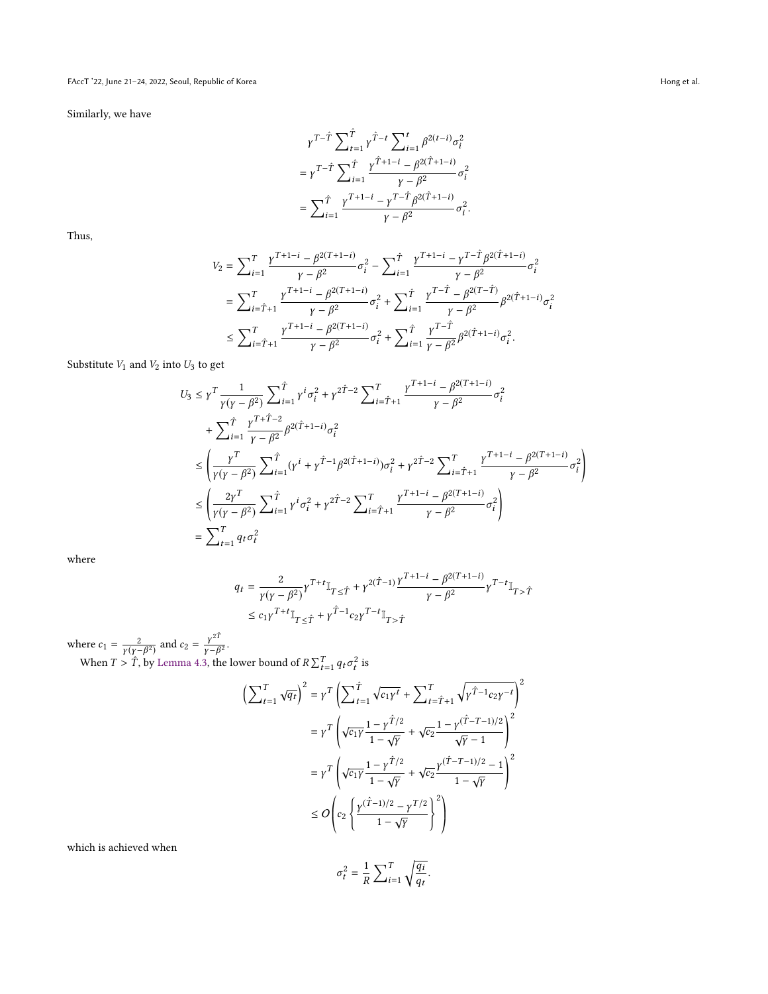FAccT '22, June 21-24, 2022, Seoul, Republic of Korea Hong et al. (2012) and the set al. (2013) France Hong et al.

Similarly, we have

$$
\begin{split} & \gamma^{T-\hat{T}} \sum_{t=1}^{\hat{T}} \gamma^{\hat{T}-t} \sum_{i=1}^{t} \beta^{2(t-i)} \sigma_i^2 \\ & = \gamma^{T-\hat{T}} \sum_{i=1}^{\hat{T}} \frac{\gamma^{\hat{T}+1-i} - \beta^{2(\hat{T}+1-i)}}{\gamma - \beta^2} \sigma_i^2 \\ & = \sum_{i=1}^{\hat{T}} \frac{\gamma^{T+1-i} - \gamma^{T-\hat{T}} \beta^{2(\hat{T}+1-i)}}{\gamma - \beta^2} \sigma_i^2. \end{split}
$$

Thus,

$$
\begin{split} V_2&=\sum\nolimits_{i=1}^T\frac{\gamma^{T+1-i}-\beta^{2(T+1-i)}}{\gamma-\beta^2}\sigma_i^2-\sum\nolimits_{i=1}^{\hat T}\frac{\gamma^{T+1-i}-\gamma^{T-\hat T}\beta^{2(\hat T+1-i)}}{\gamma-\beta^2}\sigma_i^2\\ &=\sum\nolimits_{i=\hat T+1}^T\frac{\gamma^{T+1-i}-\beta^{2(T+1-i)}}{\gamma-\beta^2}\sigma_i^2+\sum\nolimits_{i=1}^{\hat T}\frac{\gamma^{T-\hat T}-\beta^{2(T-\hat T)}}{\gamma-\beta^2}\beta^{2(\hat T+1-i)}\sigma_i^2\\ &\le\sum\nolimits_{i=\hat T+1}^T\frac{\gamma^{T+1-i}-\beta^{2(T+1-i)}}{\gamma-\beta^2}\sigma_i^2+\sum\nolimits_{i=1}^{\hat T}\frac{\gamma^{T-\hat T}}{\gamma-\beta^2}\beta^{2(\hat T+1-i)}\sigma_i^2. \end{split}
$$

Substitute  $V_1$  and  $V_2$  into  $U_3$  to get

$$
U_3 \leq \gamma^T \frac{1}{\gamma(\gamma - \beta^2)} \sum_{i=1}^{\hat{T}} \gamma^i \sigma_i^2 + \gamma^{2\hat{T}-2} \sum_{i=\hat{T}+1}^T \frac{\gamma^{T+1-i} - \beta^{2(T+1-i)}}{\gamma - \beta^2} \sigma_i^2
$$
  
+ 
$$
\sum_{i=1}^{\hat{T}} \frac{\gamma^{T+\hat{T}-2}}{\gamma - \beta^2} \beta^{2(\hat{T}+1-i)} \sigma_i^2
$$
  

$$
\leq \left(\frac{\gamma^T}{\gamma(\gamma - \beta^2)} \sum_{i=1}^{\hat{T}} (\gamma^i + \gamma^{\hat{T}-1} \beta^{2(\hat{T}+1-i)}) \sigma_i^2 + \gamma^{2\hat{T}-2} \sum_{i=\hat{T}+1}^T \frac{\gamma^{T+1-i} - \beta^{2(T+1-i)}}{\gamma - \beta^2} \sigma_i^2\right)
$$
  

$$
\leq \left(\frac{2\gamma^T}{\gamma(\gamma - \beta^2)} \sum_{i=1}^{\hat{T}} \gamma^i \sigma_i^2 + \gamma^{2\hat{T}-2} \sum_{i=\hat{T}+1}^T \frac{\gamma^{T+1-i} - \beta^{2(T+1-i)}}{\gamma - \beta^2} \sigma_i^2\right)
$$
  

$$
= \sum_{t=1}^T q_t \sigma_t^2
$$

where

$$
\begin{aligned} q_t &= \frac{2}{\gamma (\gamma - \beta^2)} \gamma^{T+t} \mathbb{I}_{T \leq \hat{T}} + \gamma^{2(\hat{T}-1)} \frac{\gamma^{T+1-i} - \beta^{2(T+1-i)}}{\gamma - \beta^2} \gamma^{T-t} \mathbb{I}_{T > \hat{T}} \\ &\leq c_1 \gamma^{T+t} \mathbb{I}_{T \leq \hat{T}} + \gamma^{\hat{T}-1} c_2 \gamma^{T-t} \mathbb{I}_{T > \hat{T}} \end{aligned}
$$

where  $c_1 = \frac{2}{\gamma(\gamma - 1)}$  $\frac{2}{\gamma(\gamma - \beta^2)}$  and  $c_2 = \frac{\gamma^{2\hat{T}}}{\gamma - \beta}$  $\frac{\gamma^{21}}{\gamma - \beta^2}.$ When  $T > T$ , by [Lemma 4.3,](#page-4-4) the lower bound of  $R \sum_{t=1}^{T} q_t \sigma$ 2 is

$$
\left(\sum_{t=1}^{T} \sqrt{q_{t}}\right)^{2} = \gamma^{T} \left(\sum_{t=1}^{\hat{T}} \sqrt{c_{1} \gamma^{t}} + \sum_{t=\hat{T}+1}^{T} \sqrt{\gamma^{\hat{T}-1} c_{2} \gamma^{-t}}\right)^{2}
$$

$$
= \gamma^{T} \left(\sqrt{c_{1} \gamma} \frac{1-\gamma^{\hat{T}/2}}{1-\sqrt{\gamma}} + \sqrt{c_{2}} \frac{1-\gamma^{\hat{(T-T-1)/2}}}{\sqrt{\gamma}-1}\right)^{2}
$$

$$
= \gamma^{T} \left(\sqrt{c_{1} \gamma} \frac{1-\gamma^{\hat{T}/2}}{1-\sqrt{\gamma}} + \sqrt{c_{2}} \frac{\gamma^{\hat{(T-T-1)/2}-1}}{1-\sqrt{\gamma}}\right)^{2}
$$

$$
\leq O\left(c_{2} \left\{\frac{\gamma^{\hat{(T-1)/2}} - \gamma^{T/2}}{1-\sqrt{\gamma}}\right\}^{2}\right)
$$

which is achieved when

$$
\sigma_t^2 = \frac{1}{R} \sum_{i=1}^T \sqrt{\frac{q_i}{q_t}}.
$$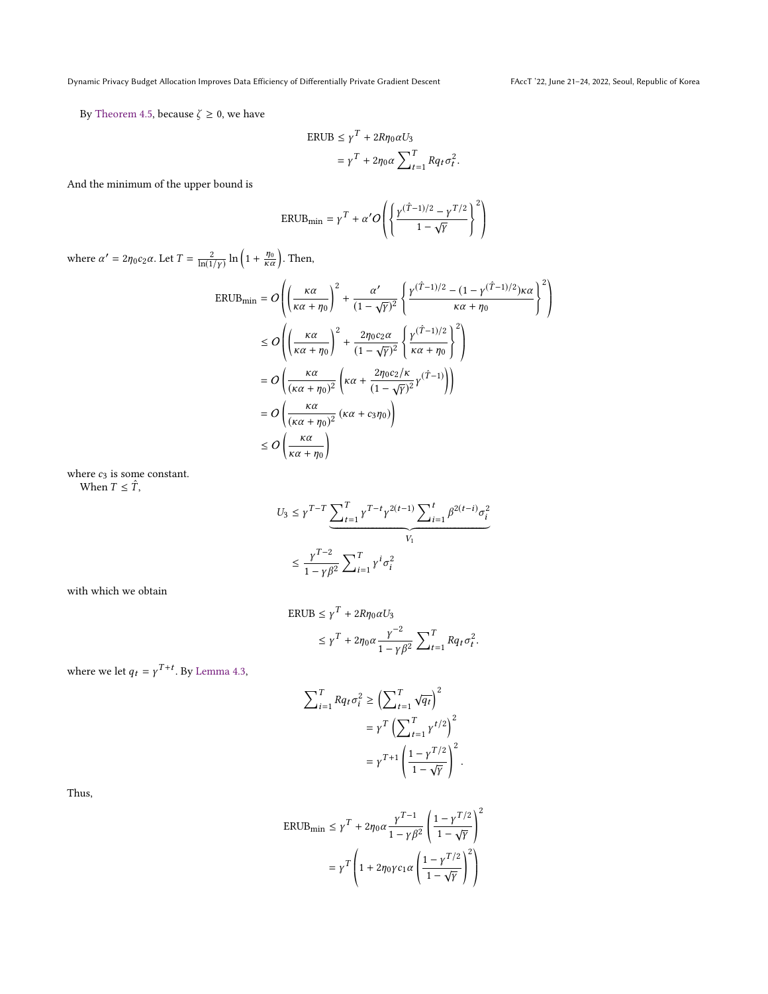By [Theorem 4.5,](#page-5-0) because  $\zeta \ge 0$ , we have

$$
\begin{aligned} \text{ERUB} &\le \gamma^T + 2R\eta_0 \alpha U_3 \\ &= \gamma^T + 2\eta_0 \alpha \sum_{t=1}^T Rq_t \sigma_t^2 \end{aligned}
$$

And the minimum of the upper bound is

$$
\text{ERUB}_{\text{min}} = \gamma^T + \alpha' O\left(\left\{\frac{\gamma^{(\hat{T}-1)/2} - \gamma^{T/2}}{1-\sqrt{\gamma}}\right\}^2\right)
$$

where  $\alpha' = 2\eta_0 c_2 \alpha$ . Let  $T = \frac{2}{\ln(1/\gamma)} \ln\left(1 + \frac{\eta_0}{\kappa \alpha}\right)$ . Then,

$$
\begin{split} \text{ERUB}_{\text{min}} &= O\left( \left( \frac{\kappa \alpha}{\kappa \alpha + \eta_{0}} \right)^{2} + \frac{\alpha'}{(1 - \sqrt{\gamma})^{2}} \left\{ \frac{\gamma(\hat{T} - 1)/2 - (1 - \gamma(\hat{T} - 1)/2) \kappa \alpha}{\kappa \alpha + \eta_{0}} \right\}^{2} \right) \\ &\leq O\left( \left( \frac{\kappa \alpha}{\kappa \alpha + \eta_{0}} \right)^{2} + \frac{2\eta_{0}c_{2}\alpha}{(1 - \sqrt{\gamma})^{2}} \left\{ \frac{\gamma(\hat{T} - 1)/2}{\kappa \alpha + \eta_{0}} \right\}^{2} \right) \\ &= O\left( \frac{\kappa \alpha}{(\kappa \alpha + \eta_{0})^{2}} \left( \kappa \alpha + \frac{2\eta_{0}c_{2}/\kappa}{(1 - \sqrt{\gamma})^{2}} \gamma(\hat{T} - 1) \right) \right) \\ &= O\left( \frac{\kappa \alpha}{(\kappa \alpha + \eta_{0})^{2}} \left( \kappa \alpha + c_{3}\eta_{0} \right) \right) \\ &\leq O\left( \frac{\kappa \alpha}{\kappa \alpha + \eta_{0}} \right) \end{split}
$$

where  $c_3$  is some constant. When  $T \leq \hat{T}$ ,

$$
U_3 \le \gamma^{T-T} \underbrace{\sum_{t=1}^T \gamma^{T-t} \gamma^{2(t-1)} \sum_{i=1}^t \beta^{2(t-i)} \sigma_i^2}_{V_1}
$$
  

$$
\le \frac{\gamma^{T-2}}{1 - \gamma \beta^2} \sum_{i=1}^T \gamma^i \sigma_i^2
$$

with which we obtain

$$
ERUB \le \gamma^T + 2R\eta_0 \alpha U_3
$$

$$
\leq \gamma^T + 2\eta_0 \alpha \frac{\gamma^{-2}}{1 - \gamma \beta^2} \sum_{t=1}^T R q_t \sigma_t^2
$$

where we let  $q_t = \gamma^{T+t}$ . By [Lemma 4.3,](#page-4-4)

$$
\begin{split} \sum\nolimits_{i=1}^T R q_t \sigma_i^2 &\geq \Bigl( \sum\nolimits_{t=1}^T \sqrt{q_t} \Bigr)^2 \\&= \gamma^T \Bigl( \sum\nolimits_{t=1}^T \gamma^{t/2} \Bigr)^2 \\&= \gamma^{T+1} \left( \frac{1-\gamma^{T/2}}{1-\sqrt{\gamma}} \right)^2. \end{split}
$$

Thus,

$$
\begin{aligned} \text{ERUB}_{\text{min}} &\le \gamma^T + 2\eta_0 \alpha \frac{\gamma^{T-1}}{1 - \gamma \beta^2} \left( \frac{1 - \gamma^{T/2}}{1 - \sqrt{\gamma}} \right)^2 \\ &= \gamma^T \left( 1 + 2\eta_0 \gamma c_1 \alpha \left( \frac{1 - \gamma^{T/2}}{1 - \sqrt{\gamma}} \right)^2 \right) \end{aligned}
$$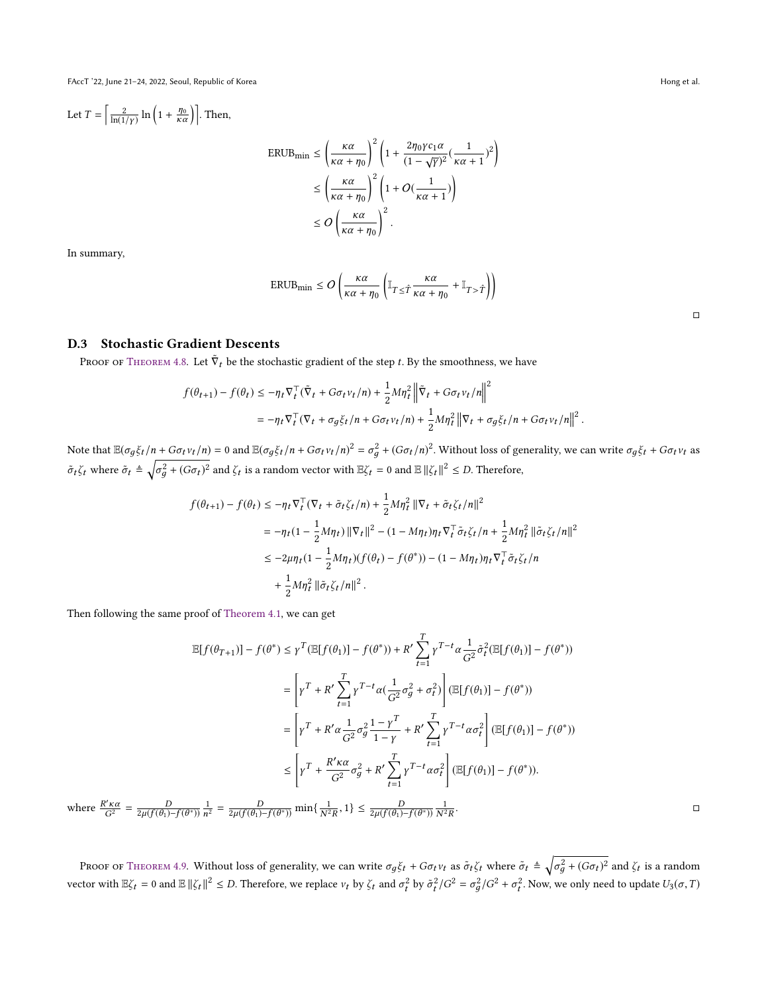FAccT '22, June 21–24, 2022, Seoul, Republic of Korea Hong et al. (2012) and the set al. (2013) and the set al. (2014) and the set al. (2014) and the set al. (2014) and the set al. (2014) and the set al. (2014) and the set

Let  $T = \left[ \frac{2}{\ln(1/\gamma)} \ln \left( 1 + \frac{\eta_0}{\kappa \alpha} \right) \right]$ . Then,

$$
\begin{split} \text{ERUB}_{\text{min}} &\leq \left(\frac{\kappa\alpha}{\kappa\alpha+\eta_0}\right)^2 \left(1+\frac{2\eta_0\gamma c_1\alpha}{(1-\sqrt{\gamma})^2}(\frac{1}{\kappa\alpha+1})^2\right) \\ &\leq \left(\frac{\kappa\alpha}{\kappa\alpha+\eta_0}\right)^2 \left(1+O(\frac{1}{\kappa\alpha+1})\right) \\ &\leq O\left(\frac{\kappa\alpha}{\kappa\alpha+\eta_0}\right)^2. \end{split}
$$

In summary,

$$
\text{ERUB}_{\min} \le O\left(\frac{\kappa\alpha}{\kappa\alpha + \eta_0} \left( \mathbb{I}_{T \le \hat{T}} \frac{\kappa\alpha}{\kappa\alpha + \eta_0} + \mathbb{I}_{T > \hat{T}} \right) \right)
$$

# D.3 Stochastic Gradient Descents

Proof of [Theorem 4.8.](#page-6-5) Let  $\tilde{\nabla}_t$  be the stochastic gradient of the step t. By the smoothness, we have

$$
f(\theta_{t+1}) - f(\theta_t) \le -\eta_t \nabla_t^\top (\tilde{\nabla}_t + G\sigma_t v_t/n) + \frac{1}{2} M \eta_t^2 \left\| \tilde{\nabla}_t + G\sigma_t v_t/n \right\|^2
$$
  
=  $-\eta_t \nabla_t^\top (\nabla_t + \sigma_g \xi_t/n + G\sigma_t v_t/n) + \frac{1}{2} M \eta_t^2 \left\| \nabla_t + \sigma_g \xi_t/n + G\sigma_t v_t/n \right\|^2.$ 

Note that  $\mathbb{E}(\sigma_g \xi_t/n + G \sigma_t v_t/n) = 0$  and  $\mathbb{E}(\sigma_g \xi_t/n + G \sigma_t v_t/n)^2 = \sigma_g^2 + (G \sigma_t/n)^2$ . Without loss of generality, we can write  $\sigma_g \xi_t + G \sigma_t v_t$  as  $\tilde{\sigma}_t \zeta_t$  where  $\tilde{\sigma}_t \triangleq \sqrt{\frac{\varepsilon}{\varepsilon}}$  $\frac{2}{g} + (G\sigma_t)^2$  and  $\zeta_t$  is a random vector with  $\mathbb{E}\zeta_t = 0$  and  $\mathbb{E} \|\zeta_t\|^2 \leq D$ . Therefore,

$$
\begin{aligned} f(\theta_{t+1}) - f(\theta_t) &\leq -\eta_t \nabla_t^\top (\nabla_t + \tilde{\sigma}_t \zeta_t/n) + \frac{1}{2} M \eta_t^2 \left\| \nabla_t + \tilde{\sigma}_t \zeta_t/n \right\|^2 \\ & = -\eta_t (1 - \frac{1}{2} M \eta_t) \left\| \nabla_t \right\|^2 - (1 - M \eta_t) \eta_t \nabla_t^\top \tilde{\sigma}_t \zeta_t/n + \frac{1}{2} M \eta_t^2 \left\| \tilde{\sigma}_t \zeta_t/n \right\|^2 \\ & \leq -2 \mu \eta_t (1 - \frac{1}{2} M \eta_t) (f(\theta_t) - f(\theta^*)) - (1 - M \eta_t) \eta_t \nabla_t^\top \tilde{\sigma}_t \zeta_t/n \\ & + \frac{1}{2} M \eta_t^2 \left\| \tilde{\sigma}_t \zeta_t/n \right\|^2. \end{aligned}
$$

Then following the same proof of [Theorem 4.1,](#page-3-1) we can get

$$
\mathbb{E}[f(\theta_{T+1})] - f(\theta^*) \leq \gamma^T (\mathbb{E}[f(\theta_1)] - f(\theta^*)) + R' \sum_{t=1}^T \gamma^{T-t} \alpha \frac{1}{G^2} \tilde{\sigma}_t^2 (\mathbb{E}[f(\theta_1)] - f(\theta^*))
$$
  

$$
= \left[ \gamma^T + R' \sum_{t=1}^T \gamma^{T-t} \alpha \left( \frac{1}{G^2} \sigma_g^2 + \sigma_t^2 \right) \right] (\mathbb{E}[f(\theta_1)] - f(\theta^*))
$$
  

$$
= \left[ \gamma^T + R' \alpha \frac{1}{G^2} \sigma_g^2 \frac{1 - \gamma^T}{1 - \gamma} + R' \sum_{t=1}^T \gamma^{T-t} \alpha \sigma_t^2 \right] (\mathbb{E}[f(\theta_1)] - f(\theta^*))
$$
  

$$
\leq \left[ \gamma^T + \frac{R' \kappa \alpha}{G^2} \sigma_g^2 + R' \sum_{t=1}^T \gamma^{T-t} \alpha \sigma_t^2 \right] (\mathbb{E}[f(\theta_1)] - f(\theta^*)).
$$

where  $\frac{R' \kappa \alpha}{G^2} = \frac{D}{2\mu(f(\theta_1) - f(\theta^*))}$  $\frac{1}{2r^2} = \frac{D}{2\mu(f(\theta_1) - f(\theta^*))} \min\{\frac{1}{N^2 R}, 1\} \le \frac{D}{2\mu(f(\theta_1) - f(\theta^*))}$  $\frac{1}{N^2R}$ 

PROOF OF THEOREM 4.9. Without loss of generality, we can write  $\sigma_g \xi_t + G \sigma_t v_t$  as  $\tilde{\sigma}_t \xi_t$  where  $\tilde{\sigma}_t \triangleq \sqrt{\frac{2}{\sigma_g \xi_t} \sum_{i=1}^{n} (f(\xi_t - \xi_t)^2)}$  $\frac{2}{g} + (G\sigma_t)^2$  and  $\zeta_t$  is a random vector with  $\mathbb{E}\zeta_t = 0$  and  $\mathbb{E} \|\zeta_t\|^2 \leq D$ . Therefore, we replace  $v_t$  by  $\zeta_t$  and  $\sigma_t^2$  $\frac{1}{t}$  by  $\tilde{\sigma}_t^2$  $t^2/G^2 = \sigma_g^2$  $\frac{2}{g}/G^2 + \sigma_t^2$  $t^2$ . Now, we only need to update  $U_3(\sigma,T)$ 

. □